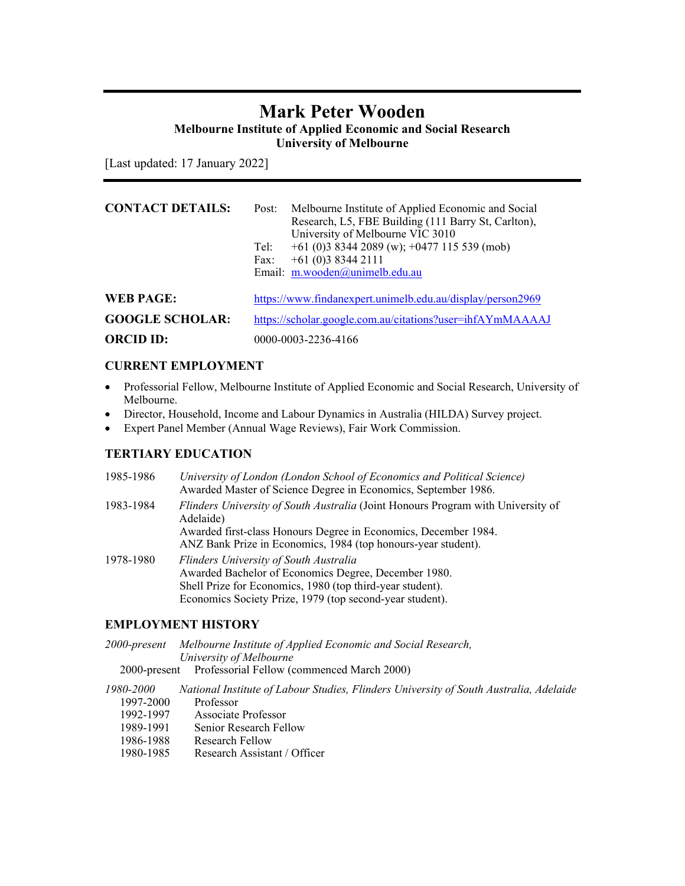# **Mark Peter Wooden Melbourne Institute of Applied Economic and Social Research**

**University of Melbourne** 

[Last updated: 17 January 2022]

| <b>CONTACT DETAILS:</b> | Melbourne Institute of Applied Economic and Social<br>Post:<br>Research, L5, FBE Building (111 Barry St, Carlton),<br>University of Melbourne VIC 3010<br>$+61$ (0)3 8344 2089 (w); $+0477$ 115 539 (mob)<br>Tel:<br>$+61(0)383442111$<br>Fax:<br>Email: m.wooden@unimelb.edu.au |  |  |
|-------------------------|----------------------------------------------------------------------------------------------------------------------------------------------------------------------------------------------------------------------------------------------------------------------------------|--|--|
| WEB PAGE:               | https://www.findanexpert.unimelb.edu.au/display/person2969                                                                                                                                                                                                                       |  |  |
| <b>GOOGLE SCHOLAR:</b>  | https://scholar.google.com.au/citations?user=ihfAYmMAAAAJ                                                                                                                                                                                                                        |  |  |
| <b>ORCID ID:</b>        | 0000-0003-2236-4166                                                                                                                                                                                                                                                              |  |  |

## **CURRENT EMPLOYMENT**

- Professorial Fellow, Melbourne Institute of Applied Economic and Social Research, University of Melbourne.
- Director, Household, Income and Labour Dynamics in Australia (HILDA) Survey project.
- Expert Panel Member (Annual Wage Reviews), Fair Work Commission.

## **TERTIARY EDUCATION**

| 1985-1986 | University of London (London School of Economics and Political Science)<br>Awarded Master of Science Degree in Economics, September 1986. |
|-----------|-------------------------------------------------------------------------------------------------------------------------------------------|
| 1983-1984 | Flinders University of South Australia (Joint Honours Program with University of<br>Adelaide)                                             |
|           | Awarded first-class Honours Degree in Economics, December 1984.                                                                           |
|           | ANZ Bank Prize in Economics, 1984 (top honours-year student).                                                                             |
| 1978-1980 | Flinders University of South Australia                                                                                                    |
|           | Awarded Bachelor of Economics Degree, December 1980.                                                                                      |
|           | Shell Prize for Economics, 1980 (top third-year student).                                                                                 |
|           | Economics Society Prize, 1979 (top second-year student).                                                                                  |

## **EMPLOYMENT HISTORY**

|           | 2000-present Melbourne Institute of Applied Economic and Social Research,<br>University of Melbourne |
|-----------|------------------------------------------------------------------------------------------------------|
|           | 2000-present Professorial Fellow (commenced March 2000)                                              |
| 1980-2000 | National Institute of Labour Studies, Flinders University of South Australia, Adelaide               |
| 1997-2000 | Professor                                                                                            |
| 1992-1997 | Associate Professor                                                                                  |
| 1989-1991 | Senior Research Fellow                                                                               |
| 1986-1988 | Research Fellow                                                                                      |
| 1980-1985 | Research Assistant / Officer                                                                         |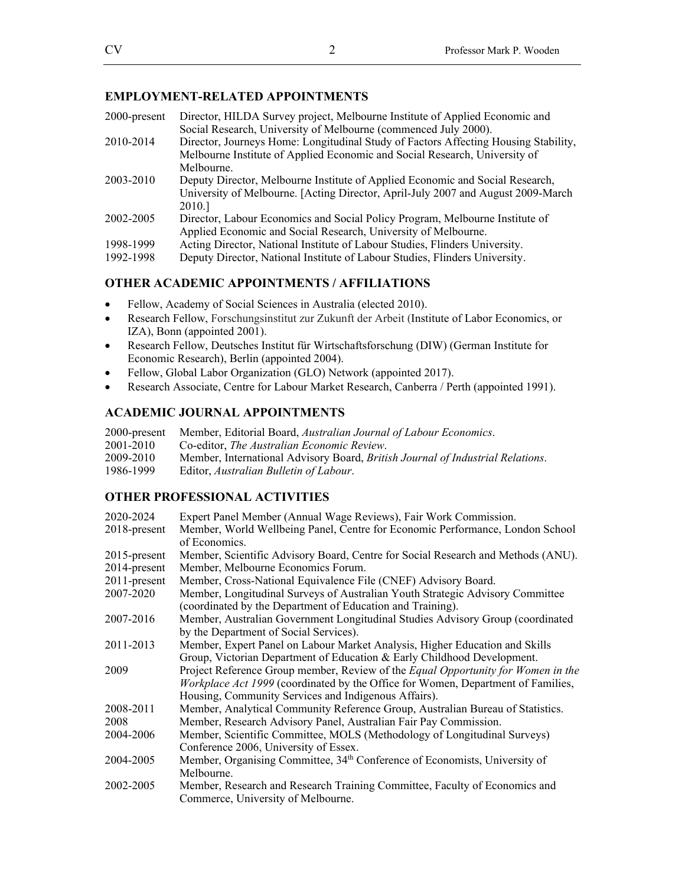### **EMPLOYMENT-RELATED APPOINTMENTS**

| 2000-present | Director, HILDA Survey project, Melbourne Institute of Applied Economic and<br>Social Research, University of Melbourne (commenced July 2000). |
|--------------|------------------------------------------------------------------------------------------------------------------------------------------------|
| 2010-2014    | Director, Journeys Home: Longitudinal Study of Factors Affecting Housing Stability,                                                            |
|              | Melbourne Institute of Applied Economic and Social Research, University of                                                                     |
|              | Melbourne.                                                                                                                                     |
| 2003-2010    | Deputy Director, Melbourne Institute of Applied Economic and Social Research,                                                                  |
|              | University of Melbourne. [Acting Director, April-July 2007 and August 2009-March                                                               |
|              | 2010.                                                                                                                                          |
| 2002-2005    | Director, Labour Economics and Social Policy Program, Melbourne Institute of                                                                   |
|              | Applied Economic and Social Research, University of Melbourne.                                                                                 |
| 1998-1999    | Acting Director, National Institute of Labour Studies, Flinders University.                                                                    |
| 1992-1998    | Deputy Director, National Institute of Labour Studies, Flinders University.                                                                    |

### **OTHER ACADEMIC APPOINTMENTS / AFFILIATIONS**

- Fellow, Academy of Social Sciences in Australia (elected 2010).
- Research Fellow, Forschungsinstitut zur Zukunft der Arbeit (Institute of Labor Economics, or IZA), Bonn (appointed 2001).
- Research Fellow, Deutsches Institut für Wirtschaftsforschung (DIW) (German Institute for Economic Research), Berlin (appointed 2004).
- Fellow, Global Labor Organization (GLO) Network (appointed 2017).
- Research Associate, Centre for Labour Market Research, Canberra / Perth (appointed 1991).

## **ACADEMIC JOURNAL APPOINTMENTS**

- 2000-present Member, Editorial Board, *Australian Journal of Labour Economics*.
- Co-editor, *The Australian Economic Review*.
- 2009-2010 Member, International Advisory Board, *British Journal of Industrial Relations*.
- Editor, *Australian Bulletin of Labour*.

## **OTHER PROFESSIONAL ACTIVITIES**

| 2020-2024       | Expert Panel Member (Annual Wage Reviews), Fair Work Commission.                        |  |  |
|-----------------|-----------------------------------------------------------------------------------------|--|--|
| $2018$ -present | Member, World Wellbeing Panel, Centre for Economic Performance, London School           |  |  |
|                 | of Economics.                                                                           |  |  |
| 2015-present    | Member, Scientific Advisory Board, Centre for Social Research and Methods (ANU).        |  |  |
| 2014-present    | Member, Melbourne Economics Forum.                                                      |  |  |
| 2011-present    | Member, Cross-National Equivalence File (CNEF) Advisory Board.                          |  |  |
| 2007-2020       | Member, Longitudinal Surveys of Australian Youth Strategic Advisory Committee           |  |  |
|                 | (coordinated by the Department of Education and Training).                              |  |  |
| 2007-2016       | Member, Australian Government Longitudinal Studies Advisory Group (coordinated          |  |  |
|                 | by the Department of Social Services).                                                  |  |  |
| 2011-2013       | Member, Expert Panel on Labour Market Analysis, Higher Education and Skills             |  |  |
|                 | Group, Victorian Department of Education & Early Childhood Development.                 |  |  |
| 2009            | Project Reference Group member, Review of the <i>Equal Opportunity for Women in the</i> |  |  |
|                 | <i>Workplace Act 1999</i> (coordinated by the Office for Women, Department of Families, |  |  |
|                 | Housing, Community Services and Indigenous Affairs).                                    |  |  |
| 2008-2011       | Member, Analytical Community Reference Group, Australian Bureau of Statistics.          |  |  |
| 2008            | Member, Research Advisory Panel, Australian Fair Pay Commission.                        |  |  |
| 2004-2006       | Member, Scientific Committee, MOLS (Methodology of Longitudinal Surveys)                |  |  |
|                 | Conference 2006, University of Essex.                                                   |  |  |
| 2004-2005       | Member, Organising Committee, 34 <sup>th</sup> Conference of Economists, University of  |  |  |
|                 | Melbourne.                                                                              |  |  |
| 2002-2005       | Member, Research and Research Training Committee, Faculty of Economics and              |  |  |
|                 | Commerce, University of Melbourne.                                                      |  |  |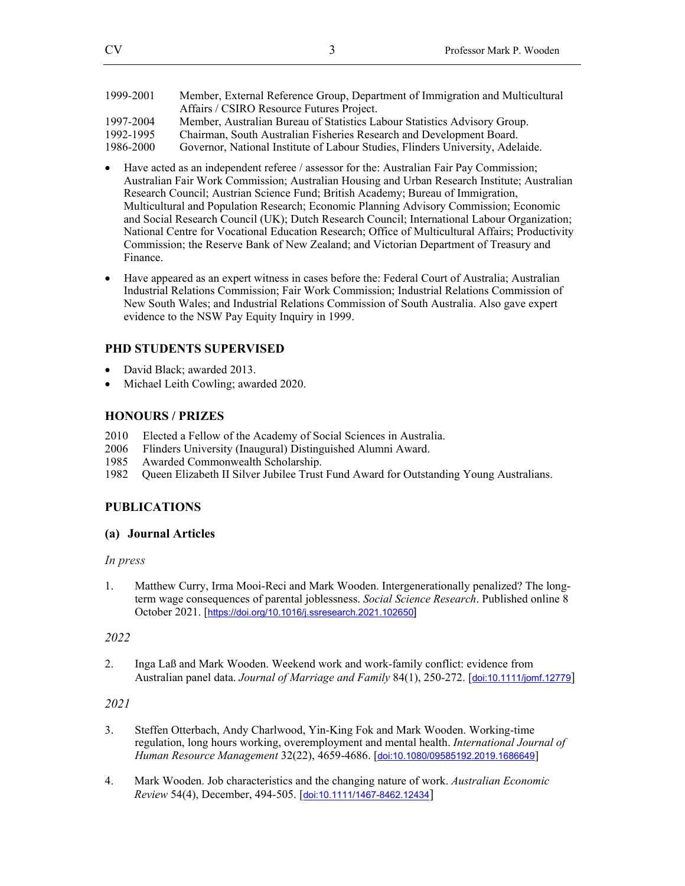| 1999-2001 | Member, External Reference Group, Department of Immigration and Multicultural  |
|-----------|--------------------------------------------------------------------------------|
|           | Affairs / CSIRO Resource Futures Project.                                      |
| 1997-2004 | Member, Australian Bureau of Statistics Labour Statistics Advisory Group.      |
| 1992-1995 | Chairman, South Australian Fisheries Research and Development Board.           |
| 1986-2000 | Governor, National Institute of Labour Studies, Flinders University, Adelaide. |

- Have acted as an independent referee / assessor for the: Australian Fair Pay Commission; Australian Fair Work Commission; Australian Housing and Urban Research Institute; Australian Research Council; Austrian Science Fund; British Academy; Bureau of Immigration, Multicultural and Population Research; Economic Planning Advisory Commission; Economic and Social Research Council (UK); Dutch Research Council; International Labour Organization; National Centre for Vocational Education Research; Office of Multicultural Affairs; Productivity Commission; the Reserve Bank of New Zealand; and Victorian Department of Treasury and Finance.
- Have appeared as an expert witness in cases before the: Federal Court of Australia; Australian Industrial Relations Commission; Fair Work Commission; Industrial Relations Commission of New South Wales; and Industrial Relations Commission of South Australia. Also gave expert evidence to the NSW Pay Equity Inquiry in 1999.

## **PHD STUDENTS SUPERVISED**

- David Black; awarded 2013.
- Michael Leith Cowling; awarded 2020.

## **HONOURS / PRIZES**

- 2010 Elected a Fellow of the Academy of Social Sciences in Australia.
- 2006 Flinders University (Inaugural) Distinguished Alumni Award.
- 1985 Awarded Commonwealth Scholarship.<br>1982 Queen Elizabeth II Silver Jubilee Trust
- 1982 Queen Elizabeth II Silver Jubilee Trust Fund Award for Outstanding Young Australians.

# **PUBLICATIONS**

## **(a) Journal Articles**

## *In press*

1. Matthew Curry, Irma Mooi-Reci and Mark Wooden. Intergenerationally penalized? The longterm wage consequences of parental joblessness. *Social Science Research*. Published online 8 October 2021. [https://doi.org/10.1016/j.ssresearch.2021.102650]

## *2022*

2. Inga Laß and Mark Wooden. Weekend work and work-family conflict: evidence from Australian panel data. *Journal of Marriage and Family* 84(1), 250-272. [doi:10.1111/jomf.12779]

- 3. Steffen Otterbach, Andy Charlwood, Yin-King Fok and Mark Wooden. Working-time regulation, long hours working, overemployment and mental health. *International Journal of Human Resource Management* 32(22), 4659-4686. [doi:10.1080/09585192.2019.1686649]
- 4. Mark Wooden. Job characteristics and the changing nature of work. *Australian Economic Review* 54(4), December, 494-505. [doi:10.1111/1467-8462.12434]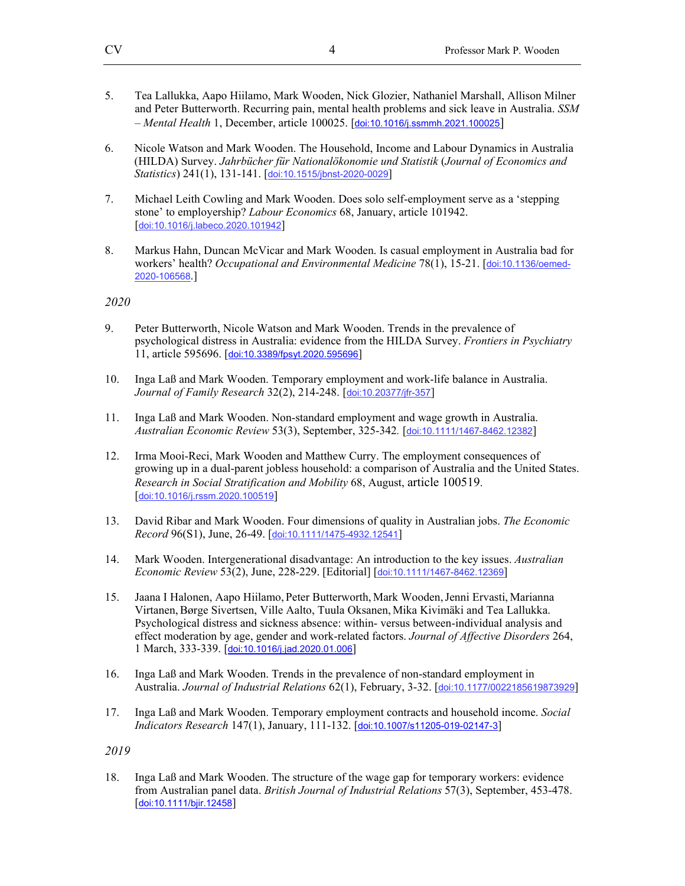- 5. Tea Lallukka, Aapo Hiilamo, Mark Wooden, Nick Glozier, Nathaniel Marshall, Allison Milner and Peter Butterworth. Recurring pain, mental health problems and sick leave in Australia. *SSM – Mental Health* 1, December, article 100025. [doi:10.1016/j.ssmmh.2021.100025]
- 6. Nicole Watson and Mark Wooden. The Household, Income and Labour Dynamics in Australia (HILDA) Survey. *Jahrbücher für Nationalökonomie und Statistik* (*Journal of Economics and Statistics*) 241(1), 131-141. [doi:10.1515/jbnst-2020-0029]
- 7. Michael Leith Cowling and Mark Wooden. Does solo self-employment serve as a 'stepping stone' to employership? *Labour Economics* 68, January, article 101942. [doi:10.1016/j.labeco.2020.101942]
- 8. Markus Hahn, Duncan McVicar and Mark Wooden. Is casual employment in Australia bad for workers' health? *Occupational and Environmental Medicine* 78(1), 15-21. [doi:10.1136/oemed-2020-106568.]

- 9. Peter Butterworth, Nicole Watson and Mark Wooden. Trends in the prevalence of psychological distress in Australia: evidence from the HILDA Survey. *Frontiers in Psychiatry* 11, article 595696. [doi:10.3389/fpsyt.2020.595696]
- 10. Inga Laß and Mark Wooden. Temporary employment and work-life balance in Australia. *Journal of Family Research* 32(2), 214-248. [doi:10.20377/jfr-357]
- 11. Inga Laß and Mark Wooden. Non-standard employment and wage growth in Australia. *Australian Economic Review* 53(3), September, 325-342*.* [doi:10.1111/1467-8462.12382]
- 12. Irma Mooi-Reci, Mark Wooden and Matthew Curry. The employment consequences of growing up in a dual-parent jobless household: a comparison of Australia and the United States. *Research in Social Stratification and Mobility* 68, August, article 100519. [doi:10.1016/j.rssm.2020.100519]
- 13. David Ribar and Mark Wooden. Four dimensions of quality in Australian jobs. *The Economic Record* 96(S1), June, 26-49. [doi:10.1111/1475-4932.12541]
- 14. Mark Wooden. Intergenerational disadvantage: An introduction to the key issues. *Australian Economic Review* 53(2), June, 228-229. [Editorial] [doi:10.1111/1467-8462.12369]
- 15. Jaana I Halonen, Aapo Hiilamo, Peter Butterworth, Mark Wooden,Jenni Ervasti, Marianna Virtanen,Børge Sivertsen, Ville Aalto, Tuula Oksanen, Mika Kivimäki and Tea Lallukka. Psychological distress and sickness absence: within- versus between-individual analysis and effect moderation by age, gender and work-related factors. *Journal of Affective Disorders* 264, 1 March, 333-339. [doi:10.1016/j.jad.2020.01.006]
- 16. Inga Laß and Mark Wooden. Trends in the prevalence of non-standard employment in Australia. *Journal of Industrial Relations* 62(1), February, 3-32. [doi:10.1177/0022185619873929]
- 17. Inga Laß and Mark Wooden. Temporary employment contracts and household income. *Social Indicators Research* 147(1), January, 111-132. [doi:10.1007/s11205-019-02147-3]

*2019* 

18. Inga Laß and Mark Wooden. The structure of the wage gap for temporary workers: evidence from Australian panel data. *British Journal of Industrial Relations* 57(3), September, 453-478. [doi:10.1111/bjir.12458]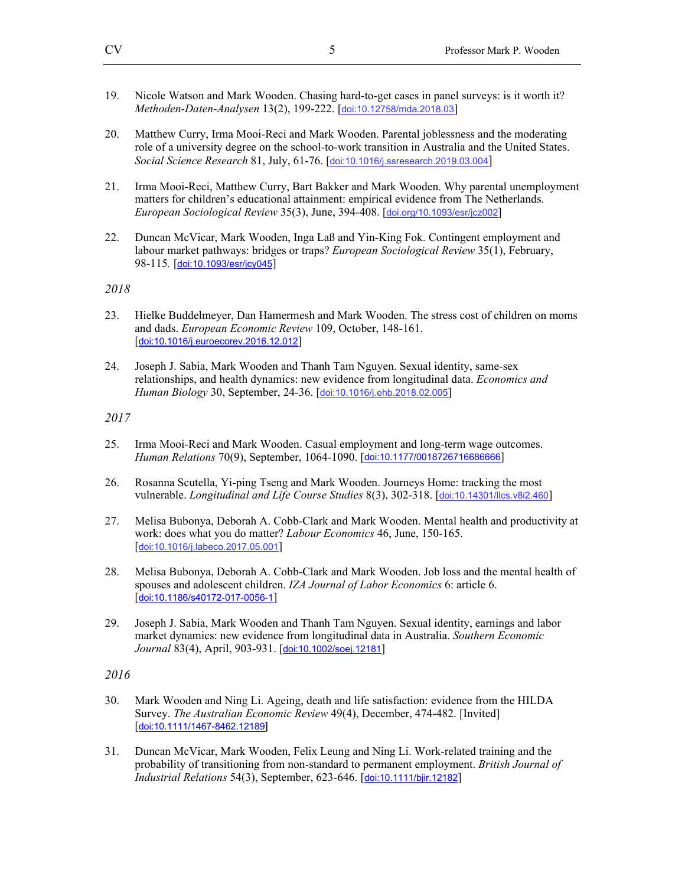- 19. Nicole Watson and Mark Wooden. Chasing hard-to-get cases in panel surveys: is it worth it? *Methoden-Daten-Analysen* 13(2), 199-222. [doi:10.12758/mda.2018.03]
- 20. Matthew Curry, Irma Mooi-Reci and Mark Wooden. Parental joblessness and the moderating role of a university degree on the school-to-work transition in Australia and the United States. *Social Science Research* 81, July, 61-76. [doi:10.1016/j.ssresearch.2019.03.004]
- 21. Irma Mooi-Reci, Matthew Curry, Bart Bakker and Mark Wooden. Why parental unemployment matters for children's educational attainment: empirical evidence from The Netherlands. *European Sociological Review* 35(3), June, 394-408. [doi.org/10.1093/esr/jcz002]
- 22. Duncan McVicar, Mark Wooden, Inga Laß and Yin-King Fok. Contingent employment and labour market pathways: bridges or traps? *European Sociological Review* 35(1), February, 98-115*.* [doi:10.1093/esr/jcy045]

- 23. Hielke Buddelmeyer, Dan Hamermesh and Mark Wooden. The stress cost of children on moms and dads. *European Economic Review* 109, October, 148-161. [doi:10.1016/j.euroecorev.2016.12.012]
- 24. Joseph J. Sabia, Mark Wooden and Thanh Tam Nguyen. Sexual identity, same-sex relationships, and health dynamics: new evidence from longitudinal data. *Economics and Human Biology* 30, September, 24-36. [doi:10.1016/j.ehb.2018.02.005]

*2017* 

- 25. Irma Mooi-Reci and Mark Wooden. Casual employment and long-term wage outcomes. *Human Relations* 70(9), September, 1064-1090. [doi:10.1177/0018726716686666]
- 26. Rosanna Scutella, Yi-ping Tseng and Mark Wooden. Journeys Home: tracking the most vulnerable. *Longitudinal and Life Course Studies* 8(3), 302-318. [doi:10.14301/llcs.v8i2.460]
- 27. Melisa Bubonya, Deborah A. Cobb-Clark and Mark Wooden. Mental health and productivity at work: does what you do matter? *Labour Economics* 46, June, 150-165. [doi:10.1016/j.labeco.2017.05.001]
- 28. Melisa Bubonya, Deborah A. Cobb-Clark and Mark Wooden. Job loss and the mental health of spouses and adolescent children. *IZA Journal of Labor Economics* 6: article 6. [doi:10.1186/s40172-017-0056-1]
- 29. Joseph J. Sabia, Mark Wooden and Thanh Tam Nguyen. Sexual identity, earnings and labor market dynamics: new evidence from longitudinal data in Australia. *Southern Economic Journal* 83(4), April, 903-931. [doi:10.1002/soej.12181]

- 30. Mark Wooden and Ning Li. Ageing, death and life satisfaction: evidence from the HILDA Survey. *The Australian Economic Review* 49(4), December, 474-482. [Invited] [doi:10.1111/1467-8462.12189]
- 31. Duncan McVicar, Mark Wooden, Felix Leung and Ning Li. Work-related training and the probability of transitioning from non-standard to permanent employment. *British Journal of Industrial Relations* 54(3), September, 623-646. [doi:10.1111/bjir.12182]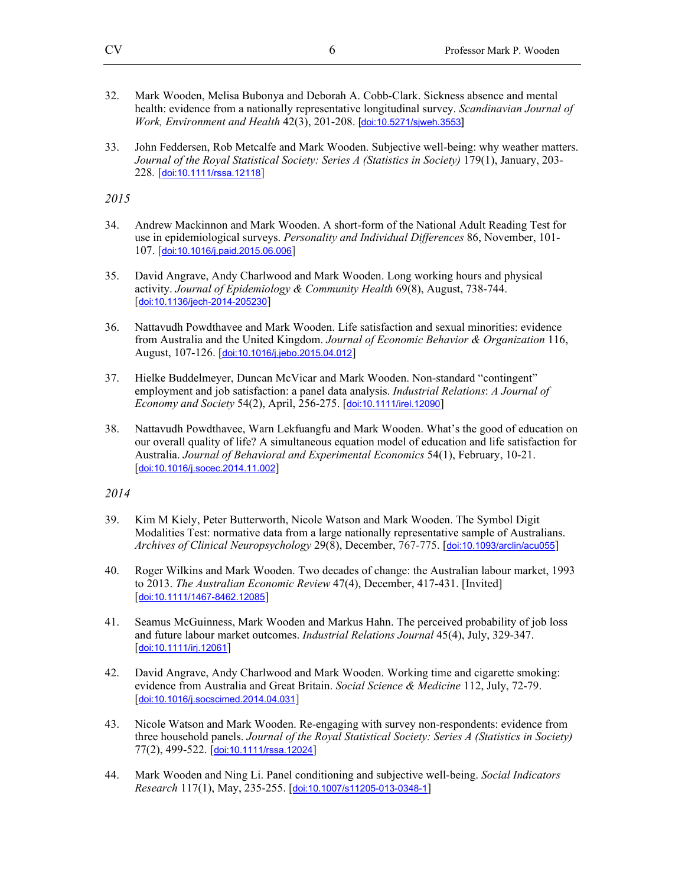- 32. Mark Wooden, Melisa Bubonya and Deborah A. Cobb-Clark. Sickness absence and mental health: evidence from a nationally representative longitudinal survey. *Scandinavian Journal of Work, Environment and Health* 42(3), 201-208. [doi:10.5271/sjweh.3553]
- 33. John Feddersen, Rob Metcalfe and Mark Wooden. Subjective well-being: why weather matters. *Journal of the Royal Statistical Society: Series A (Statistics in Society)* 179(1), January, 203- 228*.* [doi:10.1111/rssa.12118]

- 34. Andrew Mackinnon and Mark Wooden. A short-form of the National Adult Reading Test for use in epidemiological surveys. *Personality and Individual Differences* 86, November, 101- 107. [doi:10.1016/j.paid.2015.06.006]
- 35. David Angrave, Andy Charlwood and Mark Wooden. Long working hours and physical activity. *Journal of Epidemiology & Community Health* 69(8), August, 738-744. [doi:10.1136/jech-2014-205230]
- 36. Nattavudh Powdthavee and Mark Wooden. Life satisfaction and sexual minorities: evidence from Australia and the United Kingdom. *Journal of Economic Behavior & Organization* 116, August, 107-126. [doi:10.1016/j.jebo.2015.04.012]
- 37. Hielke Buddelmeyer, Duncan McVicar and Mark Wooden. Non-standard "contingent" employment and job satisfaction: a panel data analysis. *Industrial Relations*: *A Journal of Economy and Society* 54(2), April, 256-275. [doi:10.1111/irel.12090]
- 38. Nattavudh Powdthavee, Warn Lekfuangfu and Mark Wooden. What's the good of education on our overall quality of life? A simultaneous equation model of education and life satisfaction for Australia. *Journal of Behavioral and Experimental Economics* 54(1), February, 10-21. [doi:10.1016/j.socec.2014.11.002]

- 39. Kim M Kiely, Peter Butterworth, Nicole Watson and Mark Wooden. The Symbol Digit Modalities Test: normative data from a large nationally representative sample of Australians. *Archives of Clinical Neuropsychology* 29(8), December, 767-775. [doi:10.1093/arclin/acu055]
- 40. Roger Wilkins and Mark Wooden. Two decades of change: the Australian labour market, 1993 to 2013. *The Australian Economic Review* 47(4), December, 417-431. [Invited] [doi:10.1111/1467-8462.12085]
- 41. Seamus McGuinness, Mark Wooden and Markus Hahn. The perceived probability of job loss and future labour market outcomes. *Industrial Relations Journal* 45(4), July, 329-347. [doi:10.1111/irj.12061]
- 42. David Angrave, Andy Charlwood and Mark Wooden. Working time and cigarette smoking: evidence from Australia and Great Britain. *Social Science & Medicine* 112, July, 72-79. [doi:10.1016/j.socscimed.2014.04.031]
- 43. Nicole Watson and Mark Wooden. Re-engaging with survey non-respondents: evidence from three household panels. *Journal of the Royal Statistical Society: Series A (Statistics in Society)* 77(2), 499-522. [doi:10.1111/rssa.12024]
- 44. Mark Wooden and Ning Li. Panel conditioning and subjective well-being. *Social Indicators Research* 117(1), May, 235-255. [doi:10.1007/s11205-013-0348-1]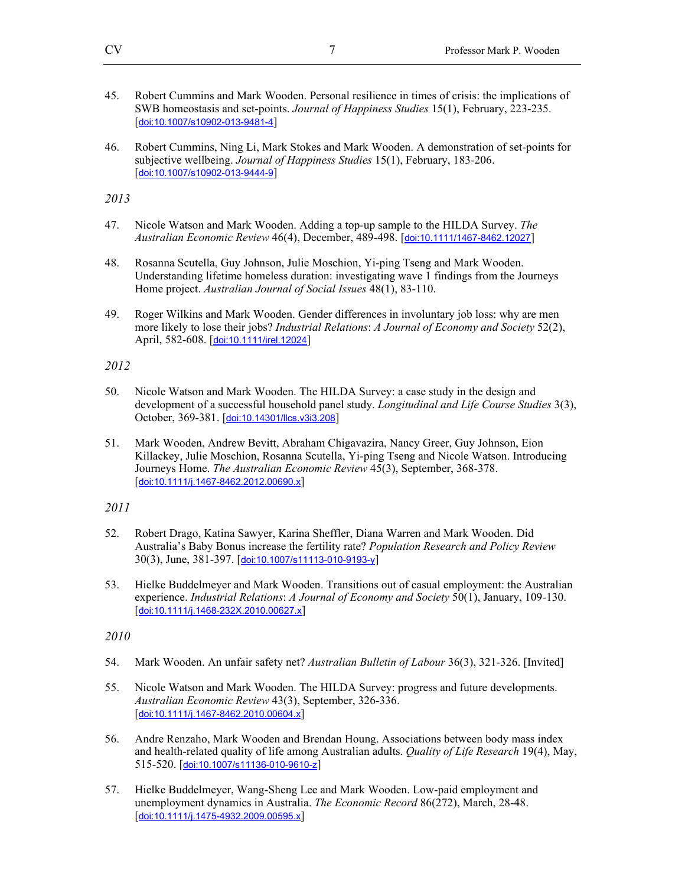- 45. Robert Cummins and Mark Wooden. Personal resilience in times of crisis: the implications of SWB homeostasis and set-points. *Journal of Happiness Studies* 15(1), February, 223-235. [doi:10.1007/s10902-013-9481-4]
- 46. Robert Cummins, Ning Li, Mark Stokes and Mark Wooden. A demonstration of set-points for subjective wellbeing. *Journal of Happiness Studies* 15(1), February, 183-206. [doi:10.1007/s10902-013-9444-9]

- 47. Nicole Watson and Mark Wooden. Adding a top-up sample to the HILDA Survey. *The Australian Economic Review* 46(4), December, 489-498. [doi:10.1111/1467-8462.12027]
- 48. Rosanna Scutella, Guy Johnson, Julie Moschion, Yi-ping Tseng and Mark Wooden. Understanding lifetime homeless duration: investigating wave 1 findings from the Journeys Home project. *Australian Journal of Social Issues* 48(1), 83-110.
- 49. Roger Wilkins and Mark Wooden. Gender differences in involuntary job loss: why are men more likely to lose their jobs? *Industrial Relations*: *A Journal of Economy and Society* 52(2), April, 582-608. [doi:10.1111/irel.12024]

*2012* 

- 50. Nicole Watson and Mark Wooden. The HILDA Survey: a case study in the design and development of a successful household panel study. *Longitudinal and Life Course Studies* 3(3), October, 369-381. [doi:10.14301/llcs.v3i3.208]
- 51. Mark Wooden, Andrew Bevitt, Abraham Chigavazira, Nancy Greer, Guy Johnson, Eion Killackey, Julie Moschion, Rosanna Scutella, Yi-ping Tseng and Nicole Watson. Introducing Journeys Home. *The Australian Economic Review* 45(3), September, 368-378. [doi:10.1111/j.1467-8462.2012.00690.x]

*2011* 

- 52. Robert Drago, Katina Sawyer, Karina Sheffler, Diana Warren and Mark Wooden. Did Australia's Baby Bonus increase the fertility rate? *Population Research and Policy Review* 30(3), June, 381-397. [doi:10.1007/s11113-010-9193-y]
- 53. Hielke Buddelmeyer and Mark Wooden. Transitions out of casual employment: the Australian experience. *Industrial Relations*: *A Journal of Economy and Society* 50(1), January, 109-130. [doi:10.1111/j.1468-232X.2010.00627.x]

- 54. Mark Wooden. An unfair safety net? *Australian Bulletin of Labour* 36(3), 321-326. [Invited]
- 55. Nicole Watson and Mark Wooden. The HILDA Survey: progress and future developments. *Australian Economic Review* 43(3), September, 326-336. [doi:10.1111/j.1467-8462.2010.00604.x]
- 56. Andre Renzaho, Mark Wooden and Brendan Houng. Associations between body mass index and health-related quality of life among Australian adults. *Quality of Life Research* 19(4), May, 515-520. [doi:10.1007/s11136-010-9610-z]
- 57. Hielke Buddelmeyer, Wang-Sheng Lee and Mark Wooden. Low-paid employment and unemployment dynamics in Australia. *The Economic Record* 86(272), March, 28-48. [doi:10.1111/j.1475-4932.2009.00595.x]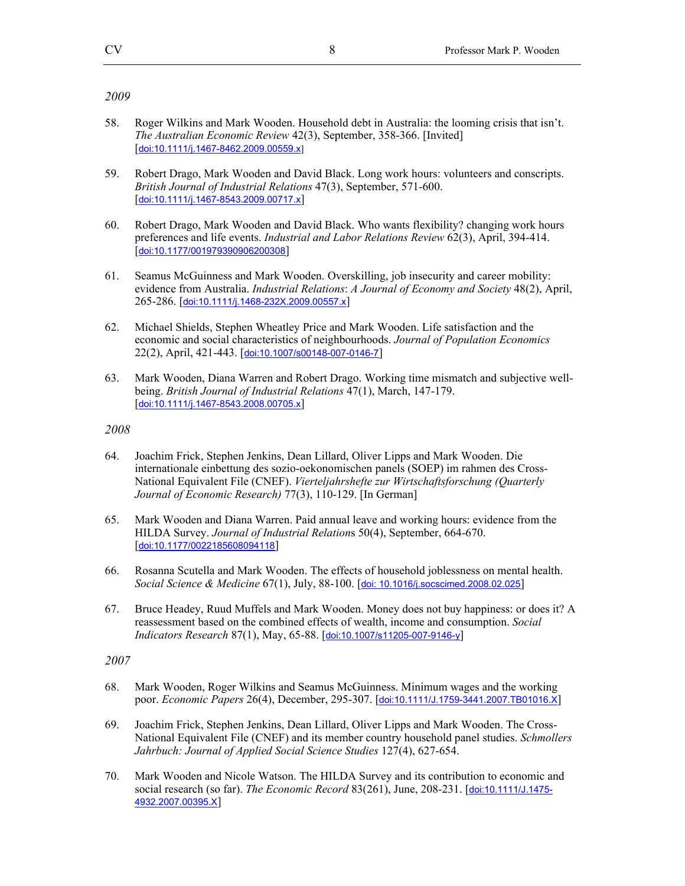- 58. Roger Wilkins and Mark Wooden. Household debt in Australia: the looming crisis that isn't. *The Australian Economic Review* 42(3), September, 358-366. [Invited] [doi:10.1111/j.1467-8462.2009.00559.x]
- 59. Robert Drago, Mark Wooden and David Black. Long work hours: volunteers and conscripts. *British Journal of Industrial Relations* 47(3), September, 571-600. [doi:10.1111/j.1467-8543.2009.00717.x]
- 60. Robert Drago, Mark Wooden and David Black. Who wants flexibility? changing work hours preferences and life events. *Industrial and Labor Relations Review* 62(3), April, 394-414. [doi:10.1177/001979390906200308]
- 61. Seamus McGuinness and Mark Wooden. Overskilling, job insecurity and career mobility: evidence from Australia. *Industrial Relations*: *A Journal of Economy and Society* 48(2), April, 265-286. [doi:10.1111/j.1468-232X.2009.00557.x]
- 62. Michael Shields, Stephen Wheatley Price and Mark Wooden. Life satisfaction and the economic and social characteristics of neighbourhoods. *Journal of Population Economics* 22(2), April, 421-443. [doi:10.1007/s00148-007-0146-7]
- 63. Mark Wooden, Diana Warren and Robert Drago. Working time mismatch and subjective wellbeing. *British Journal of Industrial Relations* 47(1), March, 147-179. [doi:10.1111/j.1467-8543.2008.00705.x]

#### *2008*

- 64. Joachim Frick, Stephen Jenkins, Dean Lillard, Oliver Lipps and Mark Wooden. Die internationale einbettung des sozio-oekonomischen panels (SOEP) im rahmen des Cross-National Equivalent File (CNEF). *Vierteljahrshefte zur Wirtschaftsforschung (Quarterly Journal of Economic Research)* 77(3), 110-129. [In German]
- 65. Mark Wooden and Diana Warren. Paid annual leave and working hours: evidence from the HILDA Survey. *Journal of Industrial Relation*s 50(4), September, 664-670. [doi:10.1177/0022185608094118]
- 66. Rosanna Scutella and Mark Wooden. The effects of household joblessness on mental health. *Social Science & Medicine* 67(1), July, 88-100. [doi: 10.1016/j.socscimed.2008.02.025]
- 67. Bruce Headey, Ruud Muffels and Mark Wooden. Money does not buy happiness: or does it? A reassessment based on the combined effects of wealth, income and consumption. *Social Indicators Research* 87(1), May, 65-88. [doi:10.1007/s11205-007-9146-y]

- 68. Mark Wooden, Roger Wilkins and Seamus McGuinness. Minimum wages and the working poor. *Economic Papers* 26(4), December, 295-307. [doi:10.1111/J.1759-3441.2007.TB01016.X]
- 69. Joachim Frick, Stephen Jenkins, Dean Lillard, Oliver Lipps and Mark Wooden. The Cross-National Equivalent File (CNEF) and its member country household panel studies. *Schmollers Jahrbuch: Journal of Applied Social Science Studies* 127(4), 627-654.
- 70. Mark Wooden and Nicole Watson. The HILDA Survey and its contribution to economic and social research (so far). *The Economic Record* 83(261), June, 208-231. [doi:10.1111/J.1475- 4932.2007.00395.X]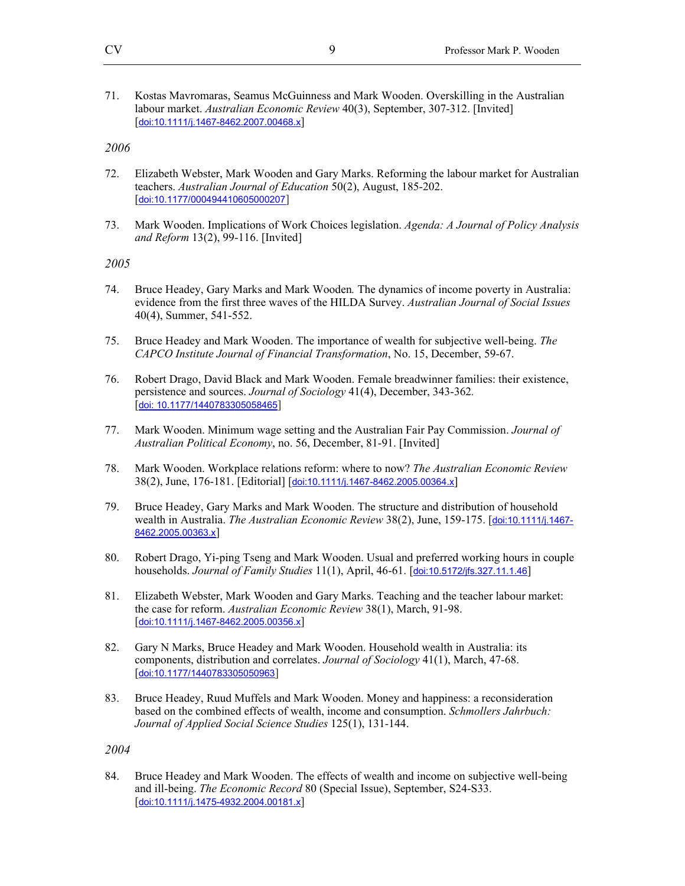71. Kostas Mavromaras, Seamus McGuinness and Mark Wooden. Overskilling in the Australian labour market. *Australian Economic Review* 40(3), September, 307-312. [Invited] [doi:10.1111/j.1467-8462.2007.00468.x]

## *2006*

- 72. Elizabeth Webster, Mark Wooden and Gary Marks. Reforming the labour market for Australian teachers. *Australian Journal of Education* 50(2), August, 185-202. [doi:10.1177/000494410605000207]
- 73. Mark Wooden. Implications of Work Choices legislation. *Agenda: A Journal of Policy Analysis and Reform* 13(2), 99-116. [Invited]

#### *2005*

- 74. Bruce Headey, Gary Marks and Mark Wooden*.* The dynamics of income poverty in Australia: evidence from the first three waves of the HILDA Survey. *Australian Journal of Social Issues* 40(4), Summer, 541-552.
- 75. Bruce Headey and Mark Wooden. The importance of wealth for subjective well-being. *The CAPCO Institute Journal of Financial Transformation*, No. 15, December, 59-67.
- 76. Robert Drago, David Black and Mark Wooden. Female breadwinner families: their existence, persistence and sources. *Journal of Sociology* 41(4), December, 343-362*.*  [doi: 10.1177/1440783305058465]
- 77. Mark Wooden. Minimum wage setting and the Australian Fair Pay Commission. *Journal of Australian Political Economy*, no. 56, December, 81-91. [Invited]
- 78. Mark Wooden. Workplace relations reform: where to now? *The Australian Economic Review* 38(2), June, 176-181. [Editorial] [doi:10.1111/j.1467-8462.2005.00364.x]
- 79. Bruce Headey, Gary Marks and Mark Wooden. The structure and distribution of household wealth in Australia. *The Australian Economic Review* 38(2), June, 159-175. [doi:10.1111/j.1467- 8462.2005.00363.x]
- 80. Robert Drago, Yi-ping Tseng and Mark Wooden. Usual and preferred working hours in couple households. *Journal of Family Studies* 11(1), April, 46-61. [doi:10.5172/jfs.327.11.1.46]
- 81. Elizabeth Webster, Mark Wooden and Gary Marks. Teaching and the teacher labour market: the case for reform. *Australian Economic Review* 38(1), March, 91-98. [doi:10.1111/j.1467-8462.2005.00356.x]
- 82. Gary N Marks, Bruce Headey and Mark Wooden. Household wealth in Australia: its components, distribution and correlates. *Journal of Sociology* 41(1), March, 47-68. [doi:10.1177/1440783305050963]
- 83. Bruce Headey, Ruud Muffels and Mark Wooden. Money and happiness: a reconsideration based on the combined effects of wealth, income and consumption. *Schmollers Jahrbuch: Journal of Applied Social Science Studies* 125(1), 131-144.

### *2004*

84. Bruce Headey and Mark Wooden. The effects of wealth and income on subjective well-being and ill-being. *The Economic Record* 80 (Special Issue), September, S24-S33. [doi:10.1111/j.1475-4932.2004.00181.x]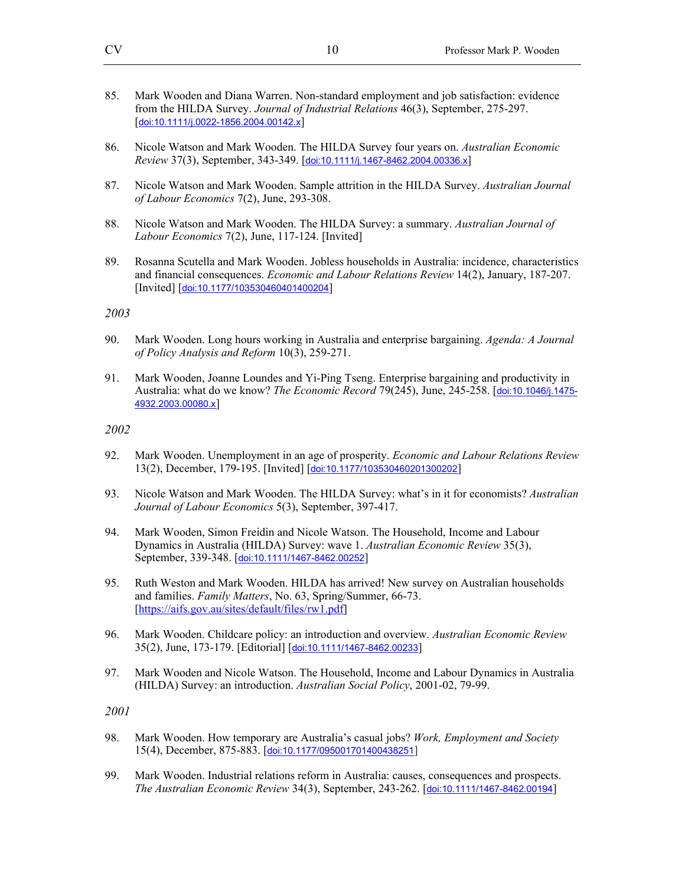- 85. Mark Wooden and Diana Warren. Non-standard employment and job satisfaction: evidence from the HILDA Survey. *Journal of Industrial Relations* 46(3), September, 275-297. [doi:10.1111/j.0022-1856.2004.00142.x]
- 86. Nicole Watson and Mark Wooden. The HILDA Survey four years on. *Australian Economic Review* 37(3), September, 343-349. [doi:10.1111/j.1467-8462.2004.00336.x]
- 87. Nicole Watson and Mark Wooden. Sample attrition in the HILDA Survey. *Australian Journal of Labour Economics* 7(2), June, 293-308.
- 88. Nicole Watson and Mark Wooden. The HILDA Survey: a summary. *Australian Journal of Labour Economics* 7(2), June, 117-124. [Invited]
- 89. Rosanna Scutella and Mark Wooden. Jobless households in Australia: incidence, characteristics and financial consequences. *Economic and Labour Relations Review* 14(2), January, 187-207. [Invited] [doi:10.1177/103530460401400204]

- 90. Mark Wooden. Long hours working in Australia and enterprise bargaining. *Agenda: A Journal of Policy Analysis and Reform* 10(3), 259-271.
- 91. Mark Wooden, Joanne Loundes and Yi-Ping Tseng. Enterprise bargaining and productivity in Australia: what do we know? *The Economic Record* 79(245), June, 245-258. [doi:10.1046/j.1475- 4932.2003.00080.x]

#### *2002*

- 92. Mark Wooden. Unemployment in an age of prosperity. *Economic and Labour Relations Review* 13(2), December, 179-195. [Invited] [doi:10.1177/103530460201300202]
- 93. Nicole Watson and Mark Wooden. The HILDA Survey: what's in it for economists? *Australian Journal of Labour Economics* 5(3), September, 397-417.
- 94. Mark Wooden, Simon Freidin and Nicole Watson. The Household, Income and Labour Dynamics in Australia (HILDA) Survey: wave 1. *Australian Economic Review* 35(3), September, 339-348. [doi:10.1111/1467-8462.00252]
- 95. Ruth Weston and Mark Wooden. HILDA has arrived! New survey on Australian households and families. *Family Matters*, No. 63, Spring/Summer, 66-73. [https://aifs.gov.au/sites/default/files/rw1.pdf]
- 96. Mark Wooden. Childcare policy: an introduction and overview. *Australian Economic Review* 35(2), June, 173-179. [Editorial] [doi:10.1111/1467-8462.00233]
- 97. Mark Wooden and Nicole Watson. The Household, Income and Labour Dynamics in Australia (HILDA) Survey: an introduction. *Australian Social Policy*, 2001-02, 79-99.

- 98. Mark Wooden. How temporary are Australia's casual jobs? *Work, Employment and Society*  15(4), December, 875-883. [doi:10.1177/095001701400438251]
- 99. Mark Wooden. Industrial relations reform in Australia: causes, consequences and prospects. *The Australian Economic Review* 34(3), September, 243-262. [doi:10.1111/1467-8462.00194]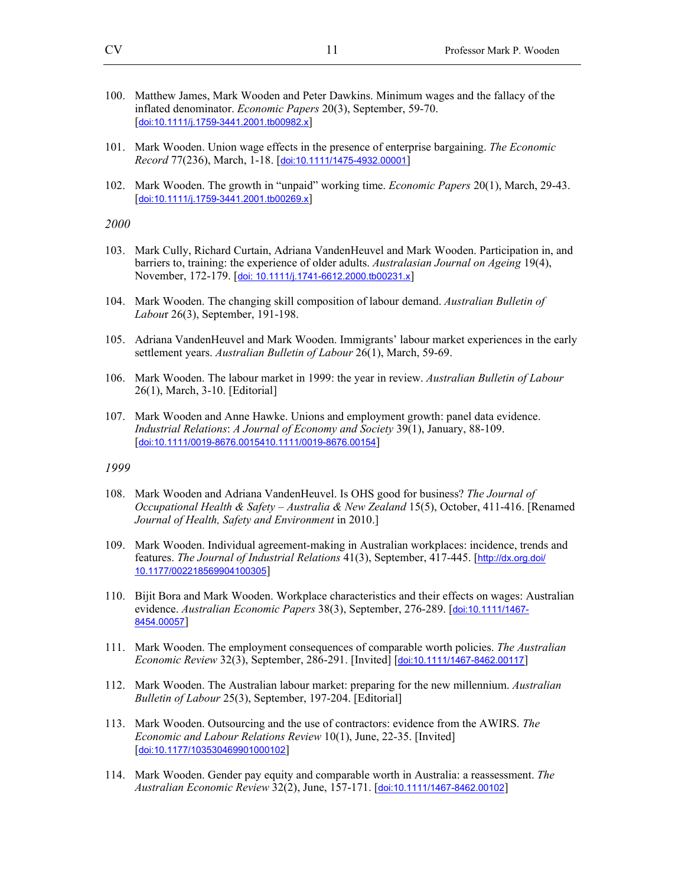- 100. Matthew James, Mark Wooden and Peter Dawkins. Minimum wages and the fallacy of the inflated denominator. *Economic Papers* 20(3), September, 59-70. [doi:10.1111/j.1759-3441.2001.tb00982.x]
- 101. Mark Wooden. Union wage effects in the presence of enterprise bargaining. *The Economic Record* 77(236), March, 1-18. [doi:10.1111/1475-4932.00001]
- 102. Mark Wooden. The growth in "unpaid" working time. *Economic Papers* 20(1), March, 29-43. [doi:10.1111/j.1759-3441.2001.tb00269.x]

- 103. Mark Cully, Richard Curtain, Adriana VandenHeuvel and Mark Wooden. Participation in, and barriers to, training: the experience of older adults. *Australasian Journal on Ageing* 19(4), November, 172-179. [doi: 10.1111/j.1741-6612.2000.tb00231.x]
- 104. Mark Wooden. The changing skill composition of labour demand. *Australian Bulletin of Labou*r 26(3), September, 191-198.
- 105. Adriana VandenHeuvel and Mark Wooden. Immigrants' labour market experiences in the early settlement years. *Australian Bulletin of Labour* 26(1), March, 59-69.
- 106. Mark Wooden. The labour market in 1999: the year in review. *Australian Bulletin of Labour* 26(1), March, 3-10. [Editorial]
- 107. Mark Wooden and Anne Hawke. Unions and employment growth: panel data evidence. *Industrial Relations*: *A Journal of Economy and Society* 39(1), January, 88-109. [doi:10.1111/0019-8676.0015410.1111/0019-8676.00154]

- 108. Mark Wooden and Adriana VandenHeuvel. Is OHS good for business? *The Journal of Occupational Health & Safety – Australia & New Zealand* 15(5), October, 411-416. [Renamed *Journal of Health, Safety and Environment* in 2010.]
- 109. Mark Wooden. Individual agreement-making in Australian workplaces: incidence, trends and features. *The Journal of Industrial Relations* 41(3), September, 417-445. [http://dx.org.doi/ 10.1177/002218569904100305]
- 110. Bijit Bora and Mark Wooden. Workplace characteristics and their effects on wages: Australian evidence. *Australian Economic Papers* 38(3), September, 276-289. [doi:10.1111/1467- 8454.00057]
- 111. Mark Wooden. The employment consequences of comparable worth policies. *The Australian Economic Review* 32(3), September, 286-291. [Invited] [doi:10.1111/1467-8462.00117]
- 112. Mark Wooden. The Australian labour market: preparing for the new millennium. *Australian Bulletin of Labour* 25(3), September, 197-204. [Editorial]
- 113. Mark Wooden. Outsourcing and the use of contractors: evidence from the AWIRS. *The Economic and Labour Relations Review* 10(1), June, 22-35. [Invited] [doi:10.1177/103530469901000102]
- 114. Mark Wooden. Gender pay equity and comparable worth in Australia: a reassessment. *The Australian Economic Review* 32(2), June, 157-171. [doi:10.1111/1467-8462.00102]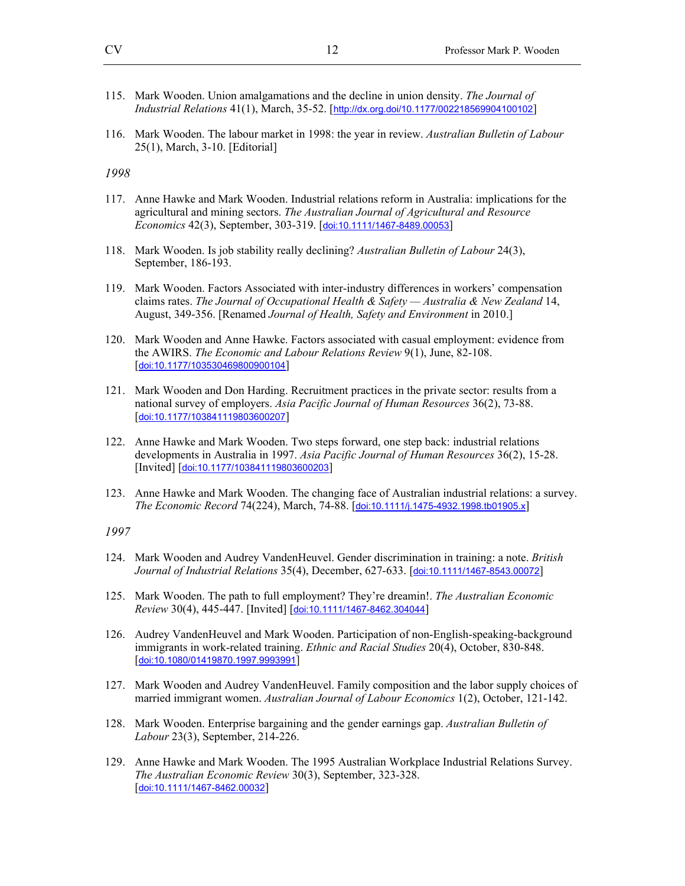- 115. Mark Wooden. Union amalgamations and the decline in union density. *The Journal of Industrial Relations* 41(1), March, 35-52. [http://dx.org.doi/10.1177/002218569904100102]
- 116. Mark Wooden. The labour market in 1998: the year in review. *Australian Bulletin of Labour* 25(1), March, 3-10. [Editorial]

- 117. Anne Hawke and Mark Wooden. Industrial relations reform in Australia: implications for the agricultural and mining sectors. *The Australian Journal of Agricultural and Resource Economics* 42(3), September, 303-319. [doi:10.1111/1467-8489.00053]
- 118. Mark Wooden. Is job stability really declining? *Australian Bulletin of Labour* 24(3), September, 186-193.
- 119. Mark Wooden. Factors Associated with inter-industry differences in workers' compensation claims rates. *The Journal of Occupational Health & Safety — Australia & New Zealand* 14, August, 349-356. [Renamed *Journal of Health, Safety and Environment* in 2010.]
- 120. Mark Wooden and Anne Hawke. Factors associated with casual employment: evidence from the AWIRS. *The Economic and Labour Relations Review* 9(1), June, 82-108. [doi:10.1177/103530469800900104]
- 121. Mark Wooden and Don Harding. Recruitment practices in the private sector: results from a national survey of employers. *Asia Pacific Journal of Human Resources* 36(2), 73-88. [doi:10.1177/103841119803600207]
- 122. Anne Hawke and Mark Wooden. Two steps forward, one step back: industrial relations developments in Australia in 1997. *Asia Pacific Journal of Human Resources* 36(2), 15-28. [Invited] [doi:10.1177/103841119803600203]
- 123. Anne Hawke and Mark Wooden. The changing face of Australian industrial relations: a survey. *The Economic Record* 74(224), March, 74-88. [doi:10.1111/j.1475-4932.1998.tb01905.x]

- 124. Mark Wooden and Audrey VandenHeuvel. Gender discrimination in training: a note. *British Journal of Industrial Relations* 35(4), December, 627-633. [doi:10.1111/1467-8543.00072]
- 125. Mark Wooden. The path to full employment? They're dreamin!. *The Australian Economic Review* 30(4), 445-447. [Invited] [doi:10.1111/1467-8462.304044]
- 126. Audrey VandenHeuvel and Mark Wooden. Participation of non-English-speaking-background immigrants in work-related training. *Ethnic and Racial Studies* 20(4), October, 830-848. [doi:10.1080/01419870.1997.9993991]
- 127. Mark Wooden and Audrey VandenHeuvel. Family composition and the labor supply choices of married immigrant women. *Australian Journal of Labour Economics* 1(2), October, 121-142.
- 128. Mark Wooden. Enterprise bargaining and the gender earnings gap. *Australian Bulletin of Labour* 23(3), September, 214-226.
- 129. Anne Hawke and Mark Wooden. The 1995 Australian Workplace Industrial Relations Survey. *The Australian Economic Review* 30(3), September, 323-328. [doi:10.1111/1467-8462.00032]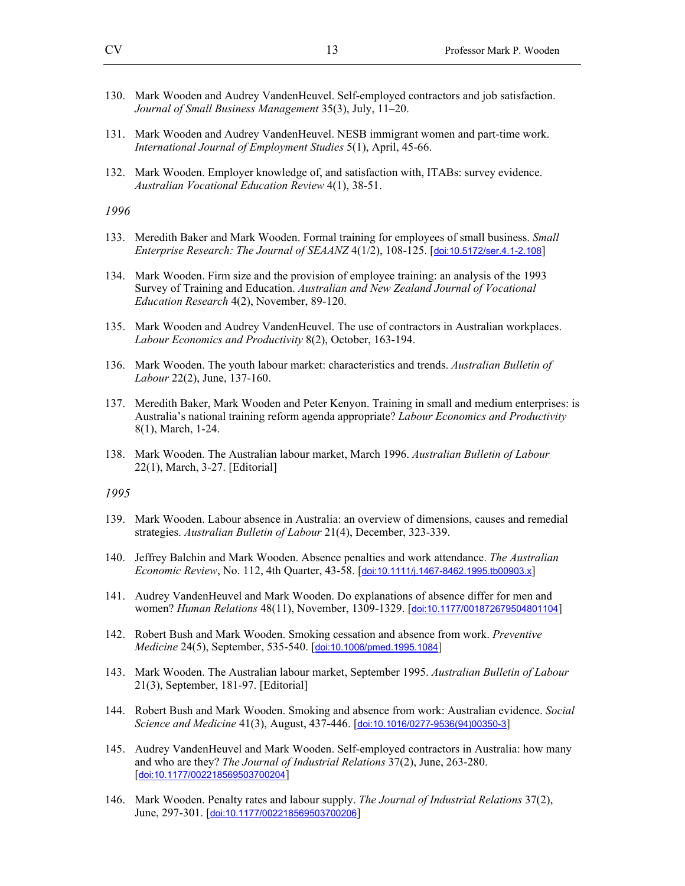- 130. Mark Wooden and Audrey VandenHeuvel. Self-employed contractors and job satisfaction. *Journal of Small Business Management* 35(3), July, 11–20.
- 131. Mark Wooden and Audrey VandenHeuvel. NESB immigrant women and part-time work. *International Journal of Employment Studies* 5(1), April, 45-66.
- 132. Mark Wooden. Employer knowledge of, and satisfaction with, ITABs: survey evidence. *Australian Vocational Education Review* 4(1), 38-51.

- 133. Meredith Baker and Mark Wooden. Formal training for employees of small business. *Small Enterprise Research: The Journal of SEAANZ* 4(1/2), 108-125. [doi:10.5172/ser.4.1-2.108]
- 134. Mark Wooden. Firm size and the provision of employee training: an analysis of the 1993 Survey of Training and Education. *Australian and New Zealand Journal of Vocational Education Research* 4(2), November, 89-120.
- 135. Mark Wooden and Audrey VandenHeuvel. The use of contractors in Australian workplaces. *Labour Economics and Productivity* 8(2), October, 163-194.
- 136. Mark Wooden. The youth labour market: characteristics and trends. *Australian Bulletin of Labour* 22(2), June, 137-160.
- 137. Meredith Baker, Mark Wooden and Peter Kenyon. Training in small and medium enterprises: is Australia's national training reform agenda appropriate? *Labour Economics and Productivity* 8(1), March, 1-24.
- 138. Mark Wooden. The Australian labour market, March 1996. *Australian Bulletin of Labour* 22(1), March, 3-27. [Editorial]

- 139. Mark Wooden. Labour absence in Australia: an overview of dimensions, causes and remedial strategies. *Australian Bulletin of Labour* 21(4), December, 323-339.
- 140. Jeffrey Balchin and Mark Wooden. Absence penalties and work attendance. *The Australian Economic Review*, No. 112, 4th Quarter, 43-58. [doi:10.1111/j.1467-8462.1995.tb00903.x]
- 141. Audrey VandenHeuvel and Mark Wooden. Do explanations of absence differ for men and women? *Human Relations* 48(11), November, 1309-1329. [doi:10.1177/001872679504801104]
- 142. Robert Bush and Mark Wooden. Smoking cessation and absence from work. *Preventive Medicine* 24(5), September, 535-540. [doi:10.1006/pmed.1995.1084]
- 143. Mark Wooden. The Australian labour market, September 1995. *Australian Bulletin of Labour* 21(3), September, 181-97. [Editorial]
- 144. Robert Bush and Mark Wooden. Smoking and absence from work: Australian evidence. *Social Science and Medicine* 41(3), August, 437-446. [doi:10.1016/0277-9536(94)00350-3]
- 145. Audrey VandenHeuvel and Mark Wooden. Self-employed contractors in Australia: how many and who are they? *The Journal of Industrial Relations* 37(2), June, 263-280. [doi:10.1177/002218569503700204]
- 146. Mark Wooden. Penalty rates and labour supply. *The Journal of Industrial Relations* 37(2), June, 297-301. [doi:10.1177/002218569503700206]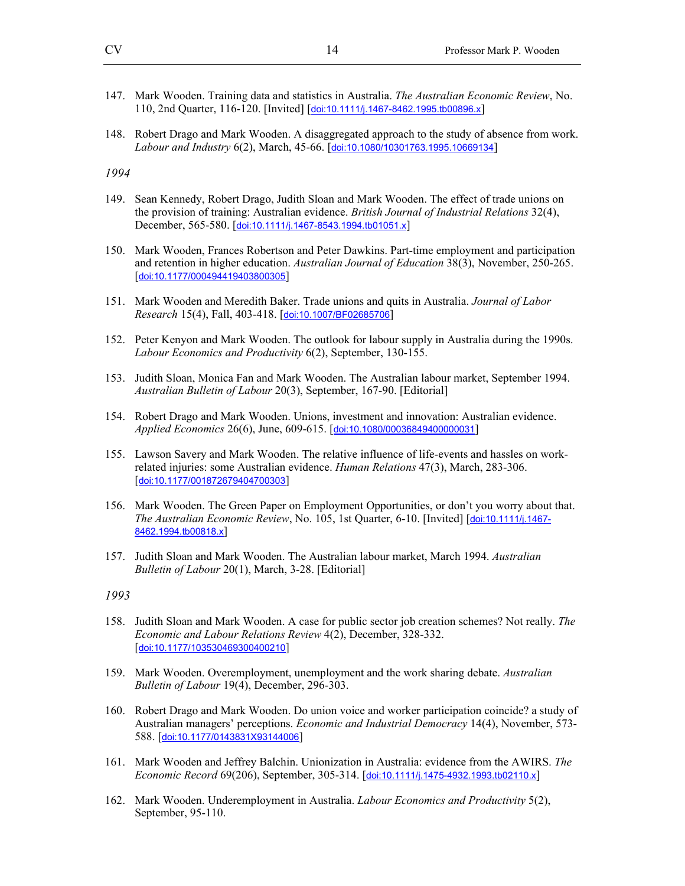- 147. Mark Wooden. Training data and statistics in Australia. *The Australian Economic Review*, No. 110, 2nd Quarter, 116-120. [Invited] [doi:10.1111/j.1467-8462.1995.tb00896.x]
- 148. Robert Drago and Mark Wooden. A disaggregated approach to the study of absence from work. *Labour and Industry* 6(2), March, 45-66. [doi:10.1080/10301763.1995.10669134]

- 149. Sean Kennedy, Robert Drago, Judith Sloan and Mark Wooden. The effect of trade unions on the provision of training: Australian evidence. *British Journal of Industrial Relations* 32(4), December, 565-580. [doi:10.1111/j.1467-8543.1994.tb01051.x]
- 150. Mark Wooden, Frances Robertson and Peter Dawkins. Part-time employment and participation and retention in higher education. *Australian Journal of Education* 38(3), November, 250-265. [doi:10.1177/000494419403800305]
- 151. Mark Wooden and Meredith Baker. Trade unions and quits in Australia. *Journal of Labor Research* 15(4), Fall, 403-418. [doi:10.1007/BF02685706]
- 152. Peter Kenyon and Mark Wooden. The outlook for labour supply in Australia during the 1990s. *Labour Economics and Productivity* 6(2), September, 130-155.
- 153. Judith Sloan, Monica Fan and Mark Wooden. The Australian labour market, September 1994. *Australian Bulletin of Labour* 20(3), September, 167-90. [Editorial]
- 154. Robert Drago and Mark Wooden. Unions, investment and innovation: Australian evidence. *Applied Economics* 26(6), June, 609-615. [doi:10.1080/00036849400000031]
- 155. Lawson Savery and Mark Wooden. The relative influence of life-events and hassles on workrelated injuries: some Australian evidence. *Human Relations* 47(3), March, 283-306. [doi:10.1177/001872679404700303]
- 156. Mark Wooden. The Green Paper on Employment Opportunities, or don't you worry about that. *The Australian Economic Review*, No. 105, 1st Quarter, 6-10. [Invited] [doi:10.1111/j.1467-8462.1994.tb00818.x]
- 157. Judith Sloan and Mark Wooden. The Australian labour market, March 1994. *Australian Bulletin of Labour* 20(1), March, 3-28. [Editorial]

- 158. Judith Sloan and Mark Wooden. A case for public sector job creation schemes? Not really. *The Economic and Labour Relations Review* 4(2), December, 328-332. [doi:10.1177/103530469300400210]
- 159. Mark Wooden. Overemployment, unemployment and the work sharing debate. *Australian Bulletin of Labour* 19(4), December, 296-303.
- 160. Robert Drago and Mark Wooden. Do union voice and worker participation coincide? a study of Australian managers' perceptions. *Economic and Industrial Democracy* 14(4), November, 573- 588. [doi:10.1177/0143831X93144006]
- 161. Mark Wooden and Jeffrey Balchin. Unionization in Australia: evidence from the AWIRS. *The Economic Record* 69(206), September, 305-314. [doi:10.1111/j.1475-4932.1993.tb02110.x]
- 162. Mark Wooden. Underemployment in Australia. *Labour Economics and Productivity* 5(2), September, 95-110.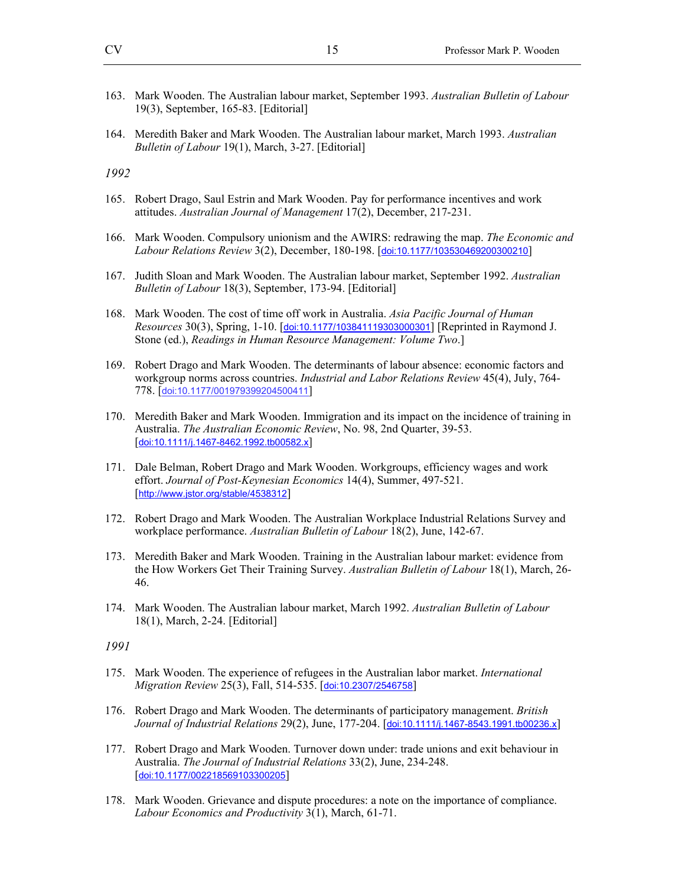- 163. Mark Wooden. The Australian labour market, September 1993. *Australian Bulletin of Labour* 19(3), September, 165-83. [Editorial]
- 164. Meredith Baker and Mark Wooden. The Australian labour market, March 1993. *Australian Bulletin of Labour* 19(1), March, 3-27. [Editorial]

- 165. Robert Drago, Saul Estrin and Mark Wooden. Pay for performance incentives and work attitudes. *Australian Journal of Management* 17(2), December, 217-231.
- 166. Mark Wooden. Compulsory unionism and the AWIRS: redrawing the map. *The Economic and Labour Relations Review* 3(2), December, 180-198. [doi:10.1177/103530469200300210]
- 167. Judith Sloan and Mark Wooden. The Australian labour market, September 1992. *Australian Bulletin of Labour* 18(3), September, 173-94. [Editorial]
- 168. Mark Wooden. The cost of time off work in Australia. *Asia Pacific Journal of Human Resources* 30(3), Spring, 1-10. [doi:10.1177/103841119303000301] [Reprinted in Raymond J. Stone (ed.), *Readings in Human Resource Management: Volume Two*.]
- 169. Robert Drago and Mark Wooden. The determinants of labour absence: economic factors and workgroup norms across countries. *Industrial and Labor Relations Review* 45(4), July, 764- 778. [doi:10.1177/001979399204500411]
- 170. Meredith Baker and Mark Wooden. Immigration and its impact on the incidence of training in Australia. *The Australian Economic Review*, No. 98, 2nd Quarter, 39-53. [doi:10.1111/j.1467-8462.1992.tb00582.x]
- 171. Dale Belman, Robert Drago and Mark Wooden. Workgroups, efficiency wages and work effort. *Journal of Post-Keynesian Economics* 14(4), Summer, 497-521. [http://www.jstor.org/stable/4538312]
- 172. Robert Drago and Mark Wooden. The Australian Workplace Industrial Relations Survey and workplace performance. *Australian Bulletin of Labour* 18(2), June, 142-67.
- 173. Meredith Baker and Mark Wooden. Training in the Australian labour market: evidence from the How Workers Get Their Training Survey. *Australian Bulletin of Labour* 18(1), March, 26- 46.
- 174. Mark Wooden. The Australian labour market, March 1992. *Australian Bulletin of Labour* 18(1), March, 2-24. [Editorial]

- 175. Mark Wooden. The experience of refugees in the Australian labor market. *International Migration Review* 25(3), Fall, 514-535. [doi:10.2307/2546758]
- 176. Robert Drago and Mark Wooden. The determinants of participatory management. *British Journal of Industrial Relations* 29(2), June, 177-204. [doi:10.1111/j.1467-8543.1991.tb00236.x]
- 177. Robert Drago and Mark Wooden. Turnover down under: trade unions and exit behaviour in Australia. *The Journal of Industrial Relations* 33(2), June, 234-248. [doi:10.1177/002218569103300205]
- 178. Mark Wooden. Grievance and dispute procedures: a note on the importance of compliance. *Labour Economics and Productivity* 3(1), March, 61-71.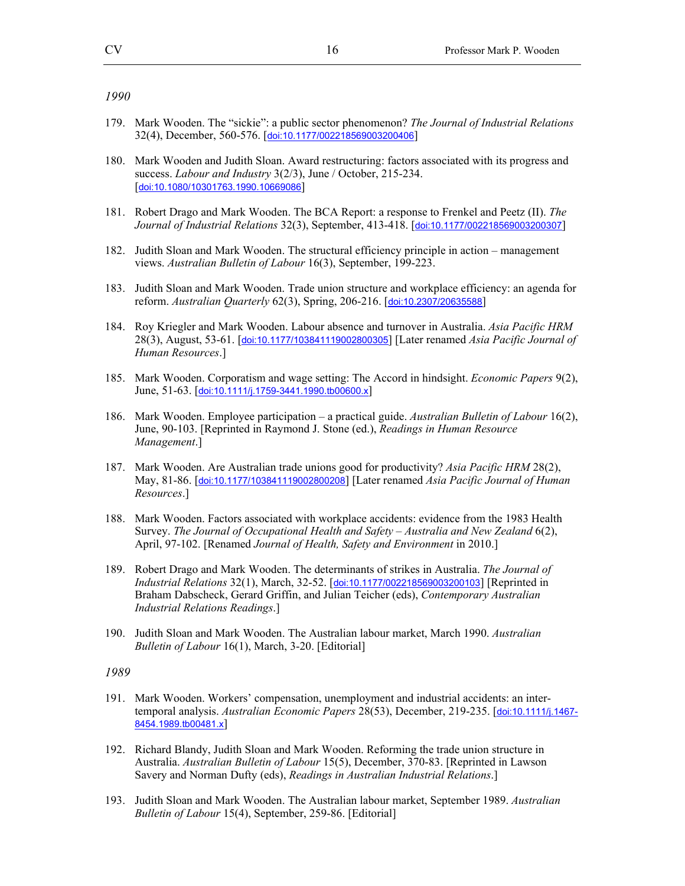- 179. Mark Wooden. The "sickie": a public sector phenomenon? *The Journal of Industrial Relations* 32(4), December, 560-576. [doi:10.1177/002218569003200406]
- 180. Mark Wooden and Judith Sloan. Award restructuring: factors associated with its progress and success. *Labour and Industry* 3(2/3), June / October, 215-234. [doi:10.1080/10301763.1990.10669086]
- 181. Robert Drago and Mark Wooden. The BCA Report: a response to Frenkel and Peetz (II). *The Journal of Industrial Relations* 32(3), September, 413-418. [doi:10.1177/002218569003200307]
- 182. Judith Sloan and Mark Wooden. The structural efficiency principle in action management views. *Australian Bulletin of Labour* 16(3), September, 199-223.
- 183. Judith Sloan and Mark Wooden. Trade union structure and workplace efficiency: an agenda for reform. *Australian Quarterly* 62(3), Spring, 206-216. [doi:10.2307/20635588]
- 184. Roy Kriegler and Mark Wooden. Labour absence and turnover in Australia. *Asia Pacific HRM* 28(3), August, 53-61. [doi:10.1177/103841119002800305] [Later renamed *Asia Pacific Journal of Human Resources*.]
- 185. Mark Wooden. Corporatism and wage setting: The Accord in hindsight. *Economic Papers* 9(2), June, 51-63. [doi:10.1111/j.1759-3441.1990.tb00600.x]
- 186. Mark Wooden. Employee participation a practical guide. *Australian Bulletin of Labour* 16(2), June, 90-103. [Reprinted in Raymond J. Stone (ed.), *Readings in Human Resource Management*.]
- 187. Mark Wooden. Are Australian trade unions good for productivity? *Asia Pacific HRM* 28(2), May, 81-86. [doi:10.1177/103841119002800208] [Later renamed *Asia Pacific Journal of Human Resources*.]
- 188. Mark Wooden. Factors associated with workplace accidents: evidence from the 1983 Health Survey. *The Journal of Occupational Health and Safety – Australia and New Zealand* 6(2), April, 97-102. [Renamed *Journal of Health, Safety and Environment* in 2010.]
- 189. Robert Drago and Mark Wooden. The determinants of strikes in Australia. *The Journal of Industrial Relations* 32(1), March, 32-52. [doi:10.1177/002218569003200103] [Reprinted in Braham Dabscheck, Gerard Griffin, and Julian Teicher (eds), *Contemporary Australian Industrial Relations Readings*.]
- 190. Judith Sloan and Mark Wooden. The Australian labour market, March 1990. *Australian Bulletin of Labour* 16(1), March, 3-20. [Editorial]

- 191. Mark Wooden. Workers' compensation, unemployment and industrial accidents: an intertemporal analysis. *Australian Economic Papers* 28(53), December, 219-235. [doi:10.1111/j.1467- 8454.1989.tb00481.x]
- 192. Richard Blandy, Judith Sloan and Mark Wooden. Reforming the trade union structure in Australia. *Australian Bulletin of Labour* 15(5), December, 370-83. [Reprinted in Lawson Savery and Norman Dufty (eds), *Readings in Australian Industrial Relations*.]
- 193. Judith Sloan and Mark Wooden. The Australian labour market, September 1989. *Australian Bulletin of Labour* 15(4), September, 259-86. [Editorial]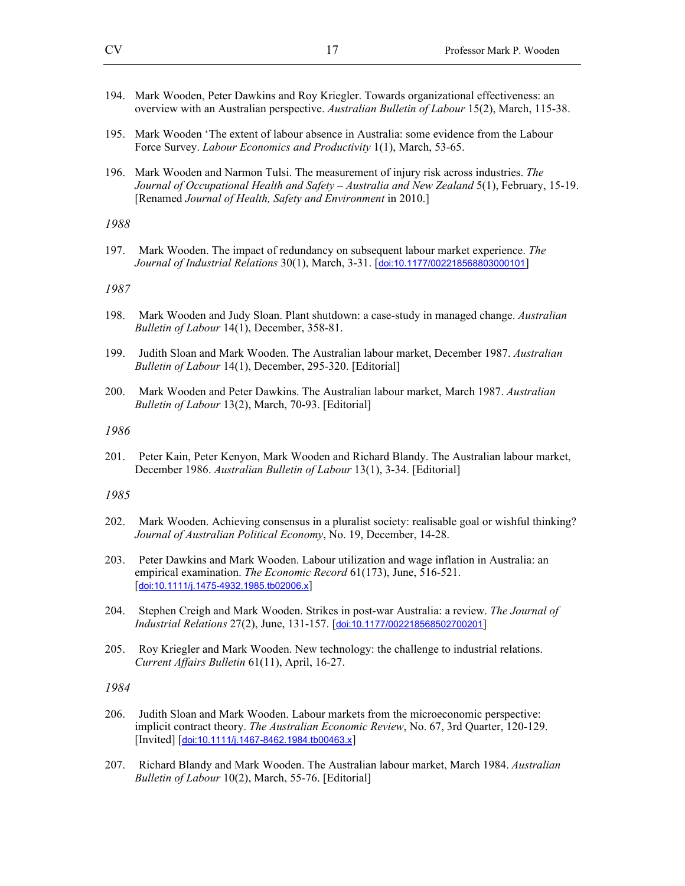- 194. Mark Wooden, Peter Dawkins and Roy Kriegler. Towards organizational effectiveness: an overview with an Australian perspective. *Australian Bulletin of Labour* 15(2), March, 115-38.
- 195. Mark Wooden 'The extent of labour absence in Australia: some evidence from the Labour Force Survey. *Labour Economics and Productivity* 1(1), March, 53-65.
- 196. Mark Wooden and Narmon Tulsi. The measurement of injury risk across industries. *The Journal of Occupational Health and Safety – Australia and New Zealand* 5(1), February, 15-19. [Renamed *Journal of Health, Safety and Environment* in 2010.]

197. Mark Wooden. The impact of redundancy on subsequent labour market experience. *The Journal of Industrial Relations* 30(1), March, 3-31. [doi:10.1177/002218568803000101]

#### *1987*

- 198. Mark Wooden and Judy Sloan. Plant shutdown: a case-study in managed change. *Australian Bulletin of Labour* 14(1), December, 358-81.
- 199. Judith Sloan and Mark Wooden. The Australian labour market, December 1987. *Australian Bulletin of Labour* 14(1), December, 295-320. [Editorial]
- 200. Mark Wooden and Peter Dawkins. The Australian labour market, March 1987. *Australian Bulletin of Labour* 13(2), March, 70-93. [Editorial]

#### *1986*

201. Peter Kain, Peter Kenyon, Mark Wooden and Richard Blandy. The Australian labour market, December 1986. *Australian Bulletin of Labour* 13(1), 3-34. [Editorial]

#### *1985*

- 202. Mark Wooden. Achieving consensus in a pluralist society: realisable goal or wishful thinking? *Journal of Australian Political Economy*, No. 19, December, 14-28.
- 203. Peter Dawkins and Mark Wooden. Labour utilization and wage inflation in Australia: an empirical examination. *The Economic Record* 61(173), June, 516-521. [doi:10.1111/j.1475-4932.1985.tb02006.x]
- 204. Stephen Creigh and Mark Wooden. Strikes in post-war Australia: a review. *The Journal of Industrial Relations* 27(2), June, 131-157. [doi:10.1177/002218568502700201]
- 205. Roy Kriegler and Mark Wooden. New technology: the challenge to industrial relations. *Current Affairs Bulletin* 61(11), April, 16-27.

- 206. Judith Sloan and Mark Wooden. Labour markets from the microeconomic perspective: implicit contract theory. *The Australian Economic Review*, No. 67, 3rd Quarter, 120-129. [Invited] [doi:10.1111/j.1467-8462.1984.tb00463.x]
- 207. Richard Blandy and Mark Wooden. The Australian labour market, March 1984. *Australian Bulletin of Labour* 10(2), March, 55-76. [Editorial]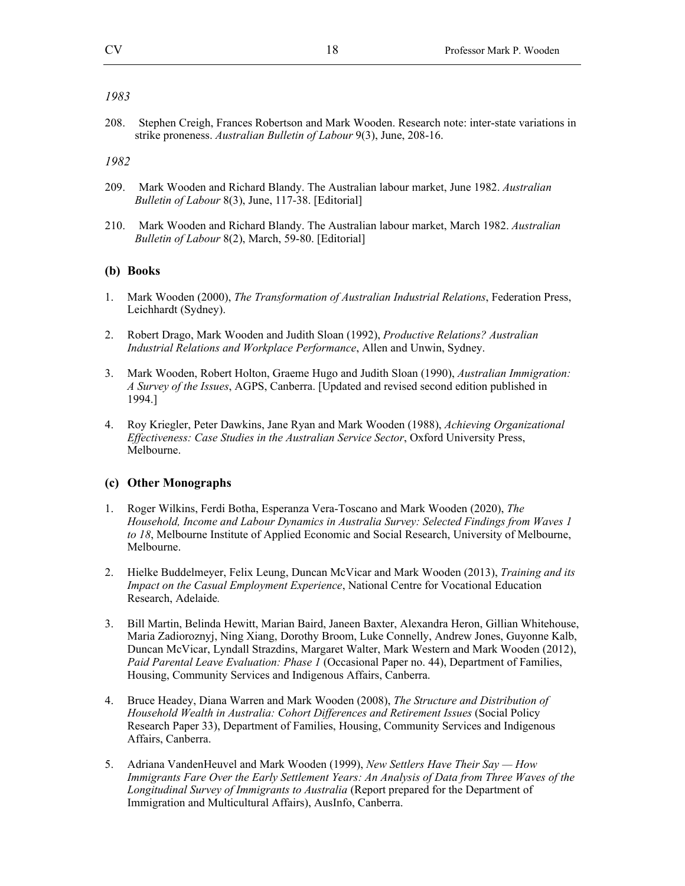208. Stephen Creigh, Frances Robertson and Mark Wooden. Research note: inter-state variations in strike proneness. *Australian Bulletin of Labour* 9(3), June, 208-16.

#### *1982*

- 209. Mark Wooden and Richard Blandy. The Australian labour market, June 1982. *Australian Bulletin of Labour* 8(3), June, 117-38. [Editorial]
- 210. Mark Wooden and Richard Blandy. The Australian labour market, March 1982. *Australian Bulletin of Labour* 8(2), March, 59-80. [Editorial]

### **(b) Books**

- 1. Mark Wooden (2000), *The Transformation of Australian Industrial Relations*, Federation Press, Leichhardt (Sydney).
- 2. Robert Drago, Mark Wooden and Judith Sloan (1992), *Productive Relations? Australian Industrial Relations and Workplace Performance*, Allen and Unwin, Sydney.
- 3. Mark Wooden, Robert Holton, Graeme Hugo and Judith Sloan (1990), *Australian Immigration: A Survey of the Issues*, AGPS, Canberra. [Updated and revised second edition published in 1994.]
- 4. Roy Kriegler, Peter Dawkins, Jane Ryan and Mark Wooden (1988), *Achieving Organizational Effectiveness: Case Studies in the Australian Service Sector*, Oxford University Press, Melbourne.

### **(c) Other Monographs**

- 1. Roger Wilkins, Ferdi Botha, Esperanza Vera-Toscano and Mark Wooden (2020), *The Household, Income and Labour Dynamics in Australia Survey: Selected Findings from Waves 1 to 18*, Melbourne Institute of Applied Economic and Social Research, University of Melbourne, Melbourne.
- 2. Hielke Buddelmeyer, Felix Leung, Duncan McVicar and Mark Wooden (2013), *Training and its Impact on the Casual Employment Experience*, National Centre for Vocational Education Research, Adelaide*.*
- 3. Bill Martin, Belinda Hewitt, Marian Baird, Janeen Baxter, Alexandra Heron, Gillian Whitehouse, Maria Zadioroznyj, Ning Xiang, Dorothy Broom, Luke Connelly, Andrew Jones, Guyonne Kalb, Duncan McVicar, Lyndall Strazdins, Margaret Walter, Mark Western and Mark Wooden (2012), *Paid Parental Leave Evaluation: Phase 1* (Occasional Paper no. 44), Department of Families, Housing, Community Services and Indigenous Affairs, Canberra.
- 4. Bruce Headey, Diana Warren and Mark Wooden (2008), *The Structure and Distribution of Household Wealth in Australia: Cohort Differences and Retirement Issues* (Social Policy Research Paper 33), Department of Families, Housing, Community Services and Indigenous Affairs, Canberra.
- 5. Adriana VandenHeuvel and Mark Wooden (1999), *New Settlers Have Their Say How Immigrants Fare Over the Early Settlement Years: An Analysis of Data from Three Waves of the Longitudinal Survey of Immigrants to Australia* (Report prepared for the Department of Immigration and Multicultural Affairs), AusInfo, Canberra.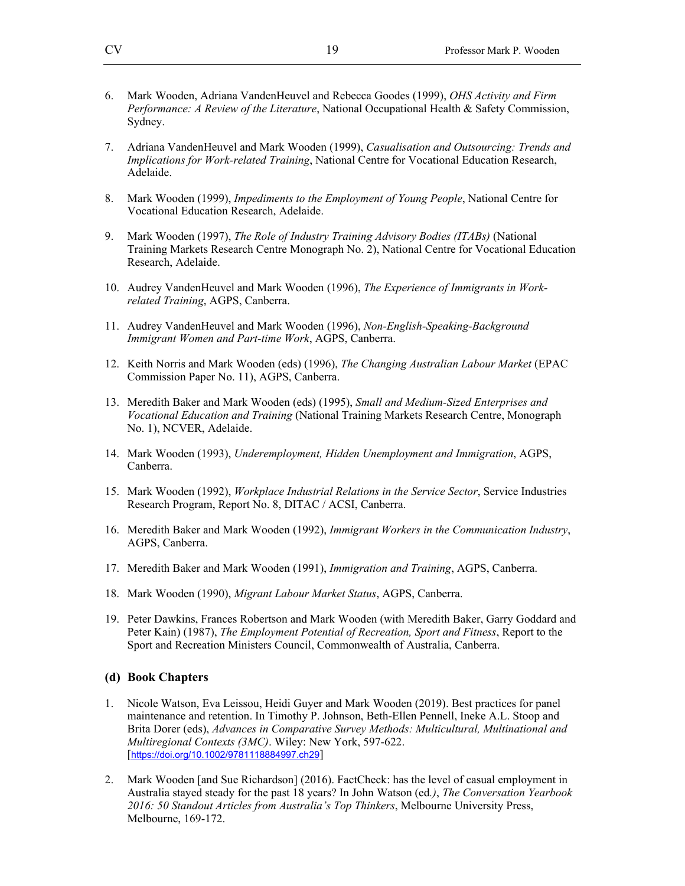- 6. Mark Wooden, Adriana VandenHeuvel and Rebecca Goodes (1999), *OHS Activity and Firm Performance: A Review of the Literature*, National Occupational Health & Safety Commission, Sydney.
- 7. Adriana VandenHeuvel and Mark Wooden (1999), *Casualisation and Outsourcing: Trends and Implications for Work-related Training*, National Centre for Vocational Education Research, Adelaide.
- 8. Mark Wooden (1999), *Impediments to the Employment of Young People*, National Centre for Vocational Education Research, Adelaide.
- 9. Mark Wooden (1997), *The Role of Industry Training Advisory Bodies (ITABs)* (National Training Markets Research Centre Monograph No. 2), National Centre for Vocational Education Research, Adelaide.
- 10. Audrey VandenHeuvel and Mark Wooden (1996), *The Experience of Immigrants in Workrelated Training*, AGPS, Canberra.
- 11. Audrey VandenHeuvel and Mark Wooden (1996), *Non-English-Speaking-Background Immigrant Women and Part-time Work*, AGPS, Canberra.
- 12. Keith Norris and Mark Wooden (eds) (1996), *The Changing Australian Labour Market* (EPAC Commission Paper No. 11), AGPS, Canberra.
- 13. Meredith Baker and Mark Wooden (eds) (1995), *Small and Medium-Sized Enterprises and Vocational Education and Training* (National Training Markets Research Centre, Monograph No. 1), NCVER, Adelaide.
- 14. Mark Wooden (1993), *Underemployment, Hidden Unemployment and Immigration*, AGPS, Canberra.
- 15. Mark Wooden (1992), *Workplace Industrial Relations in the Service Sector*, Service Industries Research Program, Report No. 8, DITAC / ACSI, Canberra.
- 16. Meredith Baker and Mark Wooden (1992), *Immigrant Workers in the Communication Industry*, AGPS, Canberra.
- 17. Meredith Baker and Mark Wooden (1991), *Immigration and Training*, AGPS, Canberra.
- 18. Mark Wooden (1990), *Migrant Labour Market Status*, AGPS, Canberra.
- 19. Peter Dawkins, Frances Robertson and Mark Wooden (with Meredith Baker, Garry Goddard and Peter Kain) (1987), *The Employment Potential of Recreation, Sport and Fitness*, Report to the Sport and Recreation Ministers Council, Commonwealth of Australia, Canberra.

#### **(d) Book Chapters**

- 1. Nicole Watson, Eva Leissou, Heidi Guyer and Mark Wooden (2019). Best practices for panel maintenance and retention. In Timothy P. Johnson, Beth-Ellen Pennell, Ineke A.L. Stoop and Brita Dorer (eds), *Advances in Comparative Survey Methods: Multicultural, Multinational and Multiregional Contexts (3MC)*. Wiley: New York, 597-622. [https://doi.org/10.1002/9781118884997.ch29]
- 2. Mark Wooden [and Sue Richardson] (2016). FactCheck: has the level of casual employment in Australia stayed steady for the past 18 years? In John Watson (ed*.)*, *The Conversation Yearbook 2016: 50 Standout Articles from Australia's Top Thinkers*, Melbourne University Press, Melbourne, 169-172.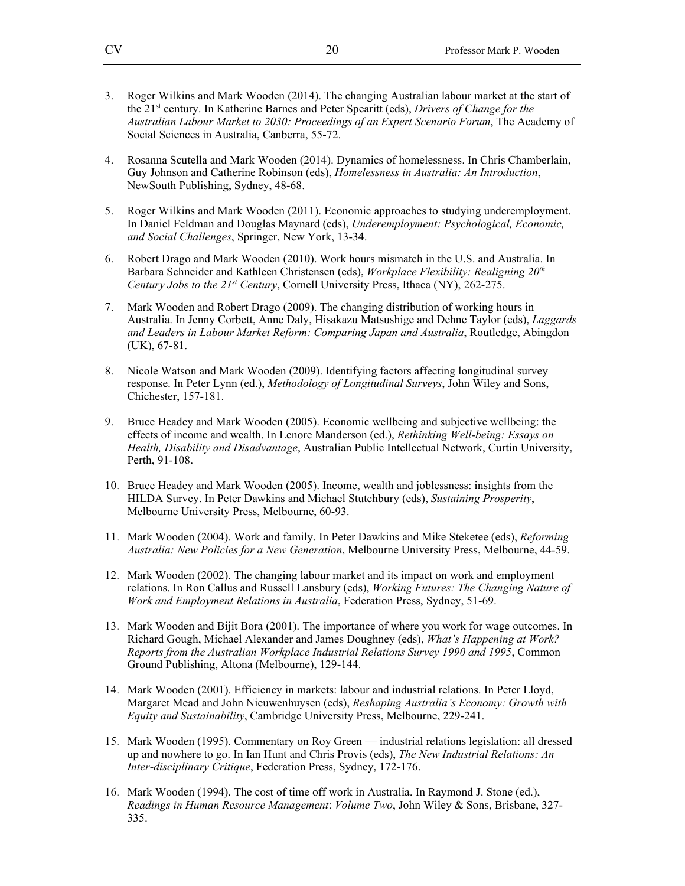- 3. Roger Wilkins and Mark Wooden (2014). The changing Australian labour market at the start of the 21st century. In Katherine Barnes and Peter Spearitt (eds), *Drivers of Change for the Australian Labour Market to 2030: Proceedings of an Expert Scenario Forum*, The Academy of Social Sciences in Australia, Canberra, 55-72.
- 4. Rosanna Scutella and Mark Wooden (2014). Dynamics of homelessness. In Chris Chamberlain, Guy Johnson and Catherine Robinson (eds), *Homelessness in Australia: An Introduction*, NewSouth Publishing, Sydney, 48-68.
- 5. Roger Wilkins and Mark Wooden (2011). Economic approaches to studying underemployment. In Daniel Feldman and Douglas Maynard (eds), *Underemployment: Psychological, Economic, and Social Challenges*, Springer, New York, 13-34.
- 6. Robert Drago and Mark Wooden (2010). Work hours mismatch in the U.S. and Australia. In Barbara Schneider and Kathleen Christensen (eds), *Workplace Flexibility: Realigning 20th Century Jobs to the 21st Century*, Cornell University Press, Ithaca (NY), 262-275.
- 7. Mark Wooden and Robert Drago (2009). The changing distribution of working hours in Australia. In Jenny Corbett, Anne Daly, Hisakazu Matsushige and Dehne Taylor (eds), *Laggards and Leaders in Labour Market Reform: Comparing Japan and Australia*, Routledge, Abingdon (UK), 67-81.
- 8. Nicole Watson and Mark Wooden (2009). Identifying factors affecting longitudinal survey response. In Peter Lynn (ed.), *Methodology of Longitudinal Surveys*, John Wiley and Sons, Chichester, 157-181.
- 9. Bruce Headey and Mark Wooden (2005). Economic wellbeing and subjective wellbeing: the effects of income and wealth. In Lenore Manderson (ed.), *Rethinking Well-being: Essays on Health, Disability and Disadvantage*, Australian Public Intellectual Network, Curtin University, Perth, 91-108.
- 10. Bruce Headey and Mark Wooden (2005). Income, wealth and joblessness: insights from the HILDA Survey. In Peter Dawkins and Michael Stutchbury (eds), *Sustaining Prosperity*, Melbourne University Press, Melbourne, 60-93.
- 11. Mark Wooden (2004). Work and family. In Peter Dawkins and Mike Steketee (eds), *Reforming Australia: New Policies for a New Generation*, Melbourne University Press, Melbourne, 44-59.
- 12. Mark Wooden (2002). The changing labour market and its impact on work and employment relations. In Ron Callus and Russell Lansbury (eds), *Working Futures: The Changing Nature of Work and Employment Relations in Australia*, Federation Press, Sydney, 51-69.
- 13. Mark Wooden and Bijit Bora (2001). The importance of where you work for wage outcomes. In Richard Gough, Michael Alexander and James Doughney (eds), *What's Happening at Work? Reports from the Australian Workplace Industrial Relations Survey 1990 and 1995*, Common Ground Publishing, Altona (Melbourne), 129-144.
- 14. Mark Wooden (2001). Efficiency in markets: labour and industrial relations. In Peter Lloyd, Margaret Mead and John Nieuwenhuysen (eds), *Reshaping Australia's Economy: Growth with Equity and Sustainability*, Cambridge University Press, Melbourne, 229-241.
- 15. Mark Wooden (1995). Commentary on Roy Green industrial relations legislation: all dressed up and nowhere to go. In Ian Hunt and Chris Provis (eds), *The New Industrial Relations: An Inter-disciplinary Critique*, Federation Press, Sydney, 172-176.
- 16. Mark Wooden (1994). The cost of time off work in Australia. In Raymond J. Stone (ed.), *Readings in Human Resource Management*: *Volume Two*, John Wiley & Sons, Brisbane, 327- 335.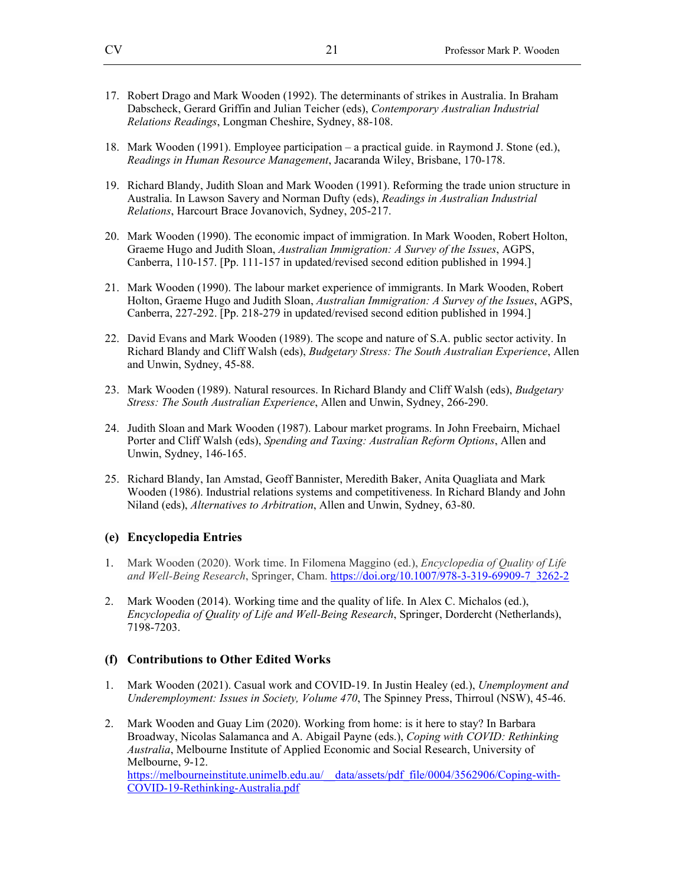- 17. Robert Drago and Mark Wooden (1992). The determinants of strikes in Australia. In Braham Dabscheck, Gerard Griffin and Julian Teicher (eds), *Contemporary Australian Industrial Relations Readings*, Longman Cheshire, Sydney, 88-108.
- 18. Mark Wooden (1991). Employee participation a practical guide. in Raymond J. Stone (ed.), *Readings in Human Resource Management*, Jacaranda Wiley, Brisbane, 170-178.
- 19. Richard Blandy, Judith Sloan and Mark Wooden (1991). Reforming the trade union structure in Australia. In Lawson Savery and Norman Dufty (eds), *Readings in Australian Industrial Relations*, Harcourt Brace Jovanovich, Sydney, 205-217.
- 20. Mark Wooden (1990). The economic impact of immigration. In Mark Wooden, Robert Holton, Graeme Hugo and Judith Sloan, *Australian Immigration: A Survey of the Issues*, AGPS, Canberra, 110-157. [Pp. 111-157 in updated/revised second edition published in 1994.]
- 21. Mark Wooden (1990). The labour market experience of immigrants. In Mark Wooden, Robert Holton, Graeme Hugo and Judith Sloan, *Australian Immigration: A Survey of the Issues*, AGPS, Canberra, 227-292. [Pp. 218-279 in updated/revised second edition published in 1994.]
- 22. David Evans and Mark Wooden (1989). The scope and nature of S.A. public sector activity. In Richard Blandy and Cliff Walsh (eds), *Budgetary Stress: The South Australian Experience*, Allen and Unwin, Sydney, 45-88.
- 23. Mark Wooden (1989). Natural resources. In Richard Blandy and Cliff Walsh (eds), *Budgetary Stress: The South Australian Experience*, Allen and Unwin, Sydney, 266-290.
- 24. Judith Sloan and Mark Wooden (1987). Labour market programs. In John Freebairn, Michael Porter and Cliff Walsh (eds), *Spending and Taxing: Australian Reform Options*, Allen and Unwin, Sydney, 146-165.
- 25. Richard Blandy, Ian Amstad, Geoff Bannister, Meredith Baker, Anita Quagliata and Mark Wooden (1986). Industrial relations systems and competitiveness. In Richard Blandy and John Niland (eds), *Alternatives to Arbitration*, Allen and Unwin, Sydney, 63-80.

#### **(e) Encyclopedia Entries**

- 1. Mark Wooden (2020). Work time. In Filomena Maggino (ed.), *Encyclopedia of Quality of Life and Well-Being Research*, Springer, Cham. https://doi.org/10.1007/978-3-319-69909-7\_3262-2
- 2. Mark Wooden (2014). Working time and the quality of life. In Alex C. Michalos (ed.), *Encyclopedia of Quality of Life and Well-Being Research*, Springer, Dordercht (Netherlands), 7198-7203.

#### **(f) Contributions to Other Edited Works**

- 1. Mark Wooden (2021). Casual work and COVID-19. In Justin Healey (ed.), *Unemployment and Underemployment: Issues in Society, Volume 470*, The Spinney Press, Thirroul (NSW), 45-46.
- 2. Mark Wooden and Guay Lim (2020). Working from home: is it here to stay? In Barbara Broadway, Nicolas Salamanca and A. Abigail Payne (eds.), *Coping with COVID: Rethinking Australia*, Melbourne Institute of Applied Economic and Social Research, University of Melbourne, 9-12. https://melbourneinstitute.unimelb.edu.au/\_\_data/assets/pdf\_file/0004/3562906/Coping-with-COVID-19-Rethinking-Australia.pdf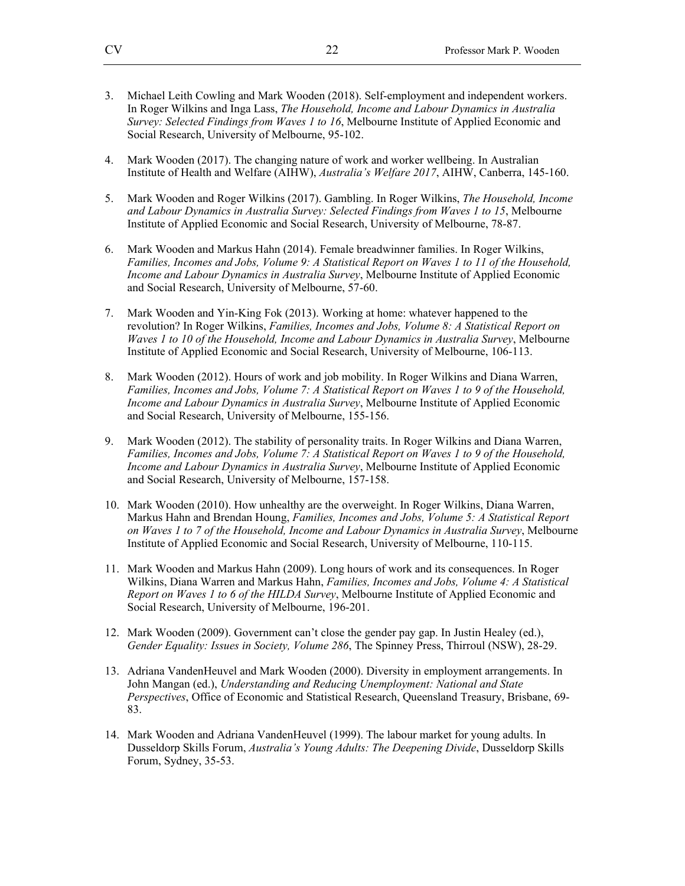- 3. Michael Leith Cowling and Mark Wooden (2018). Self-employment and independent workers. In Roger Wilkins and Inga Lass, *The Household, Income and Labour Dynamics in Australia Survey: Selected Findings from Waves 1 to 16*, Melbourne Institute of Applied Economic and Social Research, University of Melbourne, 95-102.
- 4. Mark Wooden (2017). The changing nature of work and worker wellbeing. In Australian Institute of Health and Welfare (AIHW), *Australia's Welfare 2017*, AIHW, Canberra, 145-160.
- 5. Mark Wooden and Roger Wilkins (2017). Gambling. In Roger Wilkins, *The Household, Income and Labour Dynamics in Australia Survey: Selected Findings from Waves 1 to 15*, Melbourne Institute of Applied Economic and Social Research, University of Melbourne, 78-87.
- 6. Mark Wooden and Markus Hahn (2014). Female breadwinner families. In Roger Wilkins, *Families, Incomes and Jobs, Volume 9: A Statistical Report on Waves 1 to 11 of the Household, Income and Labour Dynamics in Australia Survey*, Melbourne Institute of Applied Economic and Social Research, University of Melbourne, 57-60.
- 7. Mark Wooden and Yin-King Fok (2013). Working at home: whatever happened to the revolution? In Roger Wilkins, *Families, Incomes and Jobs, Volume 8: A Statistical Report on Waves 1 to 10 of the Household, Income and Labour Dynamics in Australia Survey*, Melbourne Institute of Applied Economic and Social Research, University of Melbourne, 106-113.
- 8. Mark Wooden (2012). Hours of work and job mobility. In Roger Wilkins and Diana Warren, *Families, Incomes and Jobs, Volume 7: A Statistical Report on Waves 1 to 9 of the Household, Income and Labour Dynamics in Australia Survey*, Melbourne Institute of Applied Economic and Social Research, University of Melbourne, 155-156.
- 9. Mark Wooden (2012). The stability of personality traits. In Roger Wilkins and Diana Warren, *Families, Incomes and Jobs, Volume 7: A Statistical Report on Waves 1 to 9 of the Household, Income and Labour Dynamics in Australia Survey*, Melbourne Institute of Applied Economic and Social Research, University of Melbourne, 157-158.
- 10. Mark Wooden (2010). How unhealthy are the overweight. In Roger Wilkins, Diana Warren, Markus Hahn and Brendan Houng, *Families, Incomes and Jobs, Volume 5: A Statistical Report on Waves 1 to 7 of the Household, Income and Labour Dynamics in Australia Survey*, Melbourne Institute of Applied Economic and Social Research, University of Melbourne, 110-115.
- 11. Mark Wooden and Markus Hahn (2009). Long hours of work and its consequences. In Roger Wilkins, Diana Warren and Markus Hahn, *Families, Incomes and Jobs, Volume 4: A Statistical Report on Waves 1 to 6 of the HILDA Survey*, Melbourne Institute of Applied Economic and Social Research, University of Melbourne, 196-201.
- 12. Mark Wooden (2009). Government can't close the gender pay gap. In Justin Healey (ed.), *Gender Equality: Issues in Society, Volume 286*, The Spinney Press, Thirroul (NSW), 28-29.
- 13. Adriana VandenHeuvel and Mark Wooden (2000). Diversity in employment arrangements. In John Mangan (ed.), *Understanding and Reducing Unemployment: National and State Perspectives*, Office of Economic and Statistical Research, Queensland Treasury, Brisbane, 69- 83.
- 14. Mark Wooden and Adriana VandenHeuvel (1999). The labour market for young adults. In Dusseldorp Skills Forum, *Australia's Young Adults: The Deepening Divide*, Dusseldorp Skills Forum, Sydney, 35-53.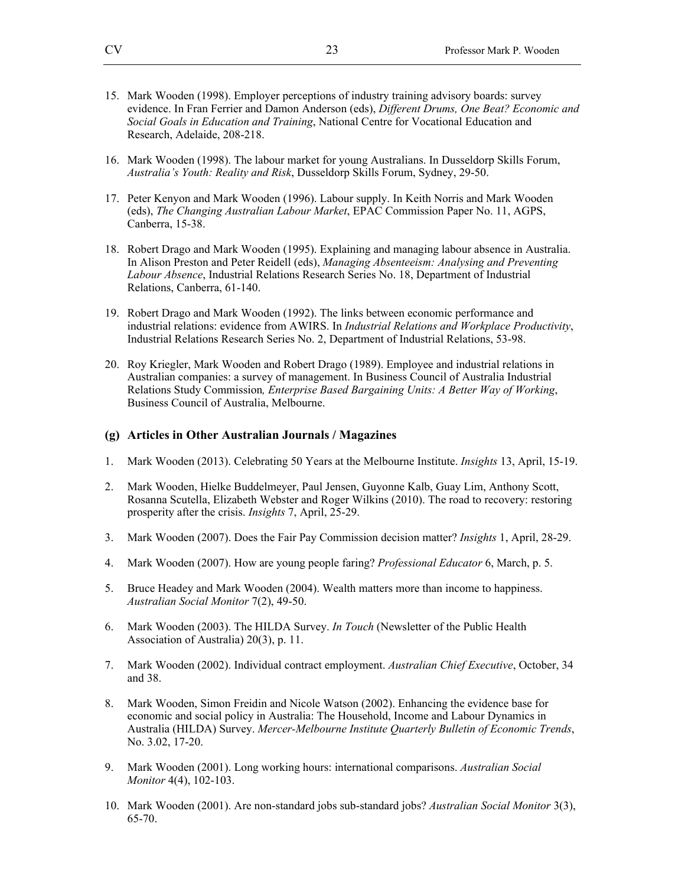- 15. Mark Wooden (1998). Employer perceptions of industry training advisory boards: survey evidence. In Fran Ferrier and Damon Anderson (eds), *Different Drums, One Beat? Economic and Social Goals in Education and Training*, National Centre for Vocational Education and Research, Adelaide, 208-218.
- 16. Mark Wooden (1998). The labour market for young Australians. In Dusseldorp Skills Forum, *Australia's Youth: Reality and Risk*, Dusseldorp Skills Forum, Sydney, 29-50.
- 17. Peter Kenyon and Mark Wooden (1996). Labour supply. In Keith Norris and Mark Wooden (eds), *The Changing Australian Labour Market*, EPAC Commission Paper No. 11, AGPS, Canberra, 15-38.
- 18. Robert Drago and Mark Wooden (1995). Explaining and managing labour absence in Australia. In Alison Preston and Peter Reidell (eds), *Managing Absenteeism: Analysing and Preventing Labour Absence*, Industrial Relations Research Series No. 18, Department of Industrial Relations, Canberra, 61-140.
- 19. Robert Drago and Mark Wooden (1992). The links between economic performance and industrial relations: evidence from AWIRS. In *Industrial Relations and Workplace Productivity*, Industrial Relations Research Series No. 2, Department of Industrial Relations, 53-98.
- 20. Roy Kriegler, Mark Wooden and Robert Drago (1989). Employee and industrial relations in Australian companies: a survey of management. In Business Council of Australia Industrial Relations Study Commission*, Enterprise Based Bargaining Units: A Better Way of Working*, Business Council of Australia, Melbourne.

#### **(g) Articles in Other Australian Journals / Magazines**

- 1. Mark Wooden (2013). Celebrating 50 Years at the Melbourne Institute. *Insights* 13, April, 15-19.
- 2. Mark Wooden, Hielke Buddelmeyer, Paul Jensen, Guyonne Kalb, Guay Lim, Anthony Scott, Rosanna Scutella, Elizabeth Webster and Roger Wilkins (2010). The road to recovery: restoring prosperity after the crisis. *Insights* 7, April, 25-29.
- 3. Mark Wooden (2007). Does the Fair Pay Commission decision matter? *Insights* 1, April, 28-29.
- 4. Mark Wooden (2007). How are young people faring? *Professional Educator* 6, March, p. 5.
- 5. Bruce Headey and Mark Wooden (2004). Wealth matters more than income to happiness. *Australian Social Monitor* 7(2), 49-50.
- 6. Mark Wooden (2003). The HILDA Survey. *In Touch* (Newsletter of the Public Health Association of Australia) 20(3), p. 11.
- 7. Mark Wooden (2002). Individual contract employment. *Australian Chief Executive*, October, 34 and 38.
- 8. Mark Wooden, Simon Freidin and Nicole Watson (2002). Enhancing the evidence base for economic and social policy in Australia: The Household, Income and Labour Dynamics in Australia (HILDA) Survey. *Mercer-Melbourne Institute Quarterly Bulletin of Economic Trends*, No. 3.02, 17-20.
- 9. Mark Wooden (2001). Long working hours: international comparisons. *Australian Social Monitor* 4(4), 102-103.
- 10. Mark Wooden (2001). Are non-standard jobs sub-standard jobs? *Australian Social Monitor* 3(3), 65-70.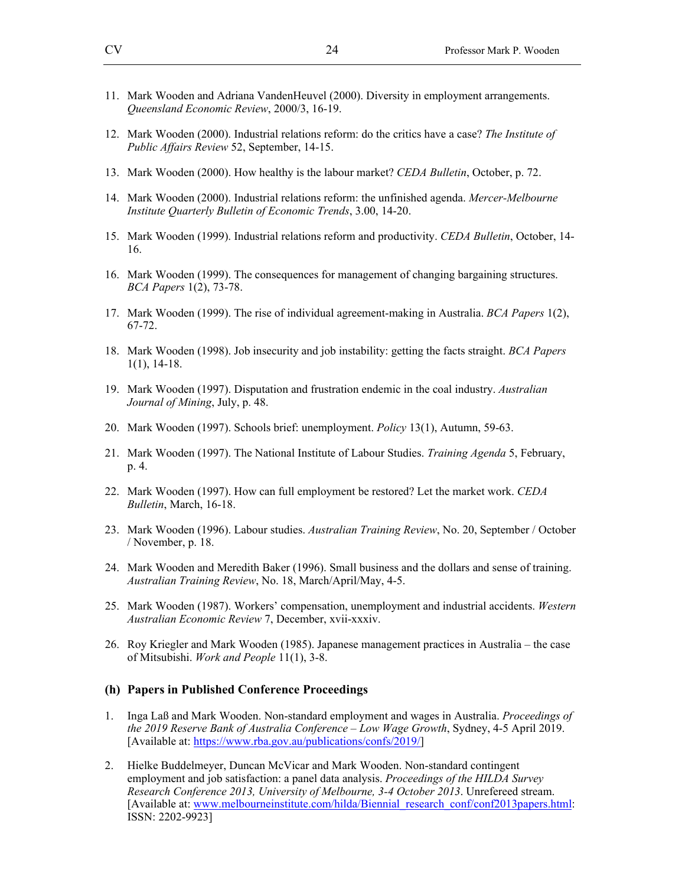- 11. Mark Wooden and Adriana VandenHeuvel (2000). Diversity in employment arrangements. *Queensland Economic Review*, 2000/3, 16-19.
- 12. Mark Wooden (2000). Industrial relations reform: do the critics have a case? *The Institute of Public Affairs Review* 52, September, 14-15.
- 13. Mark Wooden (2000). How healthy is the labour market? *CEDA Bulletin*, October, p. 72.
- 14. Mark Wooden (2000). Industrial relations reform: the unfinished agenda. *Mercer-Melbourne Institute Quarterly Bulletin of Economic Trends*, 3.00, 14-20.
- 15. Mark Wooden (1999). Industrial relations reform and productivity. *CEDA Bulletin*, October, 14- 16.
- 16. Mark Wooden (1999). The consequences for management of changing bargaining structures. *BCA Papers* 1(2), 73-78.
- 17. Mark Wooden (1999). The rise of individual agreement-making in Australia. *BCA Papers* 1(2), 67-72.
- 18. Mark Wooden (1998). Job insecurity and job instability: getting the facts straight. *BCA Papers* 1(1), 14-18.
- 19. Mark Wooden (1997). Disputation and frustration endemic in the coal industry. *Australian Journal of Mining*, July, p. 48.
- 20. Mark Wooden (1997). Schools brief: unemployment. *Policy* 13(1), Autumn, 59-63.
- 21. Mark Wooden (1997). The National Institute of Labour Studies. *Training Agenda* 5, February, p. 4.
- 22. Mark Wooden (1997). How can full employment be restored? Let the market work. *CEDA Bulletin*, March, 16-18.
- 23. Mark Wooden (1996). Labour studies. *Australian Training Review*, No. 20, September / October / November, p. 18.
- 24. Mark Wooden and Meredith Baker (1996). Small business and the dollars and sense of training. *Australian Training Review*, No. 18, March/April/May, 4-5.
- 25. Mark Wooden (1987). Workers' compensation, unemployment and industrial accidents. *Western Australian Economic Review* 7, December, xvii-xxxiv.
- 26. Roy Kriegler and Mark Wooden (1985). Japanese management practices in Australia the case of Mitsubishi. *Work and People* 11(1), 3-8.

#### **(h) Papers in Published Conference Proceedings**

- 1. Inga Laß and Mark Wooden. Non-standard employment and wages in Australia. *Proceedings of the 2019 Reserve Bank of Australia Conference – Low Wage Growth*, Sydney, 4-5 April 2019. [Available at: https://www.rba.gov.au/publications/confs/2019/]
- 2. Hielke Buddelmeyer, Duncan McVicar and Mark Wooden. Non-standard contingent employment and job satisfaction: a panel data analysis. *Proceedings of the HILDA Survey Research Conference 2013, University of Melbourne, 3-4 October 2013*. Unrefereed stream. [Available at: www.melbourneinstitute.com/hilda/Biennial\_research\_conf/conf2013papers.html: ISSN: 2202-9923]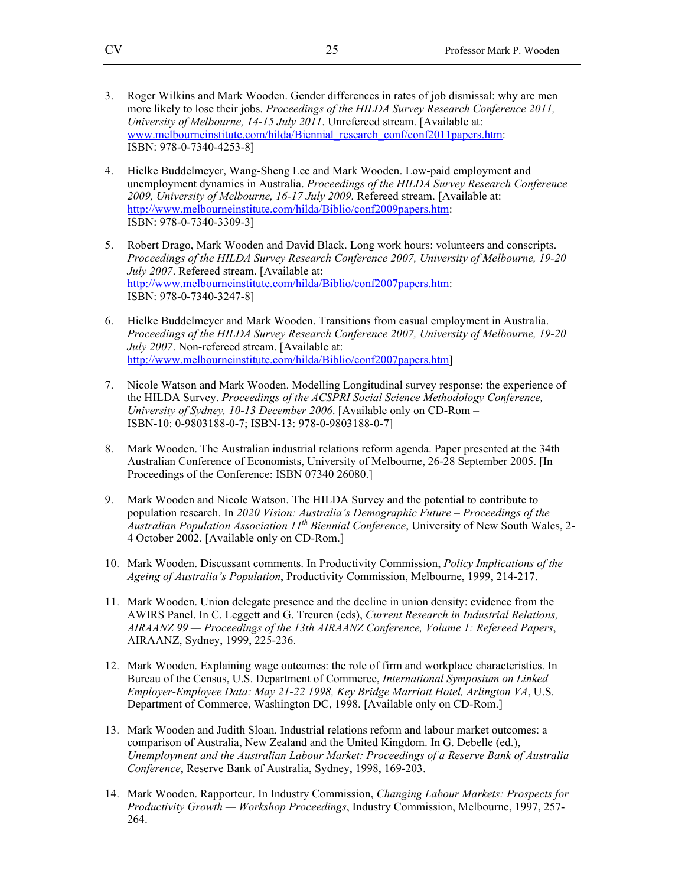- 3. Roger Wilkins and Mark Wooden. Gender differences in rates of job dismissal: why are men more likely to lose their jobs. *Proceedings of the HILDA Survey Research Conference 2011, University of Melbourne, 14-15 July 2011*. Unrefereed stream. [Available at: www.melbourneinstitute.com/hilda/Biennial\_research\_conf/conf2011papers.htm: ISBN: 978-0-7340-4253-8]
- 4. Hielke Buddelmeyer, Wang-Sheng Lee and Mark Wooden. Low-paid employment and unemployment dynamics in Australia. *Proceedings of the HILDA Survey Research Conference 2009, University of Melbourne, 16-17 July 2009*. Refereed stream. [Available at: http://www.melbourneinstitute.com/hilda/Biblio/conf2009papers.htm: ISBN: 978-0-7340-3309-3]
- 5. Robert Drago, Mark Wooden and David Black. Long work hours: volunteers and conscripts. *Proceedings of the HILDA Survey Research Conference 2007, University of Melbourne, 19-20 July 2007*. Refereed stream. [Available at: http://www.melbourneinstitute.com/hilda/Biblio/conf2007papers.htm: ISBN: 978-0-7340-3247-8]
- 6. Hielke Buddelmeyer and Mark Wooden. Transitions from casual employment in Australia. *Proceedings of the HILDA Survey Research Conference 2007, University of Melbourne, 19-20 July 2007*. Non-refereed stream. [Available at: http://www.melbourneinstitute.com/hilda/Biblio/conf2007papers.htm]
- 7. Nicole Watson and Mark Wooden. Modelling Longitudinal survey response: the experience of the HILDA Survey. *Proceedings of the ACSPRI Social Science Methodology Conference, University of Sydney, 10-13 December 2006*. [Available only on CD-Rom – ISBN-10: 0-9803188-0-7; ISBN-13: 978-0-9803188-0-7]
- 8. Mark Wooden. The Australian industrial relations reform agenda. Paper presented at the 34th Australian Conference of Economists, University of Melbourne, 26-28 September 2005. [In Proceedings of the Conference: ISBN 07340 26080.]
- 9. Mark Wooden and Nicole Watson. The HILDA Survey and the potential to contribute to population research. In *2020 Vision: Australia's Demographic Future – Proceedings of the Australian Population Association 11th Biennial Conference*, University of New South Wales, 2- 4 October 2002. [Available only on CD-Rom.]
- 10. Mark Wooden. Discussant comments. In Productivity Commission, *Policy Implications of the Ageing of Australia's Population*, Productivity Commission, Melbourne, 1999, 214-217.
- 11. Mark Wooden. Union delegate presence and the decline in union density: evidence from the AWIRS Panel. In C. Leggett and G. Treuren (eds), *Current Research in Industrial Relations, AIRAANZ 99 — Proceedings of the 13th AIRAANZ Conference, Volume 1: Refereed Papers*, AIRAANZ, Sydney, 1999, 225-236.
- 12. Mark Wooden. Explaining wage outcomes: the role of firm and workplace characteristics. In Bureau of the Census, U.S. Department of Commerce, *International Symposium on Linked Employer-Employee Data: May 21-22 1998, Key Bridge Marriott Hotel, Arlington VA*, U.S. Department of Commerce, Washington DC, 1998. [Available only on CD-Rom.]
- 13. Mark Wooden and Judith Sloan. Industrial relations reform and labour market outcomes: a comparison of Australia, New Zealand and the United Kingdom. In G. Debelle (ed.), *Unemployment and the Australian Labour Market: Proceedings of a Reserve Bank of Australia Conference*, Reserve Bank of Australia, Sydney, 1998, 169-203.
- 14. Mark Wooden. Rapporteur. In Industry Commission, *Changing Labour Markets: Prospects for Productivity Growth — Workshop Proceedings*, Industry Commission, Melbourne, 1997, 257- 264.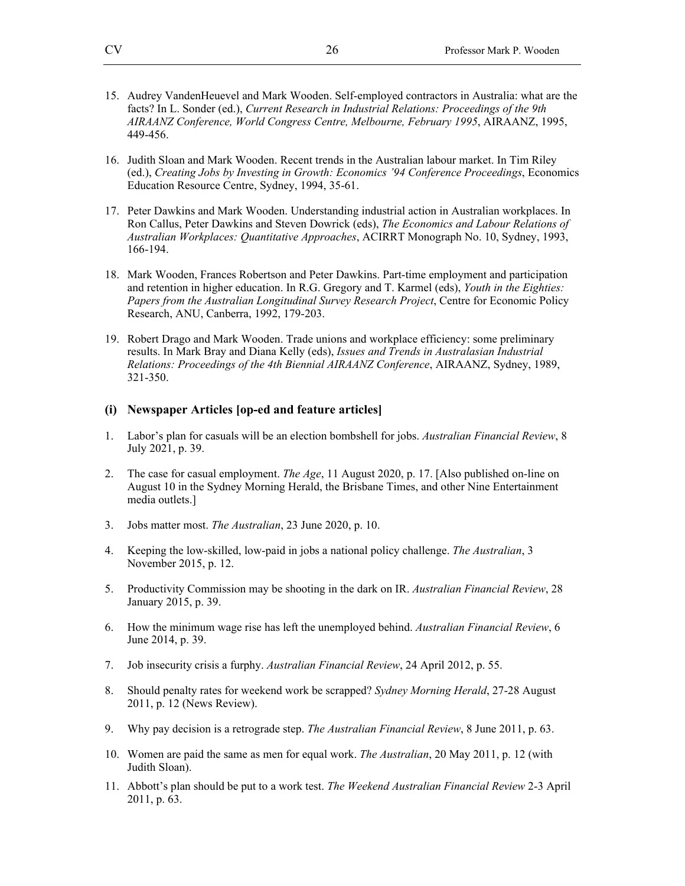- 15. Audrey VandenHeuevel and Mark Wooden. Self-employed contractors in Australia: what are the facts? In L. Sonder (ed.), *Current Research in Industrial Relations: Proceedings of the 9th AIRAANZ Conference, World Congress Centre, Melbourne, February 1995*, AIRAANZ, 1995, 449-456.
- 16. Judith Sloan and Mark Wooden. Recent trends in the Australian labour market. In Tim Riley (ed.), *Creating Jobs by Investing in Growth: Economics '94 Conference Proceedings*, Economics Education Resource Centre, Sydney, 1994, 35-61.
- 17. Peter Dawkins and Mark Wooden. Understanding industrial action in Australian workplaces. In Ron Callus, Peter Dawkins and Steven Dowrick (eds), *The Economics and Labour Relations of Australian Workplaces: Quantitative Approaches*, ACIRRT Monograph No. 10, Sydney, 1993, 166-194.
- 18. Mark Wooden, Frances Robertson and Peter Dawkins. Part-time employment and participation and retention in higher education. In R.G. Gregory and T. Karmel (eds), *Youth in the Eighties: Papers from the Australian Longitudinal Survey Research Project*, Centre for Economic Policy Research, ANU, Canberra, 1992, 179-203.
- 19. Robert Drago and Mark Wooden. Trade unions and workplace efficiency: some preliminary results. In Mark Bray and Diana Kelly (eds), *Issues and Trends in Australasian Industrial Relations: Proceedings of the 4th Biennial AIRAANZ Conference*, AIRAANZ, Sydney, 1989, 321-350.

#### **(i) Newspaper Articles [op-ed and feature articles]**

- 1. Labor's plan for casuals will be an election bombshell for jobs. *Australian Financial Review*, 8 July 2021, p. 39.
- 2. The case for casual employment. *The Age*, 11 August 2020, p. 17. [Also published on-line on August 10 in the Sydney Morning Herald, the Brisbane Times, and other Nine Entertainment media outlets.]
- 3. Jobs matter most. *The Australian*, 23 June 2020, p. 10.
- 4. Keeping the low-skilled, low-paid in jobs a national policy challenge. *The Australian*, 3 November 2015, p. 12.
- 5. Productivity Commission may be shooting in the dark on IR. *Australian Financial Review*, 28 January 2015, p. 39.
- 6. How the minimum wage rise has left the unemployed behind. *Australian Financial Review*, 6 June 2014, p. 39.
- 7. Job insecurity crisis a furphy. *Australian Financial Review*, 24 April 2012, p. 55.
- 8. Should penalty rates for weekend work be scrapped? *Sydney Morning Herald*, 27-28 August 2011, p. 12 (News Review).
- 9. Why pay decision is a retrograde step. *The Australian Financial Review*, 8 June 2011, p. 63.
- 10. Women are paid the same as men for equal work. *The Australian*, 20 May 2011, p. 12 (with Judith Sloan).
- 11. Abbott's plan should be put to a work test. *The Weekend Australian Financial Review* 2-3 April 2011, p. 63.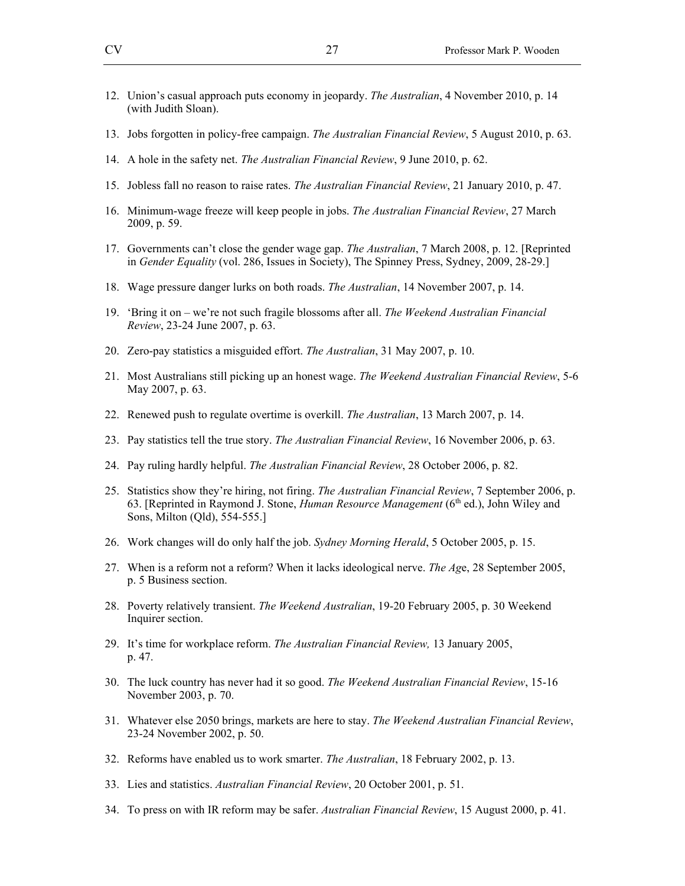- 12. Union's casual approach puts economy in jeopardy. *The Australian*, 4 November 2010, p. 14 (with Judith Sloan).
- 13. Jobs forgotten in policy-free campaign. *The Australian Financial Review*, 5 August 2010, p. 63.
- 14. A hole in the safety net. *The Australian Financial Review*, 9 June 2010, p. 62.
- 15. Jobless fall no reason to raise rates. *The Australian Financial Review*, 21 January 2010, p. 47.
- 16. Minimum-wage freeze will keep people in jobs. *The Australian Financial Review*, 27 March 2009, p. 59.
- 17. Governments can't close the gender wage gap. *The Australian*, 7 March 2008, p. 12. [Reprinted in *Gender Equality* (vol. 286, Issues in Society), The Spinney Press, Sydney, 2009, 28-29.]
- 18. Wage pressure danger lurks on both roads. *The Australian*, 14 November 2007, p. 14.
- 19. 'Bring it on we're not such fragile blossoms after all. *The Weekend Australian Financial Review*, 23-24 June 2007, p. 63.
- 20. Zero-pay statistics a misguided effort. *The Australian*, 31 May 2007, p. 10.
- 21. Most Australians still picking up an honest wage. *The Weekend Australian Financial Review*, 5-6 May 2007, p. 63.
- 22. Renewed push to regulate overtime is overkill. *The Australian*, 13 March 2007, p. 14.
- 23. Pay statistics tell the true story. *The Australian Financial Review*, 16 November 2006, p. 63.
- 24. Pay ruling hardly helpful. *The Australian Financial Review*, 28 October 2006, p. 82.
- 25. Statistics show they're hiring, not firing. *The Australian Financial Review*, 7 September 2006, p. 63. [Reprinted in Raymond J. Stone, *Human Resource Management* (6<sup>th</sup> ed.), John Wiley and Sons, Milton (Qld), 554-555.]
- 26. Work changes will do only half the job. *Sydney Morning Herald*, 5 October 2005, p. 15.
- 27. When is a reform not a reform? When it lacks ideological nerve. *The Ag*e, 28 September 2005, p. 5 Business section.
- 28. Poverty relatively transient. *The Weekend Australian*, 19-20 February 2005, p. 30 Weekend Inquirer section.
- 29. It's time for workplace reform. *The Australian Financial Review,* 13 January 2005, p. 47.
- 30. The luck country has never had it so good. *The Weekend Australian Financial Review*, 15-16 November 2003, p. 70.
- 31. Whatever else 2050 brings, markets are here to stay. *The Weekend Australian Financial Review*, 23-24 November 2002, p. 50.
- 32. Reforms have enabled us to work smarter. *The Australian*, 18 February 2002, p. 13.
- 33. Lies and statistics. *Australian Financial Review*, 20 October 2001, p. 51.
- 34. To press on with IR reform may be safer. *Australian Financial Review*, 15 August 2000, p. 41.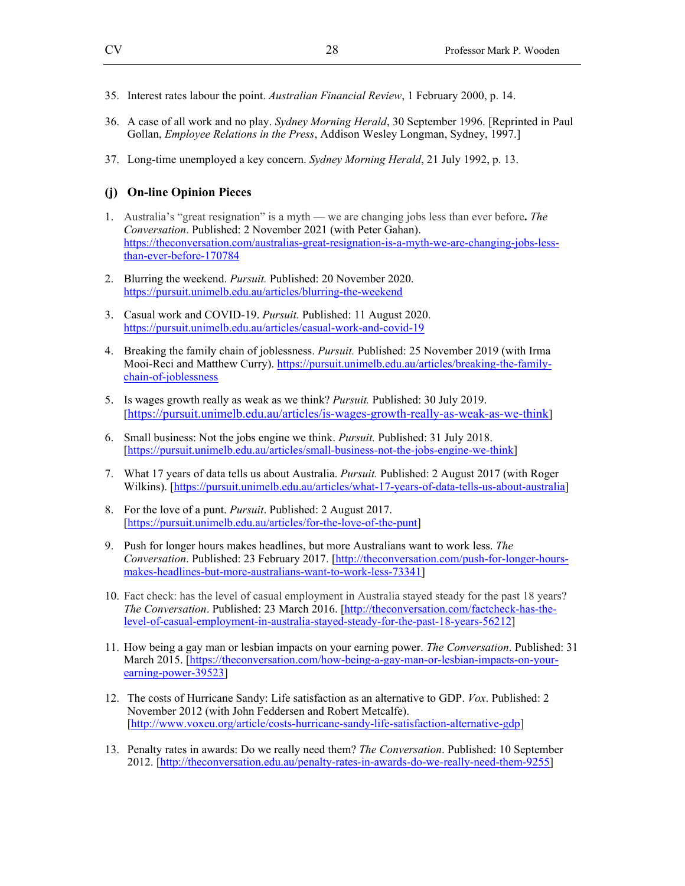- 35. Interest rates labour the point. *Australian Financial Review*, 1 February 2000, p. 14.
- 36. A case of all work and no play. *Sydney Morning Herald*, 30 September 1996. [Reprinted in Paul Gollan, *Employee Relations in the Press*, Addison Wesley Longman, Sydney, 1997.]
- 37. Long-time unemployed a key concern. *Sydney Morning Herald*, 21 July 1992, p. 13.

#### **(j) On-line Opinion Pieces**

- 1. Australia's "great resignation" is a myth we are changing jobs less than ever before**.** *The Conversation*. Published: 2 November 2021 (with Peter Gahan). https://theconversation.com/australias-great-resignation-is-a-myth-we-are-changing-jobs-lessthan-ever-before-170784
- 2. Blurring the weekend. *Pursuit.* Published: 20 November 2020. https://pursuit.unimelb.edu.au/articles/blurring-the-weekend
- 3. Casual work and COVID-19. *Pursuit.* Published: 11 August 2020. https://pursuit.unimelb.edu.au/articles/casual-work-and-covid-19
- 4. Breaking the family chain of joblessness. *Pursuit.* Published: 25 November 2019 (with Irma Mooi-Reci and Matthew Curry). https://pursuit.unimelb.edu.au/articles/breaking-the-familychain-of-joblessness
- 5. Is wages growth really as weak as we think? *Pursuit.* Published: 30 July 2019. [https://pursuit.unimelb.edu.au/articles/is-wages-growth-really-as-weak-as-we-think]
- 6. Small business: Not the jobs engine we think. *Pursuit.* Published: 31 July 2018. [https://pursuit.unimelb.edu.au/articles/small-business-not-the-jobs-engine-we-think]
- 7. What 17 years of data tells us about Australia. *Pursuit.* Published: 2 August 2017 (with Roger Wilkins). [https://pursuit.unimelb.edu.au/articles/what-17-years-of-data-tells-us-about-australia]
- 8. For the love of a punt. *Pursuit*. Published: 2 August 2017. [https://pursuit.unimelb.edu.au/articles/for-the-love-of-the-punt]
- 9. Push for longer hours makes headlines, but more Australians want to work less. *The Conversation*. Published: 23 February 2017. [http://theconversation.com/push-for-longer-hoursmakes-headlines-but-more-australians-want-to-work-less-73341]
- 10. Fact check: has the level of casual employment in Australia stayed steady for the past 18 years? *The Conversation*. Published: 23 March 2016. [http://theconversation.com/factcheck-has-thelevel-of-casual-employment-in-australia-stayed-steady-for-the-past-18-years-56212]
- 11. How being a gay man or lesbian impacts on your earning power. *The Conversation*. Published: 31 March 2015. [https://theconversation.com/how-being-a-gay-man-or-lesbian-impacts-on-yourearning-power-39523]
- 12. The costs of Hurricane Sandy: Life satisfaction as an alternative to GDP. *Vox*. Published: 2 November 2012 (with John Feddersen and Robert Metcalfe). [http://www.voxeu.org/article/costs-hurricane-sandy-life-satisfaction-alternative-gdp]
- 13. Penalty rates in awards: Do we really need them? *The Conversation*. Published: 10 September 2012. [http://theconversation.edu.au/penalty-rates-in-awards-do-we-really-need-them-9255]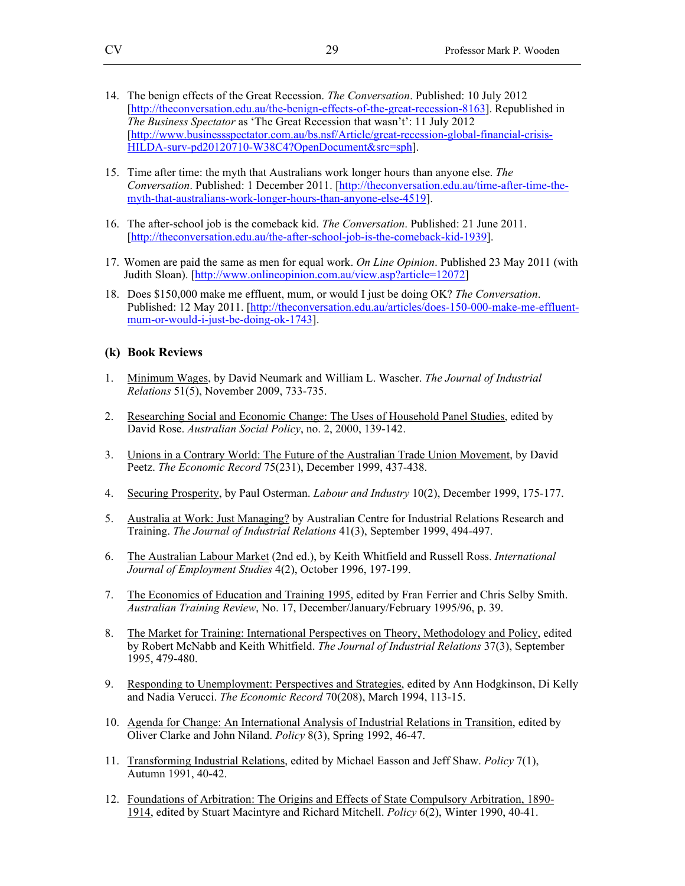- 14. The benign effects of the Great Recession. *The Conversation*. Published: 10 July 2012 [http://theconversation.edu.au/the-benign-effects-of-the-great-recession-8163]. Republished in *The Business Spectator* as 'The Great Recession that wasn't': 11 July 2012 [http://www.businessspectator.com.au/bs.nsf/Article/great-recession-global-financial-crisis-HILDA-surv-pd20120710-W38C4?OpenDocument&src=sph].
- 15. Time after time: the myth that Australians work longer hours than anyone else. *The Conversation*. Published: 1 December 2011. [http://theconversation.edu.au/time-after-time-themyth-that-australians-work-longer-hours-than-anyone-else-4519].
- 16. The after-school job is the comeback kid. *The Conversation*. Published: 21 June 2011. [http://theconversation.edu.au/the-after-school-job-is-the-comeback-kid-1939].
- 17. Women are paid the same as men for equal work. *On Line Opinion*. Published 23 May 2011 (with Judith Sloan). [http://www.onlineopinion.com.au/view.asp?article=12072]
- 18. Does \$150,000 make me effluent, mum, or would I just be doing OK? *The Conversation*. Published: 12 May 2011. [http://theconversation.edu.au/articles/does-150-000-make-me-effluentmum-or-would-i-just-be-doing-ok-1743].

#### **(k) Book Reviews**

- 1. Minimum Wages, by David Neumark and William L. Wascher. *The Journal of Industrial Relations* 51(5), November 2009, 733-735.
- 2. Researching Social and Economic Change: The Uses of Household Panel Studies, edited by David Rose. *Australian Social Policy*, no. 2, 2000, 139-142.
- 3. Unions in a Contrary World: The Future of the Australian Trade Union Movement, by David Peetz. *The Economic Record* 75(231), December 1999, 437-438.
- 4. Securing Prosperity, by Paul Osterman. *Labour and Industry* 10(2), December 1999, 175-177.
- 5. Australia at Work: Just Managing? by Australian Centre for Industrial Relations Research and Training. *The Journal of Industrial Relations* 41(3), September 1999, 494-497.
- 6. The Australian Labour Market (2nd ed.), by Keith Whitfield and Russell Ross. *International Journal of Employment Studies* 4(2), October 1996, 197-199.
- 7. The Economics of Education and Training 1995, edited by Fran Ferrier and Chris Selby Smith. *Australian Training Review*, No. 17, December/January/February 1995/96, p. 39.
- 8. The Market for Training: International Perspectives on Theory, Methodology and Policy, edited by Robert McNabb and Keith Whitfield. *The Journal of Industrial Relations* 37(3), September 1995, 479-480.
- 9. Responding to Unemployment: Perspectives and Strategies, edited by Ann Hodgkinson, Di Kelly and Nadia Verucci. *The Economic Record* 70(208), March 1994, 113-15.
- 10. Agenda for Change: An International Analysis of Industrial Relations in Transition, edited by Oliver Clarke and John Niland. *Policy* 8(3), Spring 1992, 46-47.
- 11. Transforming Industrial Relations, edited by Michael Easson and Jeff Shaw. *Policy* 7(1), Autumn 1991, 40-42.
- 12. Foundations of Arbitration: The Origins and Effects of State Compulsory Arbitration, 1890- 1914, edited by Stuart Macintyre and Richard Mitchell. *Policy* 6(2), Winter 1990, 40-41.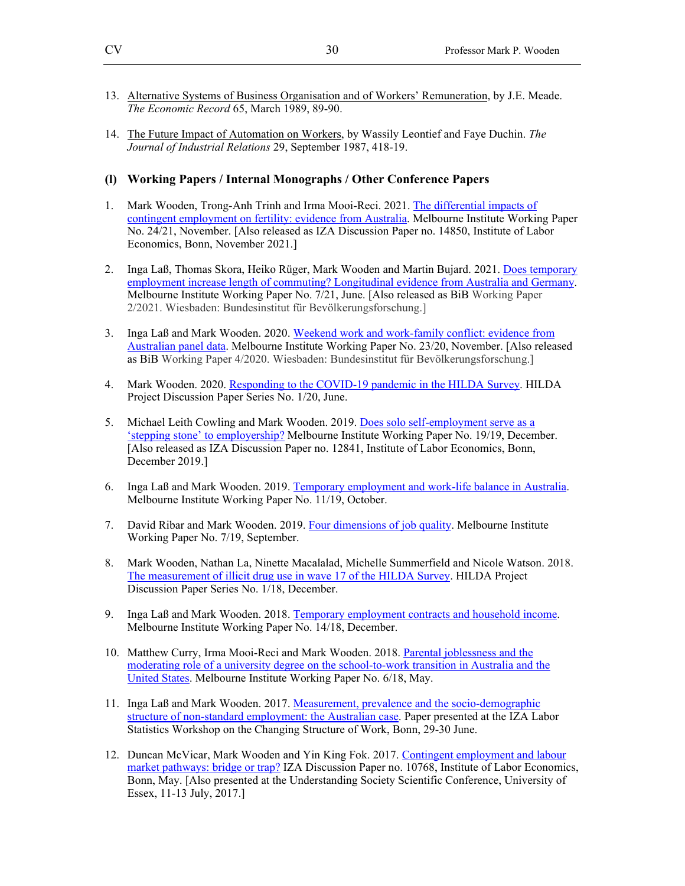- 13. Alternative Systems of Business Organisation and of Workers' Remuneration, by J.E. Meade. *The Economic Record* 65, March 1989, 89-90.
- 14. The Future Impact of Automation on Workers, by Wassily Leontief and Faye Duchin. *The Journal of Industrial Relations* 29, September 1987, 418-19.

#### **(l) Working Papers / Internal Monographs / Other Conference Papers**

- 1. Mark Wooden, Trong-Anh Trinh and Irma Mooi-Reci. 2021. The differential impacts of contingent employment on fertility: evidence from Australia. Melbourne Institute Working Paper No. 24/21, November. [Also released as IZA Discussion Paper no. 14850, Institute of Labor Economics, Bonn, November 2021.]
- 2. Inga Laß, Thomas Skora, Heiko Rüger, Mark Wooden and Martin Bujard. 2021. Does temporary employment increase length of commuting? Longitudinal evidence from Australia and Germany. Melbourne Institute Working Paper No. 7/21, June. [Also released as BiB Working Paper 2/2021. Wiesbaden: Bundesinstitut für Bevölkerungsforschung.]
- 3. Inga Laß and Mark Wooden. 2020. Weekend work and work-family conflict: evidence from Australian panel data. Melbourne Institute Working Paper No. 23/20, November. [Also released as BiB Working Paper 4/2020. Wiesbaden: Bundesinstitut für Bevölkerungsforschung.]
- 4. Mark Wooden. 2020. Responding to the COVID-19 pandemic in the HILDA Survey. HILDA Project Discussion Paper Series No. 1/20, June.
- 5. Michael Leith Cowling and Mark Wooden. 2019. Does solo self-employment serve as a 'stepping stone' to employership? Melbourne Institute Working Paper No. 19/19, December. [Also released as IZA Discussion Paper no. 12841, Institute of Labor Economics, Bonn, December 2019.]
- 6. Inga Laß and Mark Wooden. 2019. Temporary employment and work-life balance in Australia. Melbourne Institute Working Paper No. 11/19, October.
- 7. David Ribar and Mark Wooden. 2019. Four dimensions of job quality. Melbourne Institute Working Paper No. 7/19, September.
- 8. Mark Wooden, Nathan La, Ninette Macalalad, Michelle Summerfield and Nicole Watson. 2018. The measurement of illicit drug use in wave 17 of the HILDA Survey. HILDA Project Discussion Paper Series No. 1/18, December.
- 9. Inga Laß and Mark Wooden. 2018. Temporary employment contracts and household income. Melbourne Institute Working Paper No. 14/18, December.
- 10. Matthew Curry, Irma Mooi-Reci and Mark Wooden. 2018. Parental joblessness and the moderating role of a university degree on the school-to-work transition in Australia and the United States. Melbourne Institute Working Paper No. 6/18, May.
- 11. Inga Laß and Mark Wooden. 2017. Measurement, prevalence and the socio-demographic structure of non-standard employment: the Australian case. Paper presented at the IZA Labor Statistics Workshop on the Changing Structure of Work, Bonn, 29-30 June.
- 12. Duncan McVicar, Mark Wooden and Yin King Fok. 2017. Contingent employment and labour market pathways: bridge or trap? IZA Discussion Paper no. 10768, Institute of Labor Economics, Bonn, May. [Also presented at the Understanding Society Scientific Conference, University of Essex, 11-13 July, 2017.]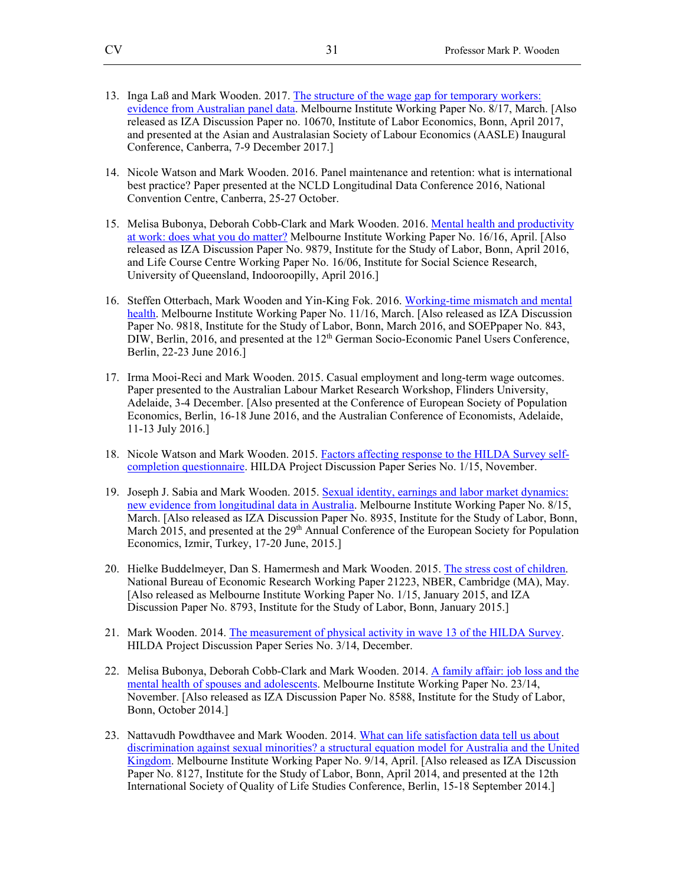- 13. Inga Laß and Mark Wooden. 2017. The structure of the wage gap for temporary workers: evidence from Australian panel data. Melbourne Institute Working Paper No. 8/17, March. [Also released as IZA Discussion Paper no. 10670, Institute of Labor Economics, Bonn, April 2017, and presented at the Asian and Australasian Society of Labour Economics (AASLE) Inaugural Conference, Canberra, 7-9 December 2017.]
- 14. Nicole Watson and Mark Wooden. 2016. Panel maintenance and retention: what is international best practice? Paper presented at the NCLD Longitudinal Data Conference 2016, National Convention Centre, Canberra, 25-27 October.
- 15. Melisa Bubonya, Deborah Cobb-Clark and Mark Wooden. 2016. Mental health and productivity at work: does what you do matter? Melbourne Institute Working Paper No. 16/16, April. [Also released as IZA Discussion Paper No. 9879, Institute for the Study of Labor, Bonn, April 2016, and Life Course Centre Working Paper No. 16/06, Institute for Social Science Research, University of Queensland, Indooroopilly, April 2016.]
- 16. Steffen Otterbach, Mark Wooden and Yin-King Fok. 2016. Working-time mismatch and mental health. Melbourne Institute Working Paper No. 11/16, March. [Also released as IZA Discussion Paper No. 9818, Institute for the Study of Labor, Bonn, March 2016, and SOEPpaper No. 843, DIW, Berlin, 2016, and presented at the 12<sup>th</sup> German Socio-Economic Panel Users Conference, Berlin, 22-23 June 2016.]
- 17. Irma Mooi-Reci and Mark Wooden. 2015. Casual employment and long-term wage outcomes. Paper presented to the Australian Labour Market Research Workshop, Flinders University, Adelaide, 3-4 December. [Also presented at the Conference of European Society of Population Economics, Berlin, 16-18 June 2016, and the Australian Conference of Economists, Adelaide, 11-13 July 2016.]
- 18. Nicole Watson and Mark Wooden. 2015. Factors affecting response to the HILDA Survey selfcompletion questionnaire. HILDA Project Discussion Paper Series No. 1/15, November.
- 19. Joseph J. Sabia and Mark Wooden. 2015. Sexual identity, earnings and labor market dynamics: new evidence from longitudinal data in Australia. Melbourne Institute Working Paper No. 8/15, March. [Also released as IZA Discussion Paper No. 8935, Institute for the Study of Labor, Bonn, March 2015, and presented at the 29<sup>th</sup> Annual Conference of the European Society for Population Economics, Izmir, Turkey, 17-20 June, 2015.]
- 20. Hielke Buddelmeyer, Dan S. Hamermesh and Mark Wooden. 2015. The stress cost of children. National Bureau of Economic Research Working Paper 21223, NBER, Cambridge (MA), May. [Also released as Melbourne Institute Working Paper No. 1/15, January 2015, and IZA Discussion Paper No. 8793, Institute for the Study of Labor, Bonn, January 2015.]
- 21. Mark Wooden. 2014. The measurement of physical activity in wave 13 of the HILDA Survey. HILDA Project Discussion Paper Series No. 3/14, December.
- 22. Melisa Bubonya, Deborah Cobb-Clark and Mark Wooden. 2014. A family affair: job loss and the mental health of spouses and adolescents. Melbourne Institute Working Paper No. 23/14, November. [Also released as IZA Discussion Paper No. 8588, Institute for the Study of Labor, Bonn, October 2014.]
- 23. Nattavudh Powdthavee and Mark Wooden. 2014. What can life satisfaction data tell us about discrimination against sexual minorities? a structural equation model for Australia and the United Kingdom. Melbourne Institute Working Paper No. 9/14, April. [Also released as IZA Discussion Paper No. 8127, Institute for the Study of Labor, Bonn, April 2014, and presented at the 12th International Society of Quality of Life Studies Conference, Berlin, 15-18 September 2014.]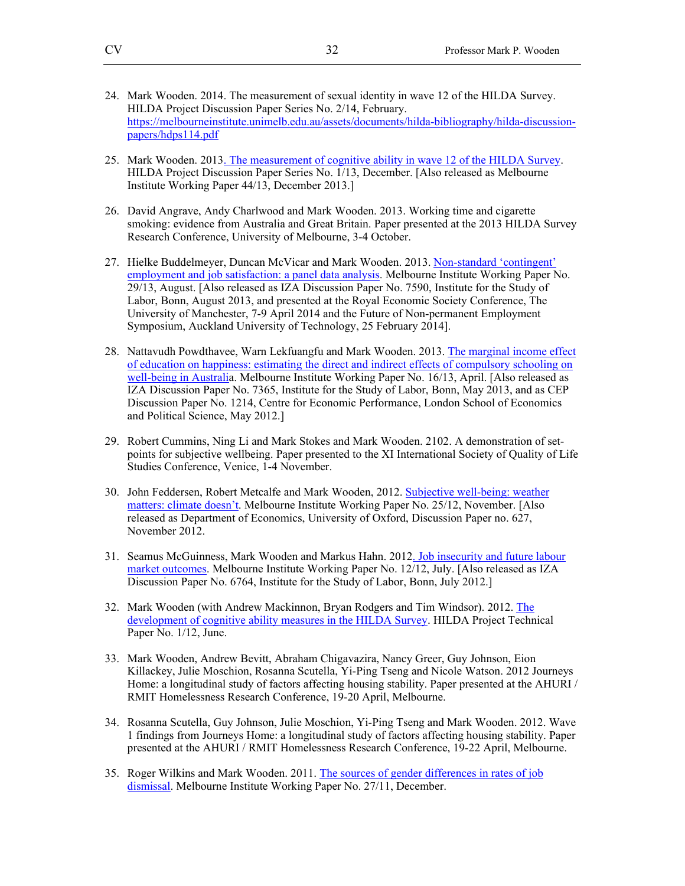- 24. Mark Wooden. 2014. The measurement of sexual identity in wave 12 of the HILDA Survey. HILDA Project Discussion Paper Series No. 2/14, February. https://melbourneinstitute.unimelb.edu.au/assets/documents/hilda-bibliography/hilda-discussionpapers/hdps114.pdf
- 25. Mark Wooden. 2013. The measurement of cognitive ability in wave 12 of the HILDA Survey. HILDA Project Discussion Paper Series No. 1/13, December. [Also released as Melbourne Institute Working Paper 44/13, December 2013.]
- 26. David Angrave, Andy Charlwood and Mark Wooden. 2013. Working time and cigarette smoking: evidence from Australia and Great Britain. Paper presented at the 2013 HILDA Survey Research Conference, University of Melbourne, 3-4 October.
- 27. Hielke Buddelmeyer, Duncan McVicar and Mark Wooden. 2013. Non-standard 'contingent' employment and job satisfaction: a panel data analysis. Melbourne Institute Working Paper No. 29/13, August. [Also released as IZA Discussion Paper No. 7590, Institute for the Study of Labor, Bonn, August 2013, and presented at the Royal Economic Society Conference, The University of Manchester, 7-9 April 2014 and the Future of Non-permanent Employment Symposium, Auckland University of Technology, 25 February 2014].
- 28. Nattavudh Powdthavee, Warn Lekfuangfu and Mark Wooden. 2013. The marginal income effect of education on happiness: estimating the direct and indirect effects of compulsory schooling on well-being in Australia. Melbourne Institute Working Paper No. 16/13, April. [Also released as IZA Discussion Paper No. 7365, Institute for the Study of Labor, Bonn, May 2013, and as CEP Discussion Paper No. 1214, Centre for Economic Performance, London School of Economics and Political Science, May 2012.]
- 29. Robert Cummins, Ning Li and Mark Stokes and Mark Wooden. 2102. A demonstration of setpoints for subjective wellbeing. Paper presented to the XI International Society of Quality of Life Studies Conference, Venice, 1-4 November.
- 30. John Feddersen, Robert Metcalfe and Mark Wooden, 2012. Subjective well-being: weather matters: climate doesn't. Melbourne Institute Working Paper No. 25/12, November. [Also released as Department of Economics, University of Oxford, Discussion Paper no. 627, November 2012.
- 31. Seamus McGuinness, Mark Wooden and Markus Hahn. 2012. Job insecurity and future labour market outcomes. Melbourne Institute Working Paper No. 12/12, July. [Also released as IZA Discussion Paper No. 6764, Institute for the Study of Labor, Bonn, July 2012.]
- 32. Mark Wooden (with Andrew Mackinnon, Bryan Rodgers and Tim Windsor). 2012. The development of cognitive ability measures in the HILDA Survey. HILDA Project Technical Paper No. 1/12, June.
- 33. Mark Wooden, Andrew Bevitt, Abraham Chigavazira, Nancy Greer, Guy Johnson, Eion Killackey, Julie Moschion, Rosanna Scutella, Yi-Ping Tseng and Nicole Watson. 2012 Journeys Home: a longitudinal study of factors affecting housing stability. Paper presented at the AHURI / RMIT Homelessness Research Conference, 19-20 April, Melbourne.
- 34. Rosanna Scutella, Guy Johnson, Julie Moschion, Yi-Ping Tseng and Mark Wooden. 2012. Wave 1 findings from Journeys Home: a longitudinal study of factors affecting housing stability. Paper presented at the AHURI / RMIT Homelessness Research Conference, 19-22 April, Melbourne.
- 35. Roger Wilkins and Mark Wooden. 2011. The sources of gender differences in rates of job dismissal. Melbourne Institute Working Paper No. 27/11, December.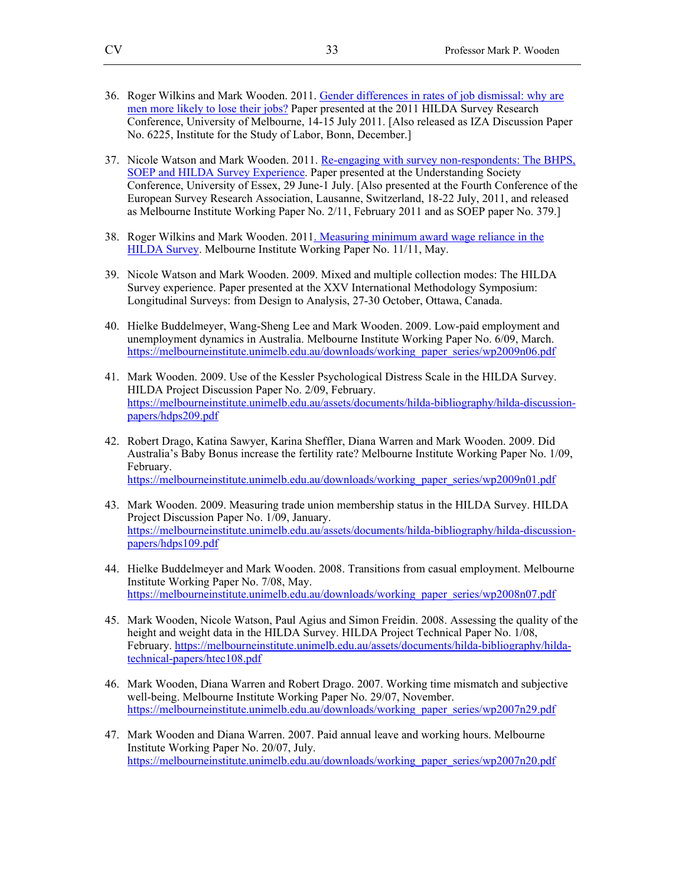- 36. Roger Wilkins and Mark Wooden. 2011. Gender differences in rates of job dismissal: why are men more likely to lose their jobs? Paper presented at the 2011 HILDA Survey Research Conference, University of Melbourne, 14-15 July 2011. [Also released as IZA Discussion Paper No. 6225, Institute for the Study of Labor, Bonn, December.]
- 37. Nicole Watson and Mark Wooden. 2011. Re-engaging with survey non-respondents: The BHPS, SOEP and HILDA Survey Experience. Paper presented at the Understanding Society Conference, University of Essex, 29 June-1 July. [Also presented at the Fourth Conference of the European Survey Research Association, Lausanne, Switzerland, 18-22 July, 2011, and released as Melbourne Institute Working Paper No. 2/11, February 2011 and as SOEP paper No. 379.]
- 38. Roger Wilkins and Mark Wooden. 2011. Measuring minimum award wage reliance in the HILDA Survey. Melbourne Institute Working Paper No. 11/11, May.
- 39. Nicole Watson and Mark Wooden. 2009. Mixed and multiple collection modes: The HILDA Survey experience. Paper presented at the XXV International Methodology Symposium: Longitudinal Surveys: from Design to Analysis, 27-30 October, Ottawa, Canada.
- 40. Hielke Buddelmeyer, Wang-Sheng Lee and Mark Wooden. 2009. Low-paid employment and unemployment dynamics in Australia. Melbourne Institute Working Paper No. 6/09, March. https://melbourneinstitute.unimelb.edu.au/downloads/working\_paper\_series/wp2009n06.pdf
- 41. Mark Wooden. 2009. Use of the Kessler Psychological Distress Scale in the HILDA Survey. HILDA Project Discussion Paper No. 2/09, February. https://melbourneinstitute.unimelb.edu.au/assets/documents/hilda-bibliography/hilda-discussionpapers/hdps209.pdf
- 42. Robert Drago, Katina Sawyer, Karina Sheffler, Diana Warren and Mark Wooden. 2009. Did Australia's Baby Bonus increase the fertility rate? Melbourne Institute Working Paper No. 1/09, February. https://melbourneinstitute.unimelb.edu.au/downloads/working\_paper\_series/wp2009n01.pdf
- 43. Mark Wooden. 2009. Measuring trade union membership status in the HILDA Survey. HILDA Project Discussion Paper No. 1/09, January. https://melbourneinstitute.unimelb.edu.au/assets/documents/hilda-bibliography/hilda-discussionpapers/hdps109.pdf
- 44. Hielke Buddelmeyer and Mark Wooden. 2008. Transitions from casual employment. Melbourne Institute Working Paper No. 7/08, May. https://melbourneinstitute.unimelb.edu.au/downloads/working\_paper\_series/wp2008n07.pdf
- 45. Mark Wooden, Nicole Watson, Paul Agius and Simon Freidin. 2008. Assessing the quality of the height and weight data in the HILDA Survey. HILDA Project Technical Paper No. 1/08, February. https://melbourneinstitute.unimelb.edu.au/assets/documents/hilda-bibliography/hildatechnical-papers/htec108.pdf
- 46. Mark Wooden, Diana Warren and Robert Drago. 2007. Working time mismatch and subjective well-being. Melbourne Institute Working Paper No. 29/07, November. https://melbourneinstitute.unimelb.edu.au/downloads/working\_paper\_series/wp2007n29.pdf
- 47. Mark Wooden and Diana Warren. 2007. Paid annual leave and working hours. Melbourne Institute Working Paper No. 20/07, July. https://melbourneinstitute.unimelb.edu.au/downloads/working\_paper\_series/wp2007n20.pdf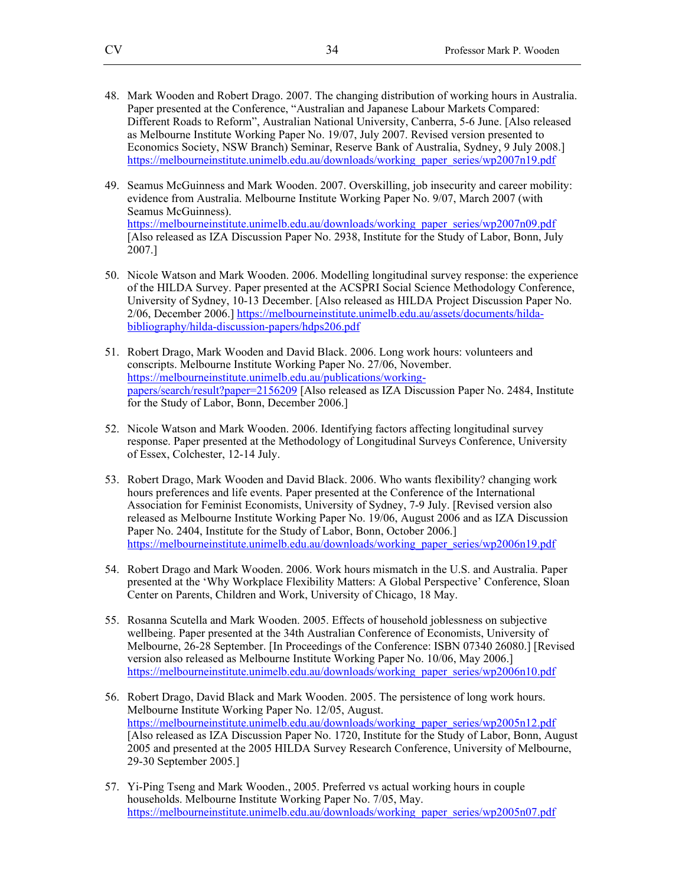- 48. Mark Wooden and Robert Drago. 2007. The changing distribution of working hours in Australia. Paper presented at the Conference, "Australian and Japanese Labour Markets Compared: Different Roads to Reform", Australian National University, Canberra, 5-6 June. [Also released as Melbourne Institute Working Paper No. 19/07, July 2007. Revised version presented to Economics Society, NSW Branch) Seminar, Reserve Bank of Australia, Sydney, 9 July 2008.] https://melbourneinstitute.unimelb.edu.au/downloads/working\_paper\_series/wp2007n19.pdf
- 49. Seamus McGuinness and Mark Wooden. 2007. Overskilling, job insecurity and career mobility: evidence from Australia. Melbourne Institute Working Paper No. 9/07, March 2007 (with Seamus McGuinness). https://melbourneinstitute.unimelb.edu.au/downloads/working\_paper\_series/wp2007n09.pdf [Also released as IZA Discussion Paper No. 2938, Institute for the Study of Labor, Bonn, July 2007.]
- 50. Nicole Watson and Mark Wooden. 2006. Modelling longitudinal survey response: the experience of the HILDA Survey. Paper presented at the ACSPRI Social Science Methodology Conference, University of Sydney, 10-13 December. [Also released as HILDA Project Discussion Paper No. 2/06, December 2006.] https://melbourneinstitute.unimelb.edu.au/assets/documents/hildabibliography/hilda-discussion-papers/hdps206.pdf
- 51. Robert Drago, Mark Wooden and David Black. 2006. Long work hours: volunteers and conscripts. Melbourne Institute Working Paper No. 27/06, November. https://melbourneinstitute.unimelb.edu.au/publications/workingpapers/search/result?paper=2156209 [Also released as IZA Discussion Paper No. 2484, Institute for the Study of Labor, Bonn, December 2006.]
- 52. Nicole Watson and Mark Wooden. 2006. Identifying factors affecting longitudinal survey response. Paper presented at the Methodology of Longitudinal Surveys Conference, University of Essex, Colchester, 12-14 July.
- 53. Robert Drago, Mark Wooden and David Black. 2006. Who wants flexibility? changing work hours preferences and life events. Paper presented at the Conference of the International Association for Feminist Economists, University of Sydney, 7-9 July. [Revised version also released as Melbourne Institute Working Paper No. 19/06, August 2006 and as IZA Discussion Paper No. 2404, Institute for the Study of Labor, Bonn, October 2006.] https://melbourneinstitute.unimelb.edu.au/downloads/working\_paper\_series/wp2006n19.pdf
- 54. Robert Drago and Mark Wooden. 2006. Work hours mismatch in the U.S. and Australia. Paper presented at the 'Why Workplace Flexibility Matters: A Global Perspective' Conference, Sloan Center on Parents, Children and Work, University of Chicago, 18 May.
- 55. Rosanna Scutella and Mark Wooden. 2005. Effects of household joblessness on subjective wellbeing. Paper presented at the 34th Australian Conference of Economists, University of Melbourne, 26-28 September. [In Proceedings of the Conference: ISBN 07340 26080.] [Revised version also released as Melbourne Institute Working Paper No. 10/06, May 2006.] https://melbourneinstitute.unimelb.edu.au/downloads/working\_paper\_series/wp2006n10.pdf
- 56. Robert Drago, David Black and Mark Wooden. 2005. The persistence of long work hours. Melbourne Institute Working Paper No. 12/05, August. https://melbourneinstitute.unimelb.edu.au/downloads/working\_paper\_series/wp2005n12.pdf [Also released as IZA Discussion Paper No. 1720, Institute for the Study of Labor, Bonn, August 2005 and presented at the 2005 HILDA Survey Research Conference, University of Melbourne, 29-30 September 2005.]
- 57. Yi-Ping Tseng and Mark Wooden., 2005. Preferred vs actual working hours in couple households. Melbourne Institute Working Paper No. 7/05, May. https://melbourneinstitute.unimelb.edu.au/downloads/working\_paper\_series/wp2005n07.pdf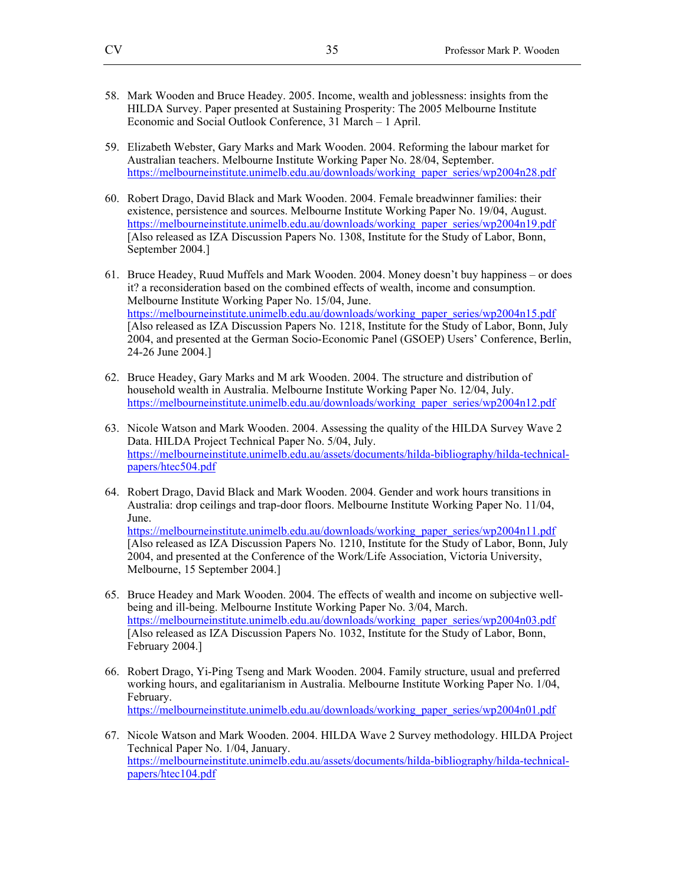- 58. Mark Wooden and Bruce Headey. 2005. Income, wealth and joblessness: insights from the HILDA Survey. Paper presented at Sustaining Prosperity: The 2005 Melbourne Institute Economic and Social Outlook Conference, 31 March – 1 April.
- 59. Elizabeth Webster, Gary Marks and Mark Wooden. 2004. Reforming the labour market for Australian teachers. Melbourne Institute Working Paper No. 28/04, September. https://melbourneinstitute.unimelb.edu.au/downloads/working\_paper\_series/wp2004n28.pdf
- 60. Robert Drago, David Black and Mark Wooden. 2004. Female breadwinner families: their existence, persistence and sources. Melbourne Institute Working Paper No. 19/04, August. https://melbourneinstitute.unimelb.edu.au/downloads/working\_paper\_series/wp2004n19.pdf [Also released as IZA Discussion Papers No. 1308, Institute for the Study of Labor, Bonn, September 2004.]
- 61. Bruce Headey, Ruud Muffels and Mark Wooden. 2004. Money doesn't buy happiness or does it? a reconsideration based on the combined effects of wealth, income and consumption. Melbourne Institute Working Paper No. 15/04, June. https://melbourneinstitute.unimelb.edu.au/downloads/working\_paper\_series/wp2004n15.pdf [Also released as IZA Discussion Papers No. 1218, Institute for the Study of Labor, Bonn, July 2004, and presented at the German Socio-Economic Panel (GSOEP) Users' Conference, Berlin, 24-26 June 2004.]
- 62. Bruce Headey, Gary Marks and M ark Wooden. 2004. The structure and distribution of household wealth in Australia. Melbourne Institute Working Paper No. 12/04, July. https://melbourneinstitute.unimelb.edu.au/downloads/working\_paper\_series/wp2004n12.pdf
- 63. Nicole Watson and Mark Wooden. 2004. Assessing the quality of the HILDA Survey Wave 2 Data. HILDA Project Technical Paper No. 5/04, July. https://melbourneinstitute.unimelb.edu.au/assets/documents/hilda-bibliography/hilda-technicalpapers/htec504.pdf
- 64. Robert Drago, David Black and Mark Wooden. 2004. Gender and work hours transitions in Australia: drop ceilings and trap-door floors. Melbourne Institute Working Paper No. 11/04, June. https://melbourneinstitute.unimelb.edu.au/downloads/working\_paper\_series/wp2004n11.pdf [Also released as IZA Discussion Papers No. 1210, Institute for the Study of Labor, Bonn, July 2004, and presented at the Conference of the Work/Life Association, Victoria University, Melbourne, 15 September 2004.]
- 65. Bruce Headey and Mark Wooden. 2004. The effects of wealth and income on subjective wellbeing and ill-being. Melbourne Institute Working Paper No. 3/04, March. https://melbourneinstitute.unimelb.edu.au/downloads/working\_paper\_series/wp2004n03.pdf [Also released as IZA Discussion Papers No. 1032, Institute for the Study of Labor, Bonn, February 2004.]
- 66. Robert Drago, Yi-Ping Tseng and Mark Wooden. 2004. Family structure, usual and preferred working hours, and egalitarianism in Australia. Melbourne Institute Working Paper No. 1/04, February. https://melbourneinstitute.unimelb.edu.au/downloads/working\_paper\_series/wp2004n01.pdf
- 67. Nicole Watson and Mark Wooden. 2004. HILDA Wave 2 Survey methodology. HILDA Project Technical Paper No. 1/04, January. https://melbourneinstitute.unimelb.edu.au/assets/documents/hilda-bibliography/hilda-technicalpapers/htec104.pdf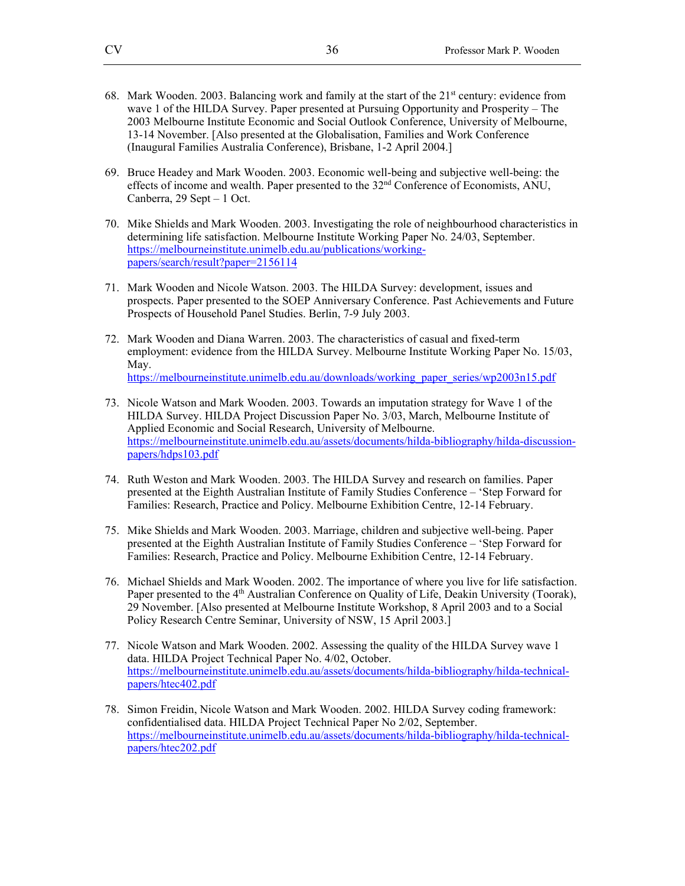- 68. Mark Wooden. 2003. Balancing work and family at the start of the  $21<sup>st</sup>$  century: evidence from wave 1 of the HILDA Survey. Paper presented at Pursuing Opportunity and Prosperity – The 2003 Melbourne Institute Economic and Social Outlook Conference, University of Melbourne, 13-14 November. [Also presented at the Globalisation, Families and Work Conference (Inaugural Families Australia Conference), Brisbane, 1-2 April 2004.]
- 69. Bruce Headey and Mark Wooden. 2003. Economic well-being and subjective well-being: the effects of income and wealth. Paper presented to the  $32<sup>nd</sup>$  Conference of Economists, ANU, Canberra, 29 Sept – 1 Oct.
- 70. Mike Shields and Mark Wooden. 2003. Investigating the role of neighbourhood characteristics in determining life satisfaction. Melbourne Institute Working Paper No. 24/03, September. https://melbourneinstitute.unimelb.edu.au/publications/workingpapers/search/result?paper=2156114
- 71. Mark Wooden and Nicole Watson. 2003. The HILDA Survey: development, issues and prospects. Paper presented to the SOEP Anniversary Conference. Past Achievements and Future Prospects of Household Panel Studies. Berlin, 7-9 July 2003.
- 72. Mark Wooden and Diana Warren. 2003. The characteristics of casual and fixed-term employment: evidence from the HILDA Survey. Melbourne Institute Working Paper No. 15/03, May. https://melbourneinstitute.unimelb.edu.au/downloads/working\_paper\_series/wp2003n15.pdf
- 73. Nicole Watson and Mark Wooden. 2003. Towards an imputation strategy for Wave 1 of the HILDA Survey. HILDA Project Discussion Paper No. 3/03, March, Melbourne Institute of Applied Economic and Social Research, University of Melbourne. https://melbourneinstitute.unimelb.edu.au/assets/documents/hilda-bibliography/hilda-discussionpapers/hdps103.pdf
- 74. Ruth Weston and Mark Wooden. 2003. The HILDA Survey and research on families. Paper presented at the Eighth Australian Institute of Family Studies Conference – 'Step Forward for Families: Research, Practice and Policy. Melbourne Exhibition Centre, 12-14 February.
- 75. Mike Shields and Mark Wooden. 2003. Marriage, children and subjective well-being. Paper presented at the Eighth Australian Institute of Family Studies Conference – 'Step Forward for Families: Research, Practice and Policy. Melbourne Exhibition Centre, 12-14 February.
- 76. Michael Shields and Mark Wooden. 2002. The importance of where you live for life satisfaction. Paper presented to the 4<sup>th</sup> Australian Conference on Quality of Life, Deakin University (Toorak), 29 November. [Also presented at Melbourne Institute Workshop, 8 April 2003 and to a Social Policy Research Centre Seminar, University of NSW, 15 April 2003.]
- 77. Nicole Watson and Mark Wooden. 2002. Assessing the quality of the HILDA Survey wave 1 data. HILDA Project Technical Paper No. 4/02, October. https://melbourneinstitute.unimelb.edu.au/assets/documents/hilda-bibliography/hilda-technicalpapers/htec402.pdf
- 78. Simon Freidin, Nicole Watson and Mark Wooden. 2002. HILDA Survey coding framework: confidentialised data. HILDA Project Technical Paper No 2/02, September. https://melbourneinstitute.unimelb.edu.au/assets/documents/hilda-bibliography/hilda-technicalpapers/htec202.pdf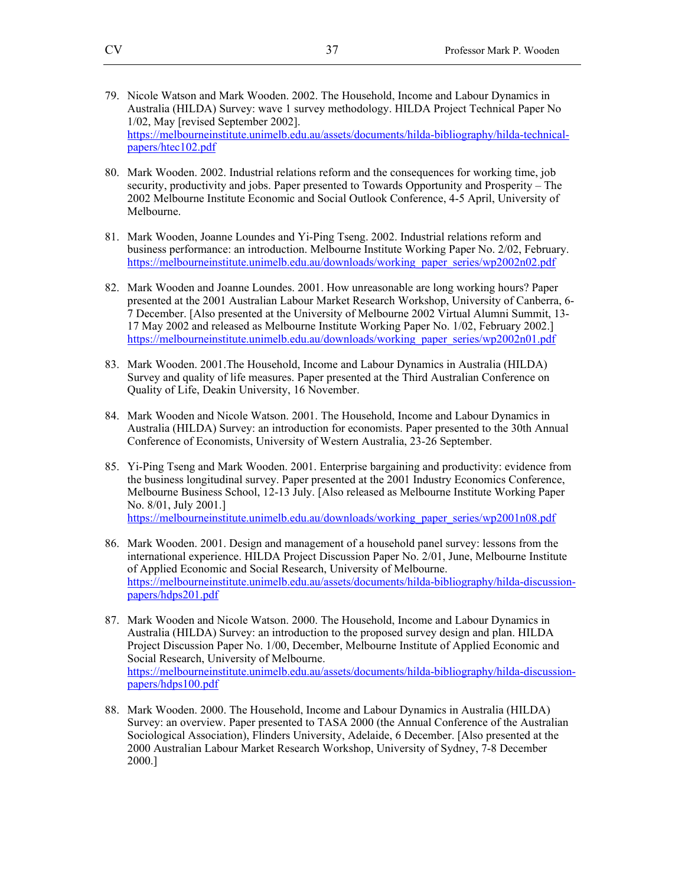- 79. Nicole Watson and Mark Wooden. 2002. The Household, Income and Labour Dynamics in Australia (HILDA) Survey: wave 1 survey methodology. HILDA Project Technical Paper No 1/02, May [revised September 2002]. https://melbourneinstitute.unimelb.edu.au/assets/documents/hilda-bibliography/hilda-technicalpapers/htec102.pdf
- 80. Mark Wooden. 2002. Industrial relations reform and the consequences for working time, job security, productivity and jobs. Paper presented to Towards Opportunity and Prosperity – The 2002 Melbourne Institute Economic and Social Outlook Conference, 4-5 April, University of Melbourne.
- 81. Mark Wooden, Joanne Loundes and Yi-Ping Tseng. 2002. Industrial relations reform and business performance: an introduction. Melbourne Institute Working Paper No. 2/02, February. https://melbourneinstitute.unimelb.edu.au/downloads/working\_paper\_series/wp2002n02.pdf
- 82. Mark Wooden and Joanne Loundes. 2001. How unreasonable are long working hours? Paper presented at the 2001 Australian Labour Market Research Workshop, University of Canberra, 6- 7 December. [Also presented at the University of Melbourne 2002 Virtual Alumni Summit, 13- 17 May 2002 and released as Melbourne Institute Working Paper No. 1/02, February 2002.] https://melbourneinstitute.unimelb.edu.au/downloads/working\_paper\_series/wp2002n01.pdf
- 83. Mark Wooden. 2001.The Household, Income and Labour Dynamics in Australia (HILDA) Survey and quality of life measures. Paper presented at the Third Australian Conference on Quality of Life, Deakin University, 16 November.
- 84. Mark Wooden and Nicole Watson. 2001. The Household, Income and Labour Dynamics in Australia (HILDA) Survey: an introduction for economists. Paper presented to the 30th Annual Conference of Economists, University of Western Australia, 23-26 September.
- 85. Yi-Ping Tseng and Mark Wooden. 2001. Enterprise bargaining and productivity: evidence from the business longitudinal survey. Paper presented at the 2001 Industry Economics Conference, Melbourne Business School, 12-13 July. [Also released as Melbourne Institute Working Paper No. 8/01, July 2001.] https://melbourneinstitute.unimelb.edu.au/downloads/working\_paper\_series/wp2001n08.pdf
- 86. Mark Wooden. 2001. Design and management of a household panel survey: lessons from the international experience. HILDA Project Discussion Paper No. 2/01, June, Melbourne Institute of Applied Economic and Social Research, University of Melbourne. https://melbourneinstitute.unimelb.edu.au/assets/documents/hilda-bibliography/hilda-discussionpapers/hdps201.pdf
- 87. Mark Wooden and Nicole Watson. 2000. The Household, Income and Labour Dynamics in Australia (HILDA) Survey: an introduction to the proposed survey design and plan. HILDA Project Discussion Paper No. 1/00, December, Melbourne Institute of Applied Economic and Social Research, University of Melbourne. https://melbourneinstitute.unimelb.edu.au/assets/documents/hilda-bibliography/hilda-discussionpapers/hdps100.pdf
- 88. Mark Wooden. 2000. The Household, Income and Labour Dynamics in Australia (HILDA) Survey: an overview. Paper presented to TASA 2000 (the Annual Conference of the Australian Sociological Association), Flinders University, Adelaide, 6 December. [Also presented at the 2000 Australian Labour Market Research Workshop, University of Sydney, 7-8 December 2000.]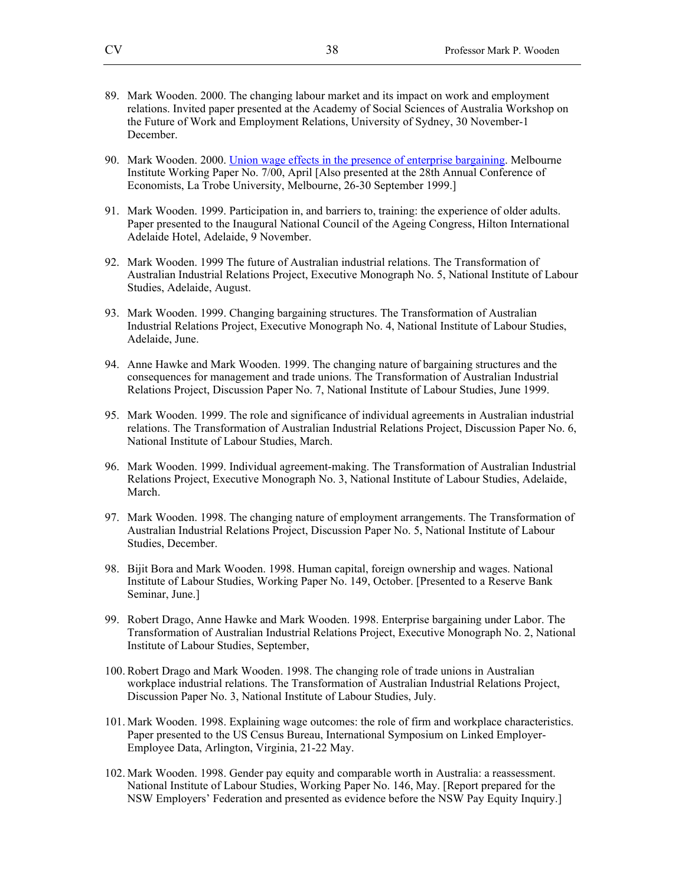- 89. Mark Wooden. 2000. The changing labour market and its impact on work and employment relations. Invited paper presented at the Academy of Social Sciences of Australia Workshop on the Future of Work and Employment Relations, University of Sydney, 30 November-1 December.
- 90. Mark Wooden. 2000. Union wage effects in the presence of enterprise bargaining. Melbourne Institute Working Paper No. 7/00, April [Also presented at the 28th Annual Conference of Economists, La Trobe University, Melbourne, 26-30 September 1999.]
- 91. Mark Wooden. 1999. Participation in, and barriers to, training: the experience of older adults. Paper presented to the Inaugural National Council of the Ageing Congress, Hilton International Adelaide Hotel, Adelaide, 9 November.
- 92. Mark Wooden. 1999 The future of Australian industrial relations. The Transformation of Australian Industrial Relations Project, Executive Monograph No. 5, National Institute of Labour Studies, Adelaide, August.
- 93. Mark Wooden. 1999. Changing bargaining structures. The Transformation of Australian Industrial Relations Project, Executive Monograph No. 4, National Institute of Labour Studies, Adelaide, June.
- 94. Anne Hawke and Mark Wooden. 1999. The changing nature of bargaining structures and the consequences for management and trade unions. The Transformation of Australian Industrial Relations Project, Discussion Paper No. 7, National Institute of Labour Studies, June 1999.
- 95. Mark Wooden. 1999. The role and significance of individual agreements in Australian industrial relations. The Transformation of Australian Industrial Relations Project, Discussion Paper No. 6, National Institute of Labour Studies, March.
- 96. Mark Wooden. 1999. Individual agreement-making. The Transformation of Australian Industrial Relations Project, Executive Monograph No. 3, National Institute of Labour Studies, Adelaide, March.
- 97. Mark Wooden. 1998. The changing nature of employment arrangements. The Transformation of Australian Industrial Relations Project, Discussion Paper No. 5, National Institute of Labour Studies, December.
- 98. Bijit Bora and Mark Wooden. 1998. Human capital, foreign ownership and wages. National Institute of Labour Studies, Working Paper No. 149, October. [Presented to a Reserve Bank Seminar, June.]
- 99. Robert Drago, Anne Hawke and Mark Wooden. 1998. Enterprise bargaining under Labor. The Transformation of Australian Industrial Relations Project, Executive Monograph No. 2, National Institute of Labour Studies, September,
- 100. Robert Drago and Mark Wooden. 1998. The changing role of trade unions in Australian workplace industrial relations. The Transformation of Australian Industrial Relations Project, Discussion Paper No. 3, National Institute of Labour Studies, July.
- 101. Mark Wooden. 1998. Explaining wage outcomes: the role of firm and workplace characteristics. Paper presented to the US Census Bureau, International Symposium on Linked Employer-Employee Data, Arlington, Virginia, 21-22 May.
- 102. Mark Wooden. 1998. Gender pay equity and comparable worth in Australia: a reassessment. National Institute of Labour Studies, Working Paper No. 146, May. [Report prepared for the NSW Employers' Federation and presented as evidence before the NSW Pay Equity Inquiry.]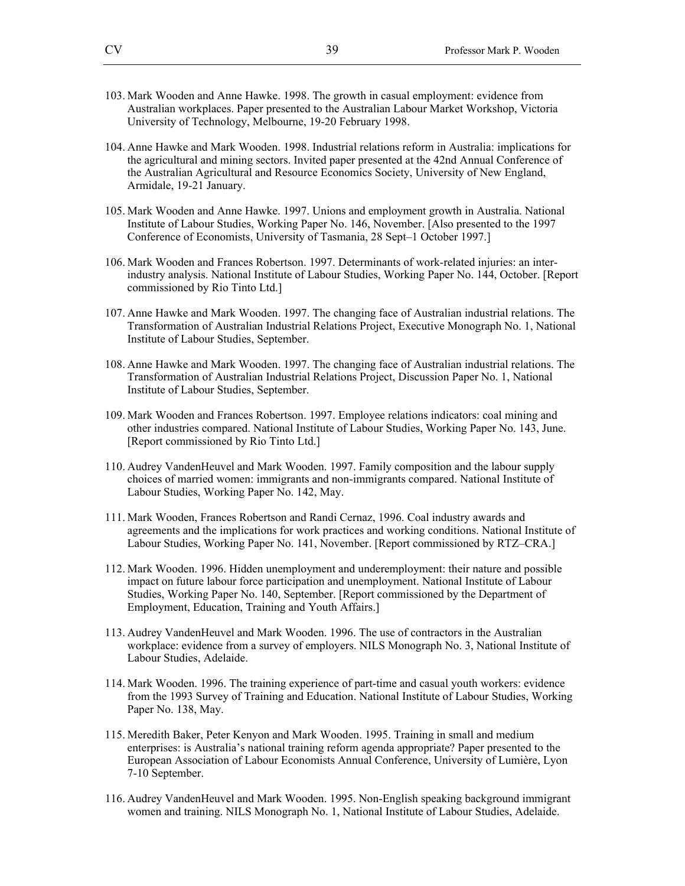- 103. Mark Wooden and Anne Hawke. 1998. The growth in casual employment: evidence from Australian workplaces. Paper presented to the Australian Labour Market Workshop, Victoria University of Technology, Melbourne, 19-20 February 1998.
- 104. Anne Hawke and Mark Wooden. 1998. Industrial relations reform in Australia: implications for the agricultural and mining sectors. Invited paper presented at the 42nd Annual Conference of the Australian Agricultural and Resource Economics Society, University of New England, Armidale, 19-21 January.
- 105. Mark Wooden and Anne Hawke. 1997. Unions and employment growth in Australia. National Institute of Labour Studies, Working Paper No. 146, November. [Also presented to the 1997 Conference of Economists, University of Tasmania, 28 Sept–1 October 1997.]
- 106. Mark Wooden and Frances Robertson. 1997. Determinants of work-related injuries: an interindustry analysis. National Institute of Labour Studies, Working Paper No. 144, October. [Report commissioned by Rio Tinto Ltd.]
- 107. Anne Hawke and Mark Wooden. 1997. The changing face of Australian industrial relations. The Transformation of Australian Industrial Relations Project, Executive Monograph No. 1, National Institute of Labour Studies, September.
- 108. Anne Hawke and Mark Wooden. 1997. The changing face of Australian industrial relations. The Transformation of Australian Industrial Relations Project, Discussion Paper No. 1, National Institute of Labour Studies, September.
- 109. Mark Wooden and Frances Robertson. 1997. Employee relations indicators: coal mining and other industries compared. National Institute of Labour Studies, Working Paper No. 143, June. [Report commissioned by Rio Tinto Ltd.]
- 110. Audrey VandenHeuvel and Mark Wooden. 1997. Family composition and the labour supply choices of married women: immigrants and non-immigrants compared. National Institute of Labour Studies, Working Paper No. 142, May.
- 111. Mark Wooden, Frances Robertson and Randi Cernaz, 1996. Coal industry awards and agreements and the implications for work practices and working conditions. National Institute of Labour Studies, Working Paper No. 141, November. [Report commissioned by RTZ–CRA.]
- 112. Mark Wooden. 1996. Hidden unemployment and underemployment: their nature and possible impact on future labour force participation and unemployment. National Institute of Labour Studies, Working Paper No. 140, September. [Report commissioned by the Department of Employment, Education, Training and Youth Affairs.]
- 113. Audrey VandenHeuvel and Mark Wooden. 1996. The use of contractors in the Australian workplace: evidence from a survey of employers. NILS Monograph No. 3, National Institute of Labour Studies, Adelaide.
- 114. Mark Wooden. 1996. The training experience of part-time and casual youth workers: evidence from the 1993 Survey of Training and Education. National Institute of Labour Studies, Working Paper No. 138, May.
- 115. Meredith Baker, Peter Kenyon and Mark Wooden. 1995. Training in small and medium enterprises: is Australia's national training reform agenda appropriate? Paper presented to the European Association of Labour Economists Annual Conference, University of Lumière, Lyon 7-10 September.
- 116. Audrey VandenHeuvel and Mark Wooden. 1995. Non-English speaking background immigrant women and training. NILS Monograph No. 1, National Institute of Labour Studies, Adelaide.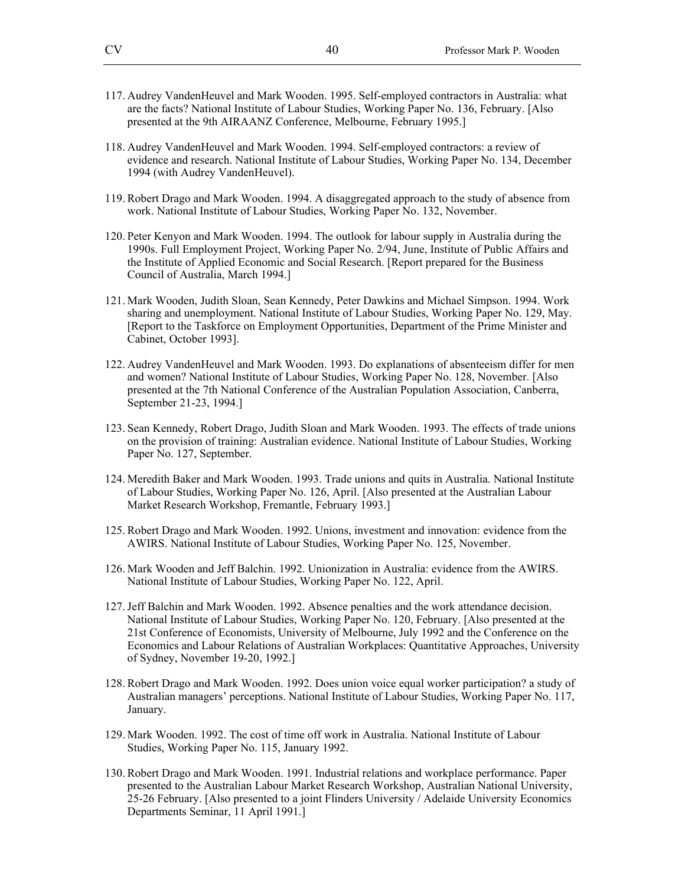- 117. Audrey VandenHeuvel and Mark Wooden. 1995. Self-employed contractors in Australia: what are the facts? National Institute of Labour Studies, Working Paper No. 136, February. [Also presented at the 9th AIRAANZ Conference, Melbourne, February 1995.]
- 118. Audrey VandenHeuvel and Mark Wooden. 1994. Self-employed contractors: a review of evidence and research. National Institute of Labour Studies, Working Paper No. 134, December 1994 (with Audrey VandenHeuvel).
- 119. Robert Drago and Mark Wooden. 1994. A disaggregated approach to the study of absence from work. National Institute of Labour Studies, Working Paper No. 132, November.
- 120. Peter Kenyon and Mark Wooden. 1994. The outlook for labour supply in Australia during the 1990s. Full Employment Project, Working Paper No. 2/94, June, Institute of Public Affairs and the Institute of Applied Economic and Social Research. [Report prepared for the Business Council of Australia, March 1994.]
- 121. Mark Wooden, Judith Sloan, Sean Kennedy, Peter Dawkins and Michael Simpson. 1994. Work sharing and unemployment. National Institute of Labour Studies, Working Paper No. 129, May. [Report to the Taskforce on Employment Opportunities, Department of the Prime Minister and Cabinet, October 1993].
- 122. Audrey VandenHeuvel and Mark Wooden. 1993. Do explanations of absenteeism differ for men and women? National Institute of Labour Studies, Working Paper No. 128, November. [Also presented at the 7th National Conference of the Australian Population Association, Canberra, September 21-23, 1994.]
- 123. Sean Kennedy, Robert Drago, Judith Sloan and Mark Wooden. 1993. The effects of trade unions on the provision of training: Australian evidence. National Institute of Labour Studies, Working Paper No. 127, September.
- 124. Meredith Baker and Mark Wooden. 1993. Trade unions and quits in Australia. National Institute of Labour Studies, Working Paper No. 126, April. [Also presented at the Australian Labour Market Research Workshop, Fremantle, February 1993.]
- 125. Robert Drago and Mark Wooden. 1992. Unions, investment and innovation: evidence from the AWIRS. National Institute of Labour Studies, Working Paper No. 125, November.
- 126. Mark Wooden and Jeff Balchin. 1992. Unionization in Australia: evidence from the AWIRS. National Institute of Labour Studies, Working Paper No. 122, April.
- 127.Jeff Balchin and Mark Wooden. 1992. Absence penalties and the work attendance decision. National Institute of Labour Studies, Working Paper No. 120, February. [Also presented at the 21st Conference of Economists, University of Melbourne, July 1992 and the Conference on the Economics and Labour Relations of Australian Workplaces: Quantitative Approaches, University of Sydney, November 19-20, 1992.]
- 128. Robert Drago and Mark Wooden. 1992. Does union voice equal worker participation? a study of Australian managers' perceptions. National Institute of Labour Studies, Working Paper No. 117, January.
- 129. Mark Wooden. 1992. The cost of time off work in Australia. National Institute of Labour Studies, Working Paper No. 115, January 1992.
- 130. Robert Drago and Mark Wooden. 1991. Industrial relations and workplace performance. Paper presented to the Australian Labour Market Research Workshop, Australian National University, 25-26 February. [Also presented to a joint Flinders University / Adelaide University Economics Departments Seminar, 11 April 1991.]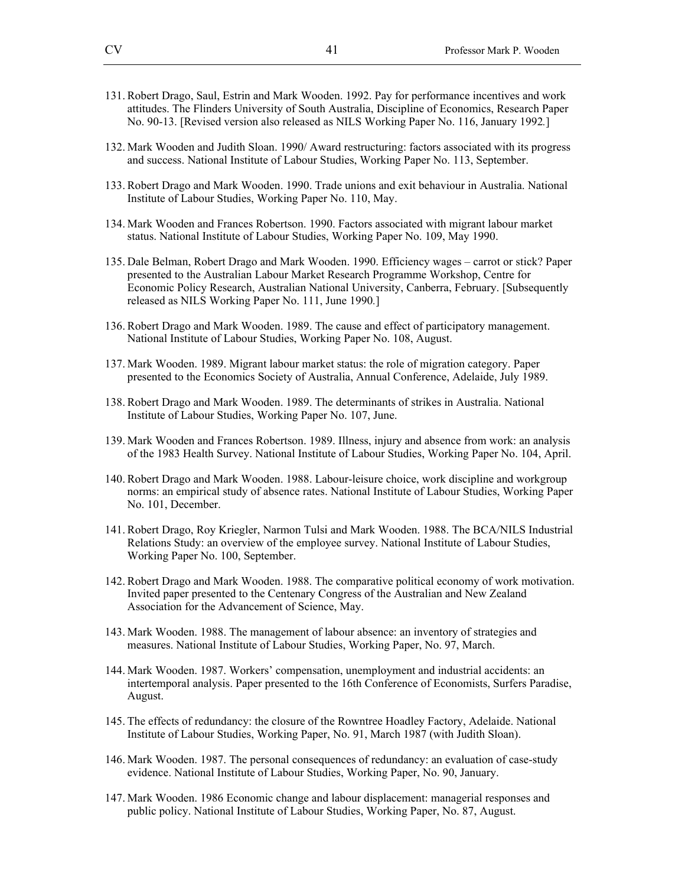- 131. Robert Drago, Saul, Estrin and Mark Wooden. 1992. Pay for performance incentives and work attitudes. The Flinders University of South Australia, Discipline of Economics, Research Paper No. 90-13. [Revised version also released as NILS Working Paper No. 116, January 1992*.*]
- 132. Mark Wooden and Judith Sloan. 1990/ Award restructuring: factors associated with its progress and success. National Institute of Labour Studies, Working Paper No. 113, September.
- 133. Robert Drago and Mark Wooden. 1990. Trade unions and exit behaviour in Australia. National Institute of Labour Studies, Working Paper No. 110, May.
- 134. Mark Wooden and Frances Robertson. 1990. Factors associated with migrant labour market status. National Institute of Labour Studies, Working Paper No. 109, May 1990.
- 135. Dale Belman, Robert Drago and Mark Wooden. 1990. Efficiency wages carrot or stick? Paper presented to the Australian Labour Market Research Programme Workshop, Centre for Economic Policy Research, Australian National University, Canberra, February. [Subsequently released as NILS Working Paper No. 111, June 1990*.*]
- 136. Robert Drago and Mark Wooden. 1989. The cause and effect of participatory management. National Institute of Labour Studies, Working Paper No. 108, August.
- 137. Mark Wooden. 1989. Migrant labour market status: the role of migration category. Paper presented to the Economics Society of Australia, Annual Conference, Adelaide, July 1989.
- 138. Robert Drago and Mark Wooden. 1989. The determinants of strikes in Australia. National Institute of Labour Studies, Working Paper No. 107, June.
- 139. Mark Wooden and Frances Robertson. 1989. Illness, injury and absence from work: an analysis of the 1983 Health Survey. National Institute of Labour Studies, Working Paper No. 104, April.
- 140. Robert Drago and Mark Wooden. 1988. Labour-leisure choice, work discipline and workgroup norms: an empirical study of absence rates. National Institute of Labour Studies, Working Paper No. 101, December.
- 141. Robert Drago, Roy Kriegler, Narmon Tulsi and Mark Wooden. 1988. The BCA/NILS Industrial Relations Study: an overview of the employee survey. National Institute of Labour Studies, Working Paper No. 100, September.
- 142. Robert Drago and Mark Wooden. 1988. The comparative political economy of work motivation. Invited paper presented to the Centenary Congress of the Australian and New Zealand Association for the Advancement of Science, May.
- 143. Mark Wooden. 1988. The management of labour absence: an inventory of strategies and measures. National Institute of Labour Studies, Working Paper, No. 97, March.
- 144. Mark Wooden. 1987. Workers' compensation, unemployment and industrial accidents: an intertemporal analysis. Paper presented to the 16th Conference of Economists, Surfers Paradise, August.
- 145. The effects of redundancy: the closure of the Rowntree Hoadley Factory, Adelaide. National Institute of Labour Studies, Working Paper, No. 91, March 1987 (with Judith Sloan).
- 146. Mark Wooden. 1987. The personal consequences of redundancy: an evaluation of case-study evidence. National Institute of Labour Studies, Working Paper, No. 90, January.
- 147. Mark Wooden. 1986 Economic change and labour displacement: managerial responses and public policy. National Institute of Labour Studies, Working Paper, No. 87, August.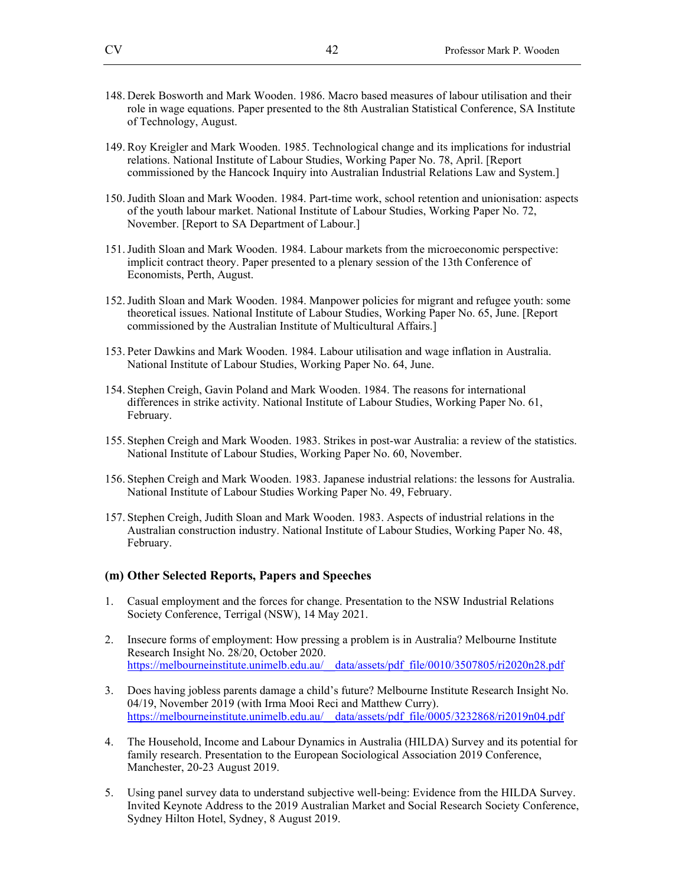- 148. Derek Bosworth and Mark Wooden. 1986. Macro based measures of labour utilisation and their role in wage equations. Paper presented to the 8th Australian Statistical Conference, SA Institute of Technology, August.
- 149. Roy Kreigler and Mark Wooden. 1985. Technological change and its implications for industrial relations. National Institute of Labour Studies, Working Paper No. 78, April. [Report commissioned by the Hancock Inquiry into Australian Industrial Relations Law and System.]
- 150.Judith Sloan and Mark Wooden. 1984. Part-time work, school retention and unionisation: aspects of the youth labour market. National Institute of Labour Studies, Working Paper No. 72, November. [Report to SA Department of Labour.]
- 151.Judith Sloan and Mark Wooden. 1984. Labour markets from the microeconomic perspective: implicit contract theory. Paper presented to a plenary session of the 13th Conference of Economists, Perth, August.
- 152.Judith Sloan and Mark Wooden. 1984. Manpower policies for migrant and refugee youth: some theoretical issues. National Institute of Labour Studies, Working Paper No. 65, June. [Report commissioned by the Australian Institute of Multicultural Affairs.]
- 153. Peter Dawkins and Mark Wooden. 1984. Labour utilisation and wage inflation in Australia. National Institute of Labour Studies, Working Paper No. 64, June.
- 154. Stephen Creigh, Gavin Poland and Mark Wooden. 1984. The reasons for international differences in strike activity. National Institute of Labour Studies, Working Paper No. 61, February.
- 155. Stephen Creigh and Mark Wooden. 1983. Strikes in post-war Australia: a review of the statistics. National Institute of Labour Studies, Working Paper No. 60, November.
- 156. Stephen Creigh and Mark Wooden. 1983. Japanese industrial relations: the lessons for Australia. National Institute of Labour Studies Working Paper No. 49, February.
- 157. Stephen Creigh, Judith Sloan and Mark Wooden. 1983. Aspects of industrial relations in the Australian construction industry. National Institute of Labour Studies, Working Paper No. 48, February.

#### **(m) Other Selected Reports, Papers and Speeches**

- 1. Casual employment and the forces for change. Presentation to the NSW Industrial Relations Society Conference, Terrigal (NSW), 14 May 2021.
- 2. Insecure forms of employment: How pressing a problem is in Australia? Melbourne Institute Research Insight No. 28/20, October 2020. https://melbourneinstitute.unimelb.edu.au/\_\_data/assets/pdf\_file/0010/3507805/ri2020n28.pdf
- 3. Does having jobless parents damage a child's future? Melbourne Institute Research Insight No. 04/19, November 2019 (with Irma Mooi Reci and Matthew Curry). https://melbourneinstitute.unimelb.edu.au/\_\_data/assets/pdf\_file/0005/3232868/ri2019n04.pdf
- 4. The Household, Income and Labour Dynamics in Australia (HILDA) Survey and its potential for family research. Presentation to the European Sociological Association 2019 Conference, Manchester, 20-23 August 2019.
- 5. Using panel survey data to understand subjective well-being: Evidence from the HILDA Survey. Invited Keynote Address to the 2019 Australian Market and Social Research Society Conference, Sydney Hilton Hotel, Sydney, 8 August 2019.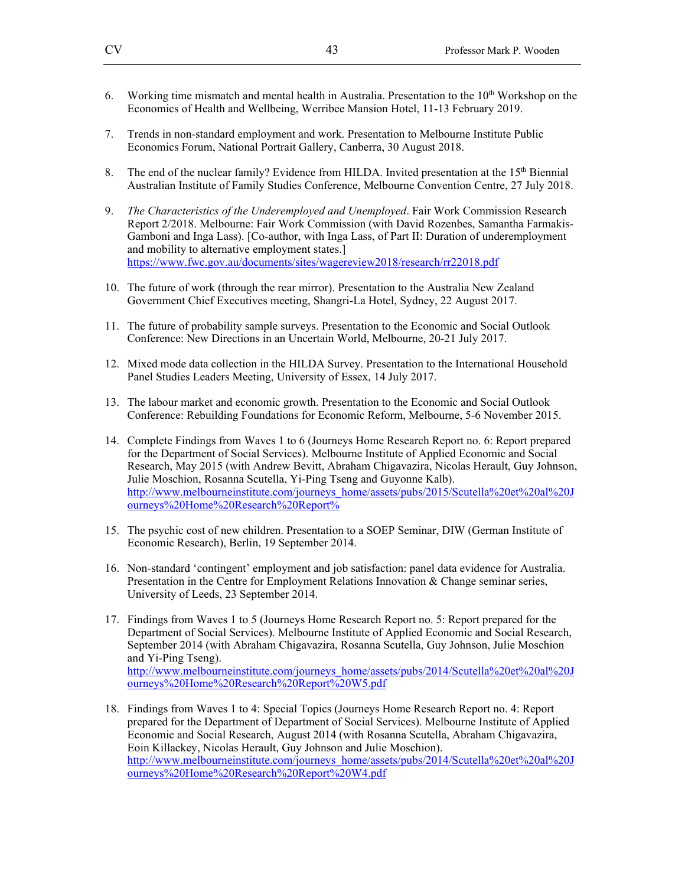- 6. Working time mismatch and mental health in Australia. Presentation to the  $10<sup>th</sup>$  Workshop on the Economics of Health and Wellbeing, Werribee Mansion Hotel, 11-13 February 2019.
- 7. Trends in non-standard employment and work. Presentation to Melbourne Institute Public Economics Forum, National Portrait Gallery, Canberra, 30 August 2018.
- 8. The end of the nuclear family? Evidence from HILDA. Invited presentation at the 15<sup>th</sup> Biennial Australian Institute of Family Studies Conference, Melbourne Convention Centre, 27 July 2018.
- 9. *The Characteristics of the Underemployed and Unemployed*. Fair Work Commission Research Report 2/2018. Melbourne: Fair Work Commission (with David Rozenbes, Samantha Farmakis-Gamboni and Inga Lass). [Co-author, with Inga Lass, of Part II: Duration of underemployment and mobility to alternative employment states.] https://www.fwc.gov.au/documents/sites/wagereview2018/research/rr22018.pdf
- 10. The future of work (through the rear mirror). Presentation to the Australia New Zealand Government Chief Executives meeting, Shangri-La Hotel, Sydney, 22 August 2017.
- 11. The future of probability sample surveys. Presentation to the Economic and Social Outlook Conference: New Directions in an Uncertain World, Melbourne, 20-21 July 2017.
- 12. Mixed mode data collection in the HILDA Survey. Presentation to the International Household Panel Studies Leaders Meeting, University of Essex, 14 July 2017.
- 13. The labour market and economic growth. Presentation to the Economic and Social Outlook Conference: Rebuilding Foundations for Economic Reform, Melbourne, 5-6 November 2015.
- 14. Complete Findings from Waves 1 to 6 (Journeys Home Research Report no. 6: Report prepared for the Department of Social Services). Melbourne Institute of Applied Economic and Social Research, May 2015 (with Andrew Bevitt, Abraham Chigavazira, Nicolas Herault, Guy Johnson, Julie Moschion, Rosanna Scutella, Yi-Ping Tseng and Guyonne Kalb). http://www.melbourneinstitute.com/journeys\_home/assets/pubs/2015/Scutella%20et%20al%20J ourneys%20Home%20Research%20Report%
- 15. The psychic cost of new children. Presentation to a SOEP Seminar, DIW (German Institute of Economic Research), Berlin, 19 September 2014.
- 16. Non-standard 'contingent' employment and job satisfaction: panel data evidence for Australia. Presentation in the Centre for Employment Relations Innovation & Change seminar series, University of Leeds, 23 September 2014.
- 17. Findings from Waves 1 to 5 (Journeys Home Research Report no. 5: Report prepared for the Department of Social Services). Melbourne Institute of Applied Economic and Social Research, September 2014 (with Abraham Chigavazira, Rosanna Scutella, Guy Johnson, Julie Moschion and Yi-Ping Tseng). http://www.melbourneinstitute.com/journeys\_home/assets/pubs/2014/Scutella%20et%20al%20J ourneys%20Home%20Research%20Report%20W5.pdf
- 18. Findings from Waves 1 to 4: Special Topics (Journeys Home Research Report no. 4: Report prepared for the Department of Department of Social Services). Melbourne Institute of Applied Economic and Social Research, August 2014 (with Rosanna Scutella, Abraham Chigavazira, Eoin Killackey, Nicolas Herault, Guy Johnson and Julie Moschion). http://www.melbourneinstitute.com/journeys\_home/assets/pubs/2014/Scutella%20et%20al%20J ourneys%20Home%20Research%20Report%20W4.pdf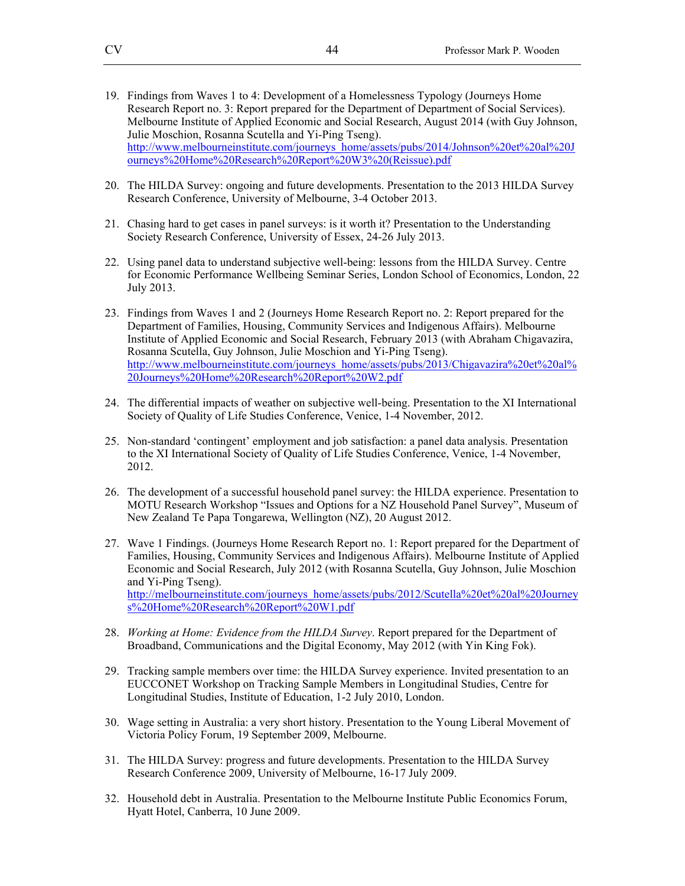- 19. Findings from Waves 1 to 4: Development of a Homelessness Typology (Journeys Home Research Report no. 3: Report prepared for the Department of Department of Social Services). Melbourne Institute of Applied Economic and Social Research, August 2014 (with Guy Johnson, Julie Moschion, Rosanna Scutella and Yi-Ping Tseng). http://www.melbourneinstitute.com/journeys\_home/assets/pubs/2014/Johnson%20et%20al%20J ourneys%20Home%20Research%20Report%20W3%20(Reissue).pdf
- 20. The HILDA Survey: ongoing and future developments. Presentation to the 2013 HILDA Survey Research Conference, University of Melbourne, 3-4 October 2013.
- 21. Chasing hard to get cases in panel surveys: is it worth it? Presentation to the Understanding Society Research Conference, University of Essex, 24-26 July 2013.
- 22. Using panel data to understand subjective well-being: lessons from the HILDA Survey. Centre for Economic Performance Wellbeing Seminar Series, London School of Economics, London, 22 July 2013.
- 23. Findings from Waves 1 and 2 (Journeys Home Research Report no. 2: Report prepared for the Department of Families, Housing, Community Services and Indigenous Affairs). Melbourne Institute of Applied Economic and Social Research, February 2013 (with Abraham Chigavazira, Rosanna Scutella, Guy Johnson, Julie Moschion and Yi-Ping Tseng). http://www.melbourneinstitute.com/journeys\_home/assets/pubs/2013/Chigavazira%20et%20al% 20Journeys%20Home%20Research%20Report%20W2.pdf
- 24. The differential impacts of weather on subjective well-being. Presentation to the XI International Society of Quality of Life Studies Conference, Venice, 1-4 November, 2012.
- 25. Non-standard 'contingent' employment and job satisfaction: a panel data analysis. Presentation to the XI International Society of Quality of Life Studies Conference, Venice, 1-4 November, 2012.
- 26. The development of a successful household panel survey: the HILDA experience. Presentation to MOTU Research Workshop "Issues and Options for a NZ Household Panel Survey", Museum of New Zealand Te Papa Tongarewa, Wellington (NZ), 20 August 2012.
- 27. Wave 1 Findings. (Journeys Home Research Report no. 1: Report prepared for the Department of Families, Housing, Community Services and Indigenous Affairs). Melbourne Institute of Applied Economic and Social Research, July 2012 (with Rosanna Scutella, Guy Johnson, Julie Moschion and Yi-Ping Tseng). http://melbourneinstitute.com/journeys\_home/assets/pubs/2012/Scutella%20et%20al%20Journey s%20Home%20Research%20Report%20W1.pdf
- 28. *Working at Home: Evidence from the HILDA Survey*. Report prepared for the Department of Broadband, Communications and the Digital Economy, May 2012 (with Yin King Fok).
- 29. Tracking sample members over time: the HILDA Survey experience. Invited presentation to an EUCCONET Workshop on Tracking Sample Members in Longitudinal Studies, Centre for Longitudinal Studies, Institute of Education, 1-2 July 2010, London.
- 30. Wage setting in Australia: a very short history. Presentation to the Young Liberal Movement of Victoria Policy Forum, 19 September 2009, Melbourne.
- 31. The HILDA Survey: progress and future developments. Presentation to the HILDA Survey Research Conference 2009, University of Melbourne, 16-17 July 2009.
- 32. Household debt in Australia. Presentation to the Melbourne Institute Public Economics Forum, Hyatt Hotel, Canberra, 10 June 2009.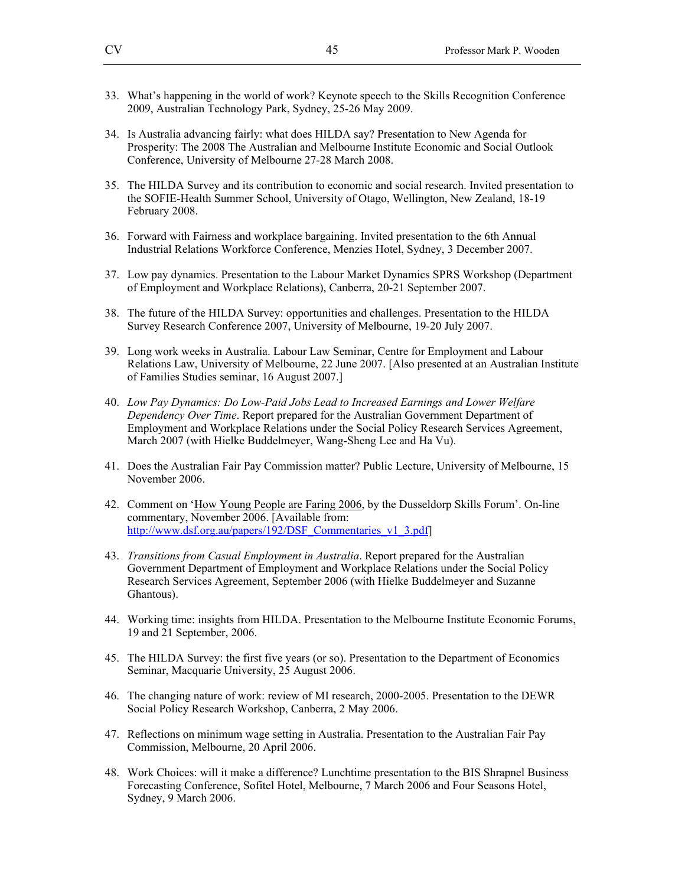- 33. What's happening in the world of work? Keynote speech to the Skills Recognition Conference 2009, Australian Technology Park, Sydney, 25-26 May 2009.
- 34. Is Australia advancing fairly: what does HILDA say? Presentation to New Agenda for Prosperity: The 2008 The Australian and Melbourne Institute Economic and Social Outlook Conference, University of Melbourne 27-28 March 2008.
- 35. The HILDA Survey and its contribution to economic and social research. Invited presentation to the SOFIE-Health Summer School, University of Otago, Wellington, New Zealand, 18-19 February 2008.
- 36. Forward with Fairness and workplace bargaining. Invited presentation to the 6th Annual Industrial Relations Workforce Conference, Menzies Hotel, Sydney, 3 December 2007.
- 37. Low pay dynamics. Presentation to the Labour Market Dynamics SPRS Workshop (Department of Employment and Workplace Relations), Canberra, 20-21 September 2007.
- 38. The future of the HILDA Survey: opportunities and challenges. Presentation to the HILDA Survey Research Conference 2007, University of Melbourne, 19-20 July 2007.
- 39. Long work weeks in Australia. Labour Law Seminar, Centre for Employment and Labour Relations Law, University of Melbourne, 22 June 2007. [Also presented at an Australian Institute of Families Studies seminar, 16 August 2007.]
- 40. *Low Pay Dynamics: Do Low-Paid Jobs Lead to Increased Earnings and Lower Welfare Dependency Over Time*. Report prepared for the Australian Government Department of Employment and Workplace Relations under the Social Policy Research Services Agreement, March 2007 (with Hielke Buddelmeyer, Wang-Sheng Lee and Ha Vu).
- 41. Does the Australian Fair Pay Commission matter? Public Lecture, University of Melbourne, 15 November 2006.
- 42. Comment on 'How Young People are Faring 2006, by the Dusseldorp Skills Forum'. On-line commentary, November 2006. [Available from: http://www.dsf.org.au/papers/192/DSF\_Commentaries\_v1\_3.pdf]
- 43. *Transitions from Casual Employment in Australia*. Report prepared for the Australian Government Department of Employment and Workplace Relations under the Social Policy Research Services Agreement, September 2006 (with Hielke Buddelmeyer and Suzanne Ghantous).
- 44. Working time: insights from HILDA. Presentation to the Melbourne Institute Economic Forums, 19 and 21 September, 2006.
- 45. The HILDA Survey: the first five years (or so). Presentation to the Department of Economics Seminar, Macquarie University, 25 August 2006.
- 46. The changing nature of work: review of MI research, 2000-2005. Presentation to the DEWR Social Policy Research Workshop, Canberra, 2 May 2006.
- 47. Reflections on minimum wage setting in Australia. Presentation to the Australian Fair Pay Commission, Melbourne, 20 April 2006.
- 48. Work Choices: will it make a difference? Lunchtime presentation to the BIS Shrapnel Business Forecasting Conference, Sofitel Hotel, Melbourne, 7 March 2006 and Four Seasons Hotel, Sydney, 9 March 2006.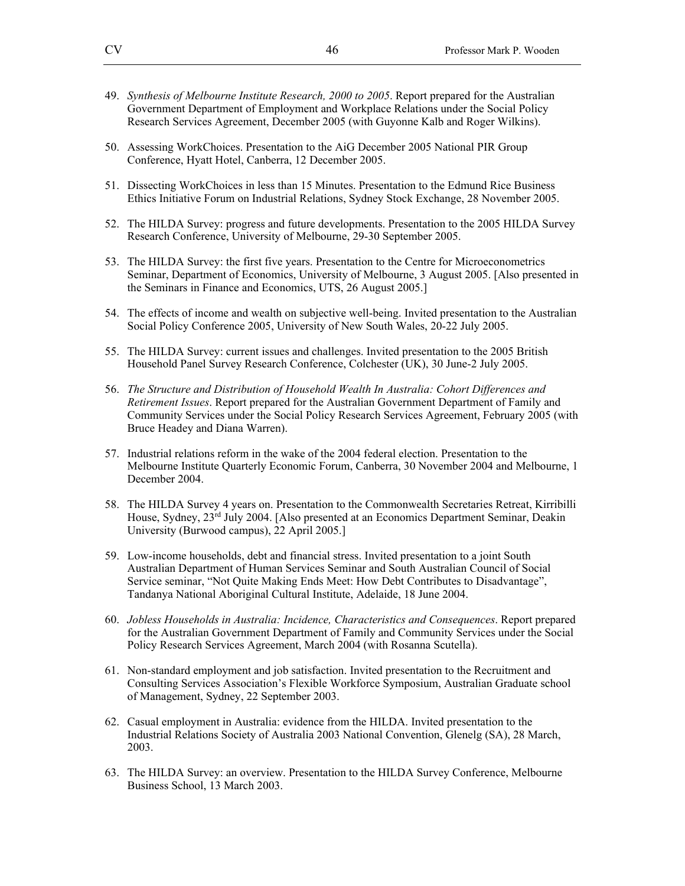- 49. *Synthesis of Melbourne Institute Research, 2000 to 2005*. Report prepared for the Australian Government Department of Employment and Workplace Relations under the Social Policy Research Services Agreement, December 2005 (with Guyonne Kalb and Roger Wilkins).
- 50. Assessing WorkChoices. Presentation to the AiG December 2005 National PIR Group Conference, Hyatt Hotel, Canberra, 12 December 2005.
- 51. Dissecting WorkChoices in less than 15 Minutes. Presentation to the Edmund Rice Business Ethics Initiative Forum on Industrial Relations, Sydney Stock Exchange, 28 November 2005.
- 52. The HILDA Survey: progress and future developments. Presentation to the 2005 HILDA Survey Research Conference, University of Melbourne, 29-30 September 2005.
- 53. The HILDA Survey: the first five years. Presentation to the Centre for Microeconometrics Seminar, Department of Economics, University of Melbourne, 3 August 2005. [Also presented in the Seminars in Finance and Economics, UTS, 26 August 2005.]
- 54. The effects of income and wealth on subjective well-being. Invited presentation to the Australian Social Policy Conference 2005, University of New South Wales, 20-22 July 2005.
- 55. The HILDA Survey: current issues and challenges. Invited presentation to the 2005 British Household Panel Survey Research Conference, Colchester (UK), 30 June-2 July 2005.
- 56. *The Structure and Distribution of Household Wealth In Australia: Cohort Differences and Retirement Issues*. Report prepared for the Australian Government Department of Family and Community Services under the Social Policy Research Services Agreement, February 2005 (with Bruce Headey and Diana Warren).
- 57. Industrial relations reform in the wake of the 2004 federal election. Presentation to the Melbourne Institute Quarterly Economic Forum, Canberra, 30 November 2004 and Melbourne, 1 December 2004.
- 58. The HILDA Survey 4 years on. Presentation to the Commonwealth Secretaries Retreat, Kirribilli House, Sydney, 23rd July 2004. [Also presented at an Economics Department Seminar, Deakin University (Burwood campus), 22 April 2005.]
- 59. Low-income households, debt and financial stress. Invited presentation to a joint South Australian Department of Human Services Seminar and South Australian Council of Social Service seminar, "Not Quite Making Ends Meet: How Debt Contributes to Disadvantage", Tandanya National Aboriginal Cultural Institute, Adelaide, 18 June 2004.
- 60. *Jobless Households in Australia: Incidence, Characteristics and Consequences*. Report prepared for the Australian Government Department of Family and Community Services under the Social Policy Research Services Agreement, March 2004 (with Rosanna Scutella).
- 61. Non-standard employment and job satisfaction. Invited presentation to the Recruitment and Consulting Services Association's Flexible Workforce Symposium, Australian Graduate school of Management, Sydney, 22 September 2003.
- 62. Casual employment in Australia: evidence from the HILDA. Invited presentation to the Industrial Relations Society of Australia 2003 National Convention, Glenelg (SA), 28 March, 2003.
- 63. The HILDA Survey: an overview. Presentation to the HILDA Survey Conference, Melbourne Business School, 13 March 2003.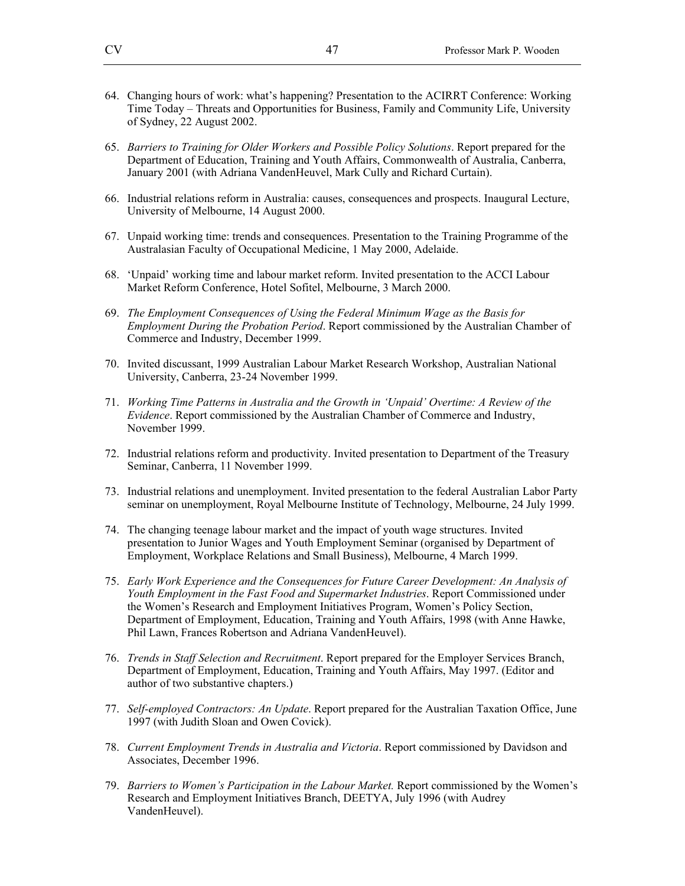- 64. Changing hours of work: what's happening? Presentation to the ACIRRT Conference: Working Time Today – Threats and Opportunities for Business, Family and Community Life, University of Sydney, 22 August 2002.
- 65. *Barriers to Training for Older Workers and Possible Policy Solutions*. Report prepared for the Department of Education, Training and Youth Affairs, Commonwealth of Australia, Canberra, January 2001 (with Adriana VandenHeuvel, Mark Cully and Richard Curtain).
- 66. Industrial relations reform in Australia: causes, consequences and prospects. Inaugural Lecture, University of Melbourne, 14 August 2000.
- 67. Unpaid working time: trends and consequences. Presentation to the Training Programme of the Australasian Faculty of Occupational Medicine, 1 May 2000, Adelaide.
- 68. 'Unpaid' working time and labour market reform. Invited presentation to the ACCI Labour Market Reform Conference, Hotel Sofitel, Melbourne, 3 March 2000.
- 69. *The Employment Consequences of Using the Federal Minimum Wage as the Basis for Employment During the Probation Period*. Report commissioned by the Australian Chamber of Commerce and Industry, December 1999.
- 70. Invited discussant, 1999 Australian Labour Market Research Workshop, Australian National University, Canberra, 23-24 November 1999.
- 71. *Working Time Patterns in Australia and the Growth in 'Unpaid' Overtime: A Review of the Evidence*. Report commissioned by the Australian Chamber of Commerce and Industry, November 1999.
- 72. Industrial relations reform and productivity. Invited presentation to Department of the Treasury Seminar, Canberra, 11 November 1999.
- 73. Industrial relations and unemployment. Invited presentation to the federal Australian Labor Party seminar on unemployment, Royal Melbourne Institute of Technology, Melbourne, 24 July 1999.
- 74. The changing teenage labour market and the impact of youth wage structures. Invited presentation to Junior Wages and Youth Employment Seminar (organised by Department of Employment, Workplace Relations and Small Business), Melbourne, 4 March 1999.
- 75. *Early Work Experience and the Consequences for Future Career Development: An Analysis of Youth Employment in the Fast Food and Supermarket Industries*. Report Commissioned under the Women's Research and Employment Initiatives Program, Women's Policy Section, Department of Employment, Education, Training and Youth Affairs, 1998 (with Anne Hawke, Phil Lawn, Frances Robertson and Adriana VandenHeuvel).
- 76. *Trends in Staff Selection and Recruitment*. Report prepared for the Employer Services Branch, Department of Employment, Education, Training and Youth Affairs, May 1997. (Editor and author of two substantive chapters.)
- 77. *Self-employed Contractors: An Update*. Report prepared for the Australian Taxation Office, June 1997 (with Judith Sloan and Owen Covick).
- 78. *Current Employment Trends in Australia and Victoria*. Report commissioned by Davidson and Associates, December 1996.
- 79. *Barriers to Women's Participation in the Labour Market.* Report commissioned by the Women's Research and Employment Initiatives Branch, DEETYA, July 1996 (with Audrey VandenHeuvel).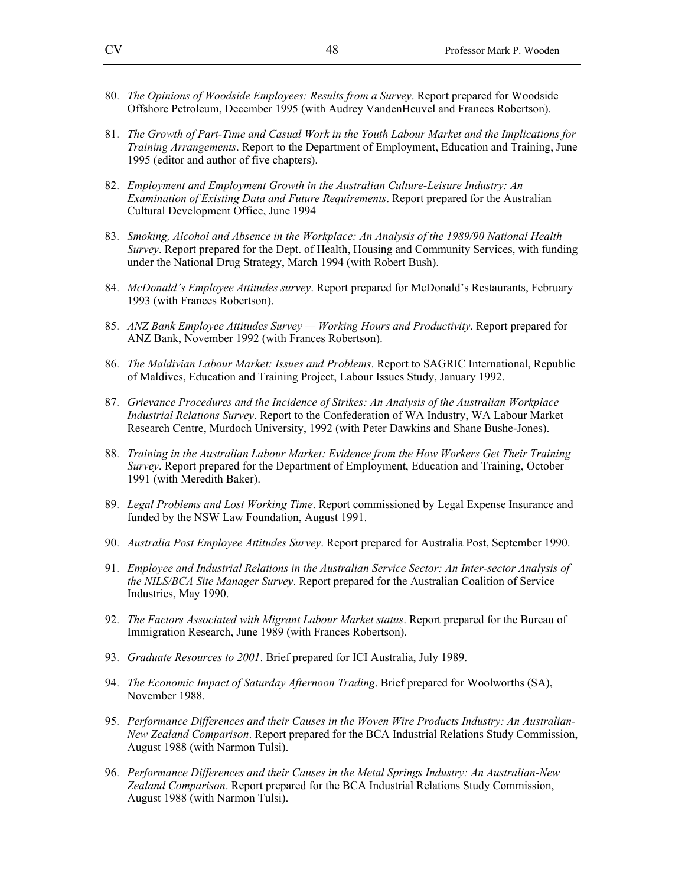- 80. *The Opinions of Woodside Employees: Results from a Survey*. Report prepared for Woodside Offshore Petroleum, December 1995 (with Audrey VandenHeuvel and Frances Robertson).
- 81. *The Growth of Part-Time and Casual Work in the Youth Labour Market and the Implications for Training Arrangements*. Report to the Department of Employment, Education and Training, June 1995 (editor and author of five chapters).
- 82. *Employment and Employment Growth in the Australian Culture-Leisure Industry: An Examination of Existing Data and Future Requirements*. Report prepared for the Australian Cultural Development Office, June 1994
- 83. *Smoking, Alcohol and Absence in the Workplace: An Analysis of the 1989/90 National Health Survey*. Report prepared for the Dept. of Health, Housing and Community Services, with funding under the National Drug Strategy, March 1994 (with Robert Bush).
- 84. *McDonald's Employee Attitudes survey*. Report prepared for McDonald's Restaurants, February 1993 (with Frances Robertson).
- 85. *ANZ Bank Employee Attitudes Survey Working Hours and Productivity*. Report prepared for ANZ Bank, November 1992 (with Frances Robertson).
- 86. *The Maldivian Labour Market: Issues and Problems*. Report to SAGRIC International, Republic of Maldives, Education and Training Project, Labour Issues Study, January 1992.
- 87. *Grievance Procedures and the Incidence of Strikes: An Analysis of the Australian Workplace Industrial Relations Survey*. Report to the Confederation of WA Industry, WA Labour Market Research Centre, Murdoch University, 1992 (with Peter Dawkins and Shane Bushe-Jones).
- 88. *Training in the Australian Labour Market: Evidence from the How Workers Get Their Training Survey*. Report prepared for the Department of Employment, Education and Training, October 1991 (with Meredith Baker).
- 89. *Legal Problems and Lost Working Time*. Report commissioned by Legal Expense Insurance and funded by the NSW Law Foundation, August 1991.
- 90. *Australia Post Employee Attitudes Survey*. Report prepared for Australia Post, September 1990.
- 91. *Employee and Industrial Relations in the Australian Service Sector: An Inter-sector Analysis of the NILS/BCA Site Manager Survey*. Report prepared for the Australian Coalition of Service Industries, May 1990.
- 92. *The Factors Associated with Migrant Labour Market status*. Report prepared for the Bureau of Immigration Research, June 1989 (with Frances Robertson).
- 93. *Graduate Resources to 2001*. Brief prepared for ICI Australia, July 1989.
- 94. *The Economic Impact of Saturday Afternoon Trading*. Brief prepared for Woolworths (SA), November 1988.
- 95. *Performance Differences and their Causes in the Woven Wire Products Industry: An Australian-New Zealand Comparison*. Report prepared for the BCA Industrial Relations Study Commission, August 1988 (with Narmon Tulsi).
- 96. *Performance Differences and their Causes in the Metal Springs Industry: An Australian-New Zealand Comparison*. Report prepared for the BCA Industrial Relations Study Commission, August 1988 (with Narmon Tulsi).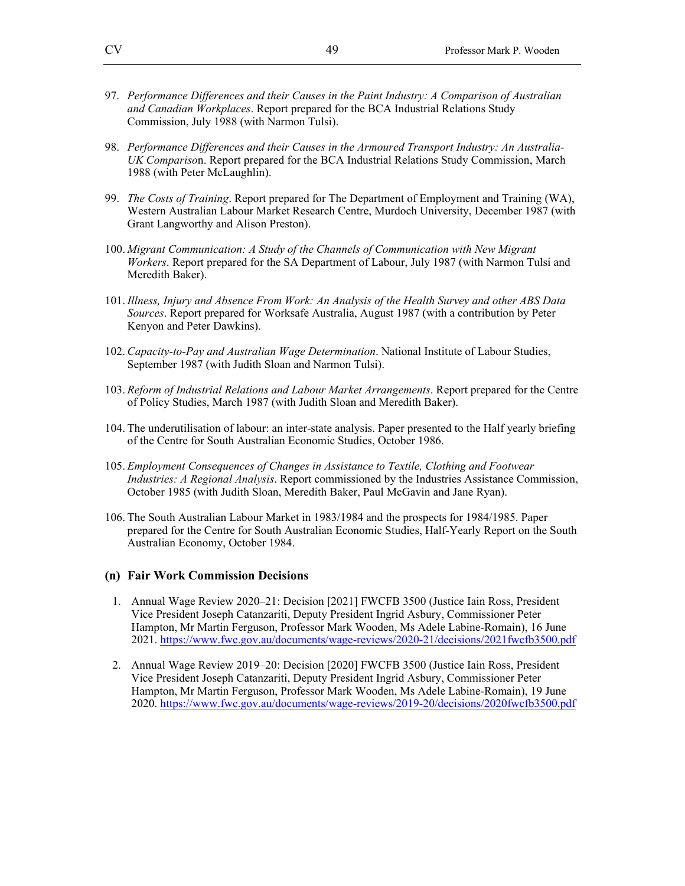- 97. *Performance Differences and their Causes in the Paint Industry: A Comparison of Australian and Canadian Workplaces*. Report prepared for the BCA Industrial Relations Study Commission, July 1988 (with Narmon Tulsi).
- 98. *Performance Differences and their Causes in the Armoured Transport Industry: An Australia-UK Compariso*n. Report prepared for the BCA Industrial Relations Study Commission, March 1988 (with Peter McLaughlin).
- 99. *The Costs of Training*. Report prepared for The Department of Employment and Training (WA), Western Australian Labour Market Research Centre, Murdoch University, December 1987 (with Grant Langworthy and Alison Preston).
- 100. *Migrant Communication: A Study of the Channels of Communication with New Migrant Workers*. Report prepared for the SA Department of Labour, July 1987 (with Narmon Tulsi and Meredith Baker).
- 101. *Illness, Injury and Absence From Work: An Analysis of the Health Survey and other ABS Data Sources*. Report prepared for Worksafe Australia, August 1987 (with a contribution by Peter Kenyon and Peter Dawkins).
- 102. *Capacity-to-Pay and Australian Wage Determination*. National Institute of Labour Studies, September 1987 (with Judith Sloan and Narmon Tulsi).
- 103. *Reform of Industrial Relations and Labour Market Arrangements*. Report prepared for the Centre of Policy Studies, March 1987 (with Judith Sloan and Meredith Baker).
- 104. The underutilisation of labour: an inter-state analysis. Paper presented to the Half yearly briefing of the Centre for South Australian Economic Studies, October 1986.
- 105. *Employment Consequences of Changes in Assistance to Textile, Clothing and Footwear Industries: A Regional Analysis*. Report commissioned by the Industries Assistance Commission, October 1985 (with Judith Sloan, Meredith Baker, Paul McGavin and Jane Ryan).
- 106. The South Australian Labour Market in 1983/1984 and the prospects for 1984/1985. Paper prepared for the Centre for South Australian Economic Studies, Half-Yearly Report on the South Australian Economy, October 1984.

#### **(n) Fair Work Commission Decisions**

- 1. Annual Wage Review 2020–21: Decision [2021] FWCFB 3500 (Justice Iain Ross, President Vice President Joseph Catanzariti, Deputy President Ingrid Asbury, Commissioner Peter Hampton, Mr Martin Ferguson, Professor Mark Wooden, Ms Adele Labine-Romain), 16 June 2021. https://www.fwc.gov.au/documents/wage-reviews/2020-21/decisions/2021fwcfb3500.pdf
- 2. Annual Wage Review 2019–20: Decision [2020] FWCFB 3500 (Justice Iain Ross, President Vice President Joseph Catanzariti, Deputy President Ingrid Asbury, Commissioner Peter Hampton, Mr Martin Ferguson, Professor Mark Wooden, Ms Adele Labine-Romain), 19 June 2020. https://www.fwc.gov.au/documents/wage-reviews/2019-20/decisions/2020fwcfb3500.pdf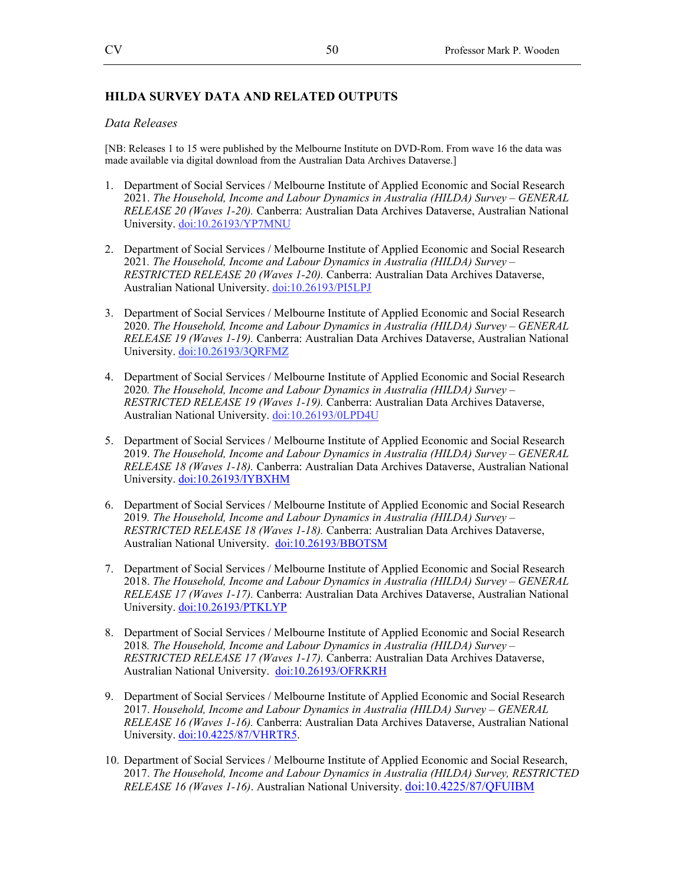### **HILDA SURVEY DATA AND RELATED OUTPUTS**

#### *Data Releases*

[NB: Releases 1 to 15 were published by the Melbourne Institute on DVD-Rom. From wave 16 the data was made available via digital download from the Australian Data Archives Dataverse.]

- 1. Department of Social Services / Melbourne Institute of Applied Economic and Social Research 2021. *The Household, Income and Labour Dynamics in Australia (HILDA) Survey – GENERAL RELEASE 20 (Waves 1-20).* Canberra: Australian Data Archives Dataverse, Australian National University. doi:10.26193/YP7MNU
- 2. Department of Social Services / Melbourne Institute of Applied Economic and Social Research 2021*. The Household, Income and Labour Dynamics in Australia (HILDA) Survey – RESTRICTED RELEASE 20 (Waves 1-20).* Canberra: Australian Data Archives Dataverse, Australian National University. doi:10.26193/PI5LPJ
- 3. Department of Social Services / Melbourne Institute of Applied Economic and Social Research 2020. *The Household, Income and Labour Dynamics in Australia (HILDA) Survey – GENERAL RELEASE 19 (Waves 1-19).* Canberra: Australian Data Archives Dataverse, Australian National University. doi:10.26193/3QRFMZ
- 4. Department of Social Services / Melbourne Institute of Applied Economic and Social Research 2020*. The Household, Income and Labour Dynamics in Australia (HILDA) Survey – RESTRICTED RELEASE 19 (Waves 1-19).* Canberra: Australian Data Archives Dataverse, Australian National University. doi:10.26193/0LPD4U
- 5. Department of Social Services / Melbourne Institute of Applied Economic and Social Research 2019. *The Household, Income and Labour Dynamics in Australia (HILDA) Survey – GENERAL RELEASE 18 (Waves 1-18).* Canberra: Australian Data Archives Dataverse, Australian National University. doi:10.26193/IYBXHM
- 6. Department of Social Services / Melbourne Institute of Applied Economic and Social Research 2019*. The Household, Income and Labour Dynamics in Australia (HILDA) Survey – RESTRICTED RELEASE 18 (Waves 1-18).* Canberra: Australian Data Archives Dataverse, Australian National University. doi:10.26193/BBOTSM
- 7. Department of Social Services / Melbourne Institute of Applied Economic and Social Research 2018. *The Household, Income and Labour Dynamics in Australia (HILDA) Survey – GENERAL RELEASE 17 (Waves 1-17).* Canberra: Australian Data Archives Dataverse, Australian National University. doi:10.26193/PTKLYP
- 8. Department of Social Services / Melbourne Institute of Applied Economic and Social Research 2018*. The Household, Income and Labour Dynamics in Australia (HILDA) Survey – RESTRICTED RELEASE 17 (Waves 1-17).* Canberra: Australian Data Archives Dataverse, Australian National University. doi:10.26193/OFRKRH
- 9. Department of Social Services / Melbourne Institute of Applied Economic and Social Research 2017. *Household, Income and Labour Dynamics in Australia (HILDA) Survey – GENERAL RELEASE 16 (Waves 1-16).* Canberra: Australian Data Archives Dataverse, Australian National University. doi:10.4225/87/VHRTR5.
- 10. Department of Social Services / Melbourne Institute of Applied Economic and Social Research, 2017. *The Household, Income and Labour Dynamics in Australia (HILDA) Survey, RESTRICTED RELEASE 16 (Waves 1-16)*. Australian National University. doi:10.4225/87/QFUIBM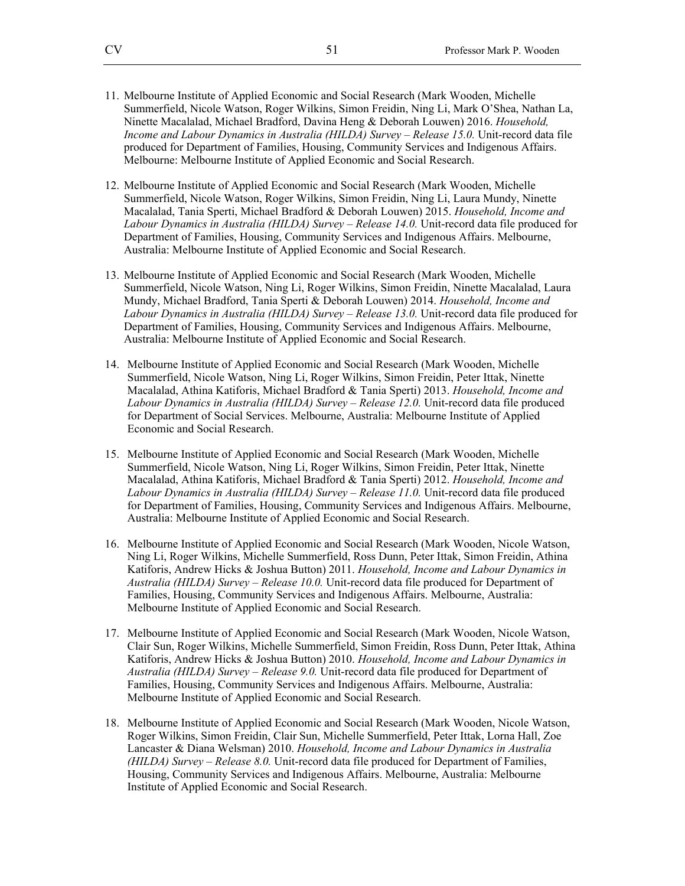- 11. Melbourne Institute of Applied Economic and Social Research (Mark Wooden, Michelle Summerfield, Nicole Watson, Roger Wilkins, Simon Freidin, Ning Li, Mark O'Shea, Nathan La, Ninette Macalalad, Michael Bradford, Davina Heng & Deborah Louwen) 2016. *Household, Income and Labour Dynamics in Australia (HILDA) Survey – Release 15.0.* Unit-record data file produced for Department of Families, Housing, Community Services and Indigenous Affairs. Melbourne: Melbourne Institute of Applied Economic and Social Research.
- 12. Melbourne Institute of Applied Economic and Social Research (Mark Wooden, Michelle Summerfield, Nicole Watson, Roger Wilkins, Simon Freidin, Ning Li, Laura Mundy, Ninette Macalalad, Tania Sperti, Michael Bradford & Deborah Louwen) 2015. *Household, Income and* Labour Dynamics in Australia (HILDA) Survey – Release 14.0. Unit-record data file produced for Department of Families, Housing, Community Services and Indigenous Affairs. Melbourne, Australia: Melbourne Institute of Applied Economic and Social Research.
- 13. Melbourne Institute of Applied Economic and Social Research (Mark Wooden, Michelle Summerfield, Nicole Watson, Ning Li, Roger Wilkins, Simon Freidin, Ninette Macalalad, Laura Mundy, Michael Bradford, Tania Sperti & Deborah Louwen) 2014. *Household, Income and Labour Dynamics in Australia (HILDA) Survey – Release 13.0.* Unit-record data file produced for Department of Families, Housing, Community Services and Indigenous Affairs. Melbourne, Australia: Melbourne Institute of Applied Economic and Social Research.
- 14. Melbourne Institute of Applied Economic and Social Research (Mark Wooden, Michelle Summerfield, Nicole Watson, Ning Li, Roger Wilkins, Simon Freidin, Peter Ittak, Ninette Macalalad, Athina Katiforis, Michael Bradford & Tania Sperti) 2013. *Household, Income and* Labour Dynamics in Australia (HILDA) Survey - Release 12.0. Unit-record data file produced for Department of Social Services. Melbourne, Australia: Melbourne Institute of Applied Economic and Social Research.
- 15. Melbourne Institute of Applied Economic and Social Research (Mark Wooden, Michelle Summerfield, Nicole Watson, Ning Li, Roger Wilkins, Simon Freidin, Peter Ittak, Ninette Macalalad, Athina Katiforis, Michael Bradford & Tania Sperti) 2012. *Household, Income and Labour Dynamics in Australia (HILDA) Survey – Release 11.0.* Unit-record data file produced for Department of Families, Housing, Community Services and Indigenous Affairs. Melbourne, Australia: Melbourne Institute of Applied Economic and Social Research.
- 16. Melbourne Institute of Applied Economic and Social Research (Mark Wooden, Nicole Watson, Ning Li, Roger Wilkins, Michelle Summerfield, Ross Dunn, Peter Ittak, Simon Freidin, Athina Katiforis, Andrew Hicks & Joshua Button) 2011. *Household, Income and Labour Dynamics in Australia (HILDA) Survey – Release 10.0.* Unit-record data file produced for Department of Families, Housing, Community Services and Indigenous Affairs. Melbourne, Australia: Melbourne Institute of Applied Economic and Social Research.
- 17. Melbourne Institute of Applied Economic and Social Research (Mark Wooden, Nicole Watson, Clair Sun, Roger Wilkins, Michelle Summerfield, Simon Freidin, Ross Dunn, Peter Ittak, Athina Katiforis, Andrew Hicks & Joshua Button) 2010. *Household, Income and Labour Dynamics in Australia (HILDA) Survey – Release 9.0.* Unit-record data file produced for Department of Families, Housing, Community Services and Indigenous Affairs. Melbourne, Australia: Melbourne Institute of Applied Economic and Social Research.
- 18. Melbourne Institute of Applied Economic and Social Research (Mark Wooden, Nicole Watson, Roger Wilkins, Simon Freidin, Clair Sun, Michelle Summerfield, Peter Ittak, Lorna Hall, Zoe Lancaster & Diana Welsman) 2010. *Household, Income and Labour Dynamics in Australia (HILDA) Survey – Release 8.0.* Unit-record data file produced for Department of Families, Housing, Community Services and Indigenous Affairs. Melbourne, Australia: Melbourne Institute of Applied Economic and Social Research.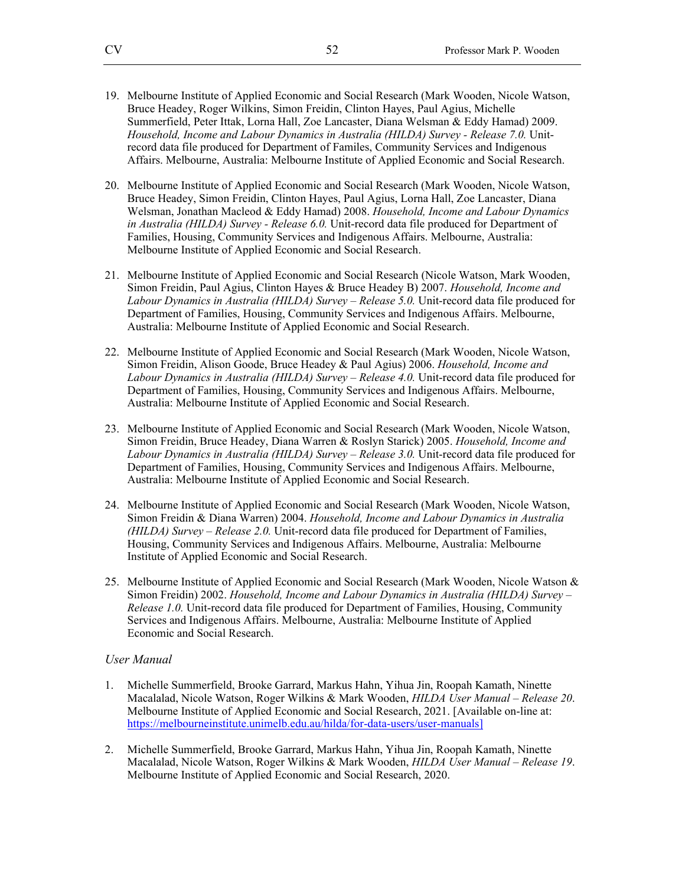- 19. Melbourne Institute of Applied Economic and Social Research (Mark Wooden, Nicole Watson, Bruce Headey, Roger Wilkins, Simon Freidin, Clinton Hayes, Paul Agius, Michelle Summerfield, Peter Ittak, Lorna Hall, Zoe Lancaster, Diana Welsman & Eddy Hamad) 2009. *Household, Income and Labour Dynamics in Australia (HILDA) Survey - Release 7.0.* Unitrecord data file produced for Department of Familes, Community Services and Indigenous Affairs. Melbourne, Australia: Melbourne Institute of Applied Economic and Social Research.
- 20. Melbourne Institute of Applied Economic and Social Research (Mark Wooden, Nicole Watson, Bruce Headey, Simon Freidin, Clinton Hayes, Paul Agius, Lorna Hall, Zoe Lancaster, Diana Welsman, Jonathan Macleod & Eddy Hamad) 2008. *Household, Income and Labour Dynamics in Australia (HILDA) Survey - Release 6.0.* Unit-record data file produced for Department of Families, Housing, Community Services and Indigenous Affairs. Melbourne, Australia: Melbourne Institute of Applied Economic and Social Research.
- 21. Melbourne Institute of Applied Economic and Social Research (Nicole Watson, Mark Wooden, Simon Freidin, Paul Agius, Clinton Hayes & Bruce Headey B) 2007. *Household, Income and*  Labour Dynamics in Australia (HILDA) Survey – Release 5.0. Unit-record data file produced for Department of Families, Housing, Community Services and Indigenous Affairs. Melbourne, Australia: Melbourne Institute of Applied Economic and Social Research.
- 22. Melbourne Institute of Applied Economic and Social Research (Mark Wooden, Nicole Watson, Simon Freidin, Alison Goode, Bruce Headey & Paul Agius) 2006. *Household, Income and*  Labour Dynamics in Australia (HILDA) Survey – Release 4.0. Unit-record data file produced for Department of Families, Housing, Community Services and Indigenous Affairs. Melbourne, Australia: Melbourne Institute of Applied Economic and Social Research.
- 23. Melbourne Institute of Applied Economic and Social Research (Mark Wooden, Nicole Watson, Simon Freidin, Bruce Headey, Diana Warren & Roslyn Starick) 2005. *Household, Income and*  Labour Dynamics in Australia (HILDA) Survey – Release 3.0. Unit-record data file produced for Department of Families, Housing, Community Services and Indigenous Affairs. Melbourne, Australia: Melbourne Institute of Applied Economic and Social Research.
- 24. Melbourne Institute of Applied Economic and Social Research (Mark Wooden, Nicole Watson, Simon Freidin & Diana Warren) 2004. *Household, Income and Labour Dynamics in Australia (HILDA) Survey – Release 2.0.* Unit-record data file produced for Department of Families, Housing, Community Services and Indigenous Affairs. Melbourne, Australia: Melbourne Institute of Applied Economic and Social Research.
- 25. Melbourne Institute of Applied Economic and Social Research (Mark Wooden, Nicole Watson & Simon Freidin) 2002. *Household, Income and Labour Dynamics in Australia (HILDA) Survey – Release 1.0.* Unit-record data file produced for Department of Families, Housing, Community Services and Indigenous Affairs. Melbourne, Australia: Melbourne Institute of Applied Economic and Social Research.

#### *User Manual*

- 1. Michelle Summerfield, Brooke Garrard, Markus Hahn, Yihua Jin, Roopah Kamath, Ninette Macalalad, Nicole Watson, Roger Wilkins & Mark Wooden, *HILDA User Manual – Release 20*. Melbourne Institute of Applied Economic and Social Research, 2021. [Available on-line at: https://melbourneinstitute.unimelb.edu.au/hilda/for-data-users/user-manuals]
- 2. Michelle Summerfield, Brooke Garrard, Markus Hahn, Yihua Jin, Roopah Kamath, Ninette Macalalad, Nicole Watson, Roger Wilkins & Mark Wooden, *HILDA User Manual – Release 19*. Melbourne Institute of Applied Economic and Social Research, 2020.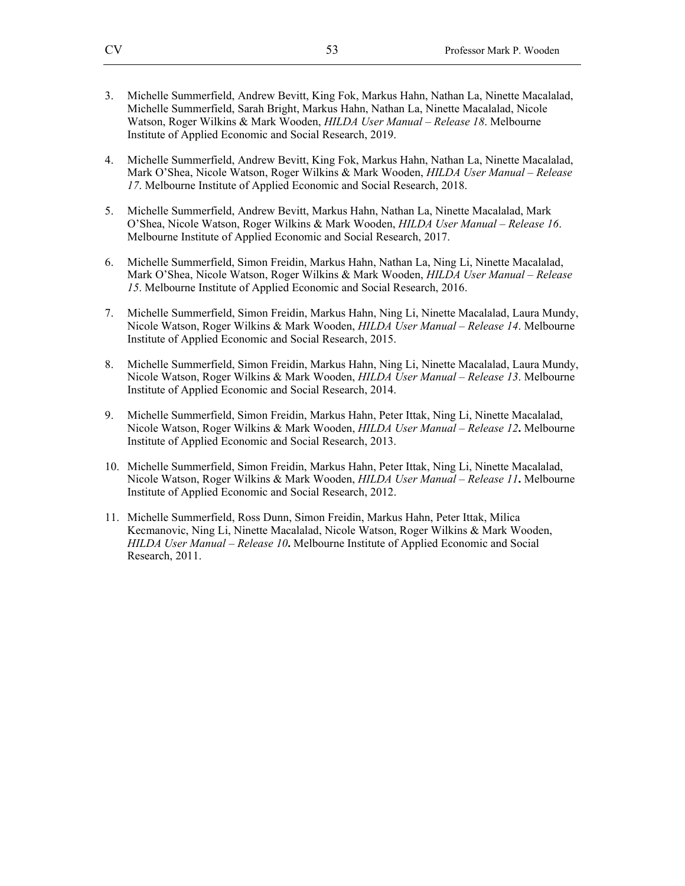- 3. Michelle Summerfield, Andrew Bevitt, King Fok, Markus Hahn, Nathan La, Ninette Macalalad, Michelle Summerfield, Sarah Bright, Markus Hahn, Nathan La, Ninette Macalalad, Nicole Watson, Roger Wilkins & Mark Wooden, *HILDA User Manual – Release 18*. Melbourne Institute of Applied Economic and Social Research, 2019.
- 4. Michelle Summerfield, Andrew Bevitt, King Fok, Markus Hahn, Nathan La, Ninette Macalalad, Mark O'Shea, Nicole Watson, Roger Wilkins & Mark Wooden, *HILDA User Manual – Release 17*. Melbourne Institute of Applied Economic and Social Research, 2018.
- 5. Michelle Summerfield, Andrew Bevitt, Markus Hahn, Nathan La, Ninette Macalalad, Mark O'Shea, Nicole Watson, Roger Wilkins & Mark Wooden, *HILDA User Manual – Release 16*. Melbourne Institute of Applied Economic and Social Research, 2017.
- 6. Michelle Summerfield, Simon Freidin, Markus Hahn, Nathan La, Ning Li, Ninette Macalalad, Mark O'Shea, Nicole Watson, Roger Wilkins & Mark Wooden, *HILDA User Manual – Release 15*. Melbourne Institute of Applied Economic and Social Research, 2016.
- 7. Michelle Summerfield, Simon Freidin, Markus Hahn, Ning Li, Ninette Macalalad, Laura Mundy, Nicole Watson, Roger Wilkins & Mark Wooden, *HILDA User Manual – Release 14*. Melbourne Institute of Applied Economic and Social Research, 2015.
- 8. Michelle Summerfield, Simon Freidin, Markus Hahn, Ning Li, Ninette Macalalad, Laura Mundy, Nicole Watson, Roger Wilkins & Mark Wooden, *HILDA User Manual – Release 13*. Melbourne Institute of Applied Economic and Social Research, 2014.
- 9. Michelle Summerfield, Simon Freidin, Markus Hahn, Peter Ittak, Ning Li, Ninette Macalalad, Nicole Watson, Roger Wilkins & Mark Wooden, *HILDA User Manual – Release 12***.** Melbourne Institute of Applied Economic and Social Research, 2013.
- 10. Michelle Summerfield, Simon Freidin, Markus Hahn, Peter Ittak, Ning Li, Ninette Macalalad, Nicole Watson, Roger Wilkins & Mark Wooden, *HILDA User Manual – Release 11***.** Melbourne Institute of Applied Economic and Social Research, 2012.
- 11. Michelle Summerfield, Ross Dunn, Simon Freidin, Markus Hahn, Peter Ittak, Milica Kecmanovic, Ning Li, Ninette Macalalad, Nicole Watson, Roger Wilkins & Mark Wooden, *HILDA User Manual – Release 10***.** Melbourne Institute of Applied Economic and Social Research, 2011.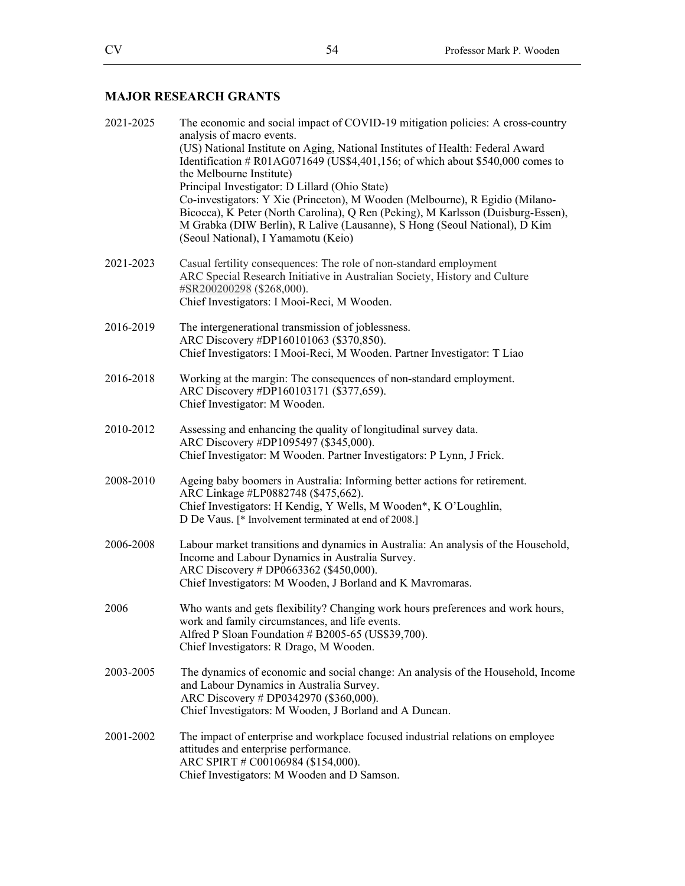## **MAJOR RESEARCH GRANTS**

| 2021-2025 | The economic and social impact of COVID-19 mitigation policies: A cross-country<br>analysis of macro events.<br>(US) National Institute on Aging, National Institutes of Health: Federal Award<br>Identification # R01AG071649 (US\$4,401,156; of which about \$540,000 comes to<br>the Melbourne Institute)<br>Principal Investigator: D Lillard (Ohio State)<br>Co-investigators: Y Xie (Princeton), M Wooden (Melbourne), R Egidio (Milano-<br>Bicocca), K Peter (North Carolina), Q Ren (Peking), M Karlsson (Duisburg-Essen),<br>M Grabka (DIW Berlin), R Lalive (Lausanne), S Hong (Seoul National), D Kim<br>(Seoul National), I Yamamotu (Keio) |
|-----------|---------------------------------------------------------------------------------------------------------------------------------------------------------------------------------------------------------------------------------------------------------------------------------------------------------------------------------------------------------------------------------------------------------------------------------------------------------------------------------------------------------------------------------------------------------------------------------------------------------------------------------------------------------|
| 2021-2023 | Casual fertility consequences: The role of non-standard employment<br>ARC Special Research Initiative in Australian Society, History and Culture<br>#SR200200298 (\$268,000).<br>Chief Investigators: I Mooi-Reci, M Wooden.                                                                                                                                                                                                                                                                                                                                                                                                                            |
| 2016-2019 | The intergenerational transmission of joblessness.<br>ARC Discovery #DP160101063 (\$370,850).<br>Chief Investigators: I Mooi-Reci, M Wooden. Partner Investigator: T Liao                                                                                                                                                                                                                                                                                                                                                                                                                                                                               |
| 2016-2018 | Working at the margin: The consequences of non-standard employment.<br>ARC Discovery #DP160103171 (\$377,659).<br>Chief Investigator: M Wooden.                                                                                                                                                                                                                                                                                                                                                                                                                                                                                                         |
| 2010-2012 | Assessing and enhancing the quality of longitudinal survey data.<br>ARC Discovery #DP1095497 (\$345,000).<br>Chief Investigator: M Wooden. Partner Investigators: P Lynn, J Frick.                                                                                                                                                                                                                                                                                                                                                                                                                                                                      |
| 2008-2010 | Ageing baby boomers in Australia: Informing better actions for retirement.<br>ARC Linkage #LP0882748 (\$475,662).<br>Chief Investigators: H Kendig, Y Wells, M Wooden*, K O'Loughlin,<br>D De Vaus. [* Involvement terminated at end of 2008.]                                                                                                                                                                                                                                                                                                                                                                                                          |
| 2006-2008 | Labour market transitions and dynamics in Australia: An analysis of the Household,<br>Income and Labour Dynamics in Australia Survey.<br>ARC Discovery # DP0663362 (\$450,000).<br>Chief Investigators: M Wooden, J Borland and K Mavromaras.                                                                                                                                                                                                                                                                                                                                                                                                           |
| 2006      | Who wants and gets flexibility? Changing work hours preferences and work hours,<br>work and family circumstances, and life events.<br>Alfred P Sloan Foundation # B2005-65 (US\$39,700).<br>Chief Investigators: R Drago, M Wooden.                                                                                                                                                                                                                                                                                                                                                                                                                     |
| 2003-2005 | The dynamics of economic and social change: An analysis of the Household, Income<br>and Labour Dynamics in Australia Survey.<br>ARC Discovery # DP0342970 (\$360,000).<br>Chief Investigators: M Wooden, J Borland and A Duncan.                                                                                                                                                                                                                                                                                                                                                                                                                        |
| 2001-2002 | The impact of enterprise and workplace focused industrial relations on employee<br>attitudes and enterprise performance.<br>ARC SPIRT # C00106984 (\$154,000).<br>Chief Investigators: M Wooden and D Samson.                                                                                                                                                                                                                                                                                                                                                                                                                                           |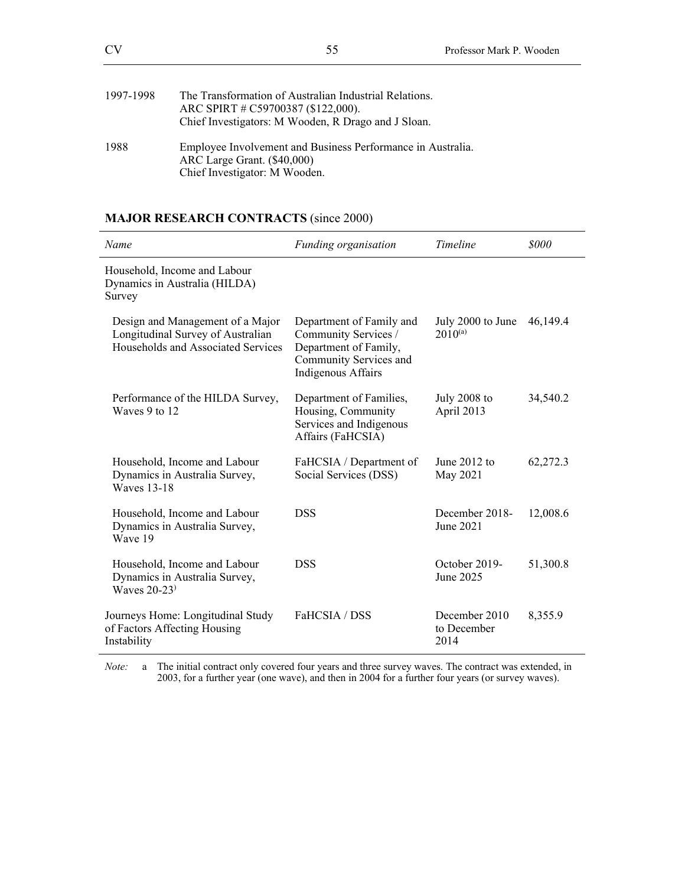| 1997-1998 | The Transformation of Australian Industrial Relations.<br>ARC SPIRT # C59700387 (\$122,000).<br>Chief Investigators: M Wooden, R Drago and J Sloan. |
|-----------|-----------------------------------------------------------------------------------------------------------------------------------------------------|
| 1988      | Employee Involvement and Business Performance in Australia.<br>ARC Large Grant. (\$40,000)<br>Chief Investigator: M Wooden.                         |

# **MAJOR RESEARCH CONTRACTS** (since 2000)

| Name                                                                                                        | Funding organisation                                                                                                             | <b>Timeline</b>                      | <i>sooo</i> |
|-------------------------------------------------------------------------------------------------------------|----------------------------------------------------------------------------------------------------------------------------------|--------------------------------------|-------------|
| Household, Income and Labour<br>Dynamics in Australia (HILDA)<br>Survey                                     |                                                                                                                                  |                                      |             |
| Design and Management of a Major<br>Longitudinal Survey of Australian<br>Households and Associated Services | Department of Family and<br>Community Services /<br>Department of Family,<br>Community Services and<br><b>Indigenous Affairs</b> | July 2000 to June<br>$2010^{(a)}$    | 46,149.4    |
| Performance of the HILDA Survey,<br>Waves 9 to 12                                                           | Department of Families,<br>Housing, Community<br>Services and Indigenous<br>Affairs (FaHCSIA)                                    | July 2008 to<br>April 2013           | 34,540.2    |
| Household, Income and Labour<br>Dynamics in Australia Survey,<br><b>Waves 13-18</b>                         | FaHCSIA / Department of<br>Social Services (DSS)                                                                                 | June $2012$ to<br>May 2021           | 62,272.3    |
| Household, Income and Labour<br>Dynamics in Australia Survey,<br>Wave 19                                    | <b>DSS</b>                                                                                                                       | December 2018-<br>June 2021          | 12,008.6    |
| Household, Income and Labour<br>Dynamics in Australia Survey,<br>Waves $20-23$ <sup>)</sup>                 | <b>DSS</b>                                                                                                                       | October 2019-<br>June 2025           | 51,300.8    |
| Journeys Home: Longitudinal Study<br>of Factors Affecting Housing<br>Instability                            | FaHCSIA / DSS                                                                                                                    | December 2010<br>to December<br>2014 | 8,355.9     |

*Note:* a The initial contract only covered four years and three survey waves. The contract was extended, in 2003, for a further year (one wave), and then in 2004 for a further four years (or survey waves).